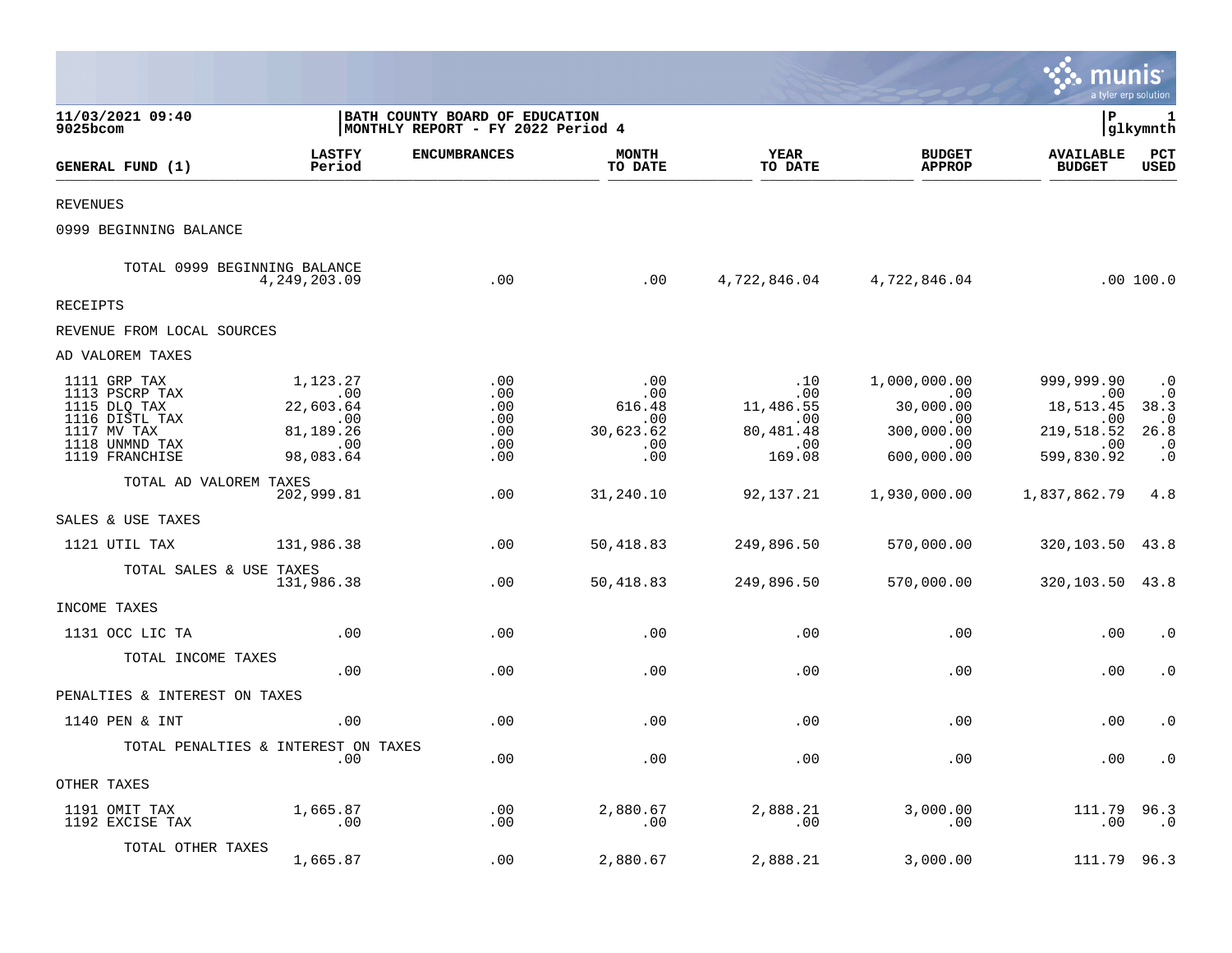|                                                                                                                     |                                                                                  |                                                                     |                                                        |                                                               |                                                                                  | munis                                                                          | a tyler erp solution                                                          |
|---------------------------------------------------------------------------------------------------------------------|----------------------------------------------------------------------------------|---------------------------------------------------------------------|--------------------------------------------------------|---------------------------------------------------------------|----------------------------------------------------------------------------------|--------------------------------------------------------------------------------|-------------------------------------------------------------------------------|
| 11/03/2021 09:40<br>9025bcom                                                                                        |                                                                                  | BATH COUNTY BOARD OF EDUCATION<br>MONTHLY REPORT - FY 2022 Period 4 |                                                        |                                                               |                                                                                  | P                                                                              | 1<br> glkymnth                                                                |
| GENERAL FUND (1)                                                                                                    | <b>LASTFY</b><br>Period                                                          | <b>ENCUMBRANCES</b>                                                 | <b>MONTH</b><br>TO DATE                                | YEAR<br>TO DATE                                               | <b>BUDGET</b><br><b>APPROP</b>                                                   | <b>AVAILABLE</b><br><b>BUDGET</b>                                              | PCT<br><b>USED</b>                                                            |
| <b>REVENUES</b>                                                                                                     |                                                                                  |                                                                     |                                                        |                                                               |                                                                                  |                                                                                |                                                                               |
| 0999 BEGINNING BALANCE                                                                                              |                                                                                  |                                                                     |                                                        |                                                               |                                                                                  |                                                                                |                                                                               |
|                                                                                                                     | TOTAL 0999 BEGINNING BALANCE<br>4,249,203.09                                     | .00                                                                 | .00                                                    |                                                               | 4,722,846.04 4,722,846.04                                                        |                                                                                | .00 100.0                                                                     |
| RECEIPTS                                                                                                            |                                                                                  |                                                                     |                                                        |                                                               |                                                                                  |                                                                                |                                                                               |
| REVENUE FROM LOCAL SOURCES                                                                                          |                                                                                  |                                                                     |                                                        |                                                               |                                                                                  |                                                                                |                                                                               |
| AD VALOREM TAXES                                                                                                    |                                                                                  |                                                                     |                                                        |                                                               |                                                                                  |                                                                                |                                                                               |
| 1111 GRP TAX<br>1113 PSCRP TAX<br>1115 DLQ TAX<br>1116 DISTL TAX<br>1117 MV TAX<br>1118 UNMND TAX<br>1119 FRANCHISE | 1,123.27<br>$\overline{00}$<br>22,603.64<br>.00<br>81,189.26<br>.00<br>98,083.64 | .00<br>.00<br>.00<br>.00<br>.00<br>.00<br>.00                       | .00<br>.00<br>616.48<br>.00<br>30,623.62<br>.00<br>.00 | .10<br>.00<br>11,486.55<br>.00.<br>80,481.48<br>.00<br>169.08 | 1,000,000.00<br>$\sim 00$<br>30,000.00<br>.00<br>300,000.00<br>.00<br>600,000.00 | 999,999.90<br>.00<br>18,513.45<br>.00<br>219,518.52<br>$\sim$ 00<br>599,830.92 | $\cdot$ 0<br>$\cdot$ 0<br>38.3<br>$\cdot$ 0<br>26.8<br>$\cdot$ 0<br>$\cdot$ 0 |
| TOTAL AD VALOREM TAXES                                                                                              | 202,999.81                                                                       | .00                                                                 | 31,240.10                                              | 92,137.21                                                     | 1,930,000.00                                                                     | 1,837,862.79                                                                   | 4.8                                                                           |
| SALES & USE TAXES                                                                                                   |                                                                                  |                                                                     |                                                        |                                                               |                                                                                  |                                                                                |                                                                               |
| 1121 UTIL TAX                                                                                                       | 131,986.38                                                                       | .00                                                                 | 50,418.83                                              | 249,896.50                                                    | 570,000.00                                                                       | 320, 103. 50 43. 8                                                             |                                                                               |
| TOTAL SALES & USE TAXES                                                                                             | 131,986.38                                                                       | .00                                                                 | 50,418.83                                              | 249,896.50                                                    | 570,000.00                                                                       | 320, 103.50 43.8                                                               |                                                                               |
| INCOME TAXES                                                                                                        |                                                                                  |                                                                     |                                                        |                                                               |                                                                                  |                                                                                |                                                                               |
| 1131 OCC LIC TA                                                                                                     | .00                                                                              | .00                                                                 | .00                                                    | .00                                                           | .00                                                                              | .00                                                                            | $\cdot$ 0                                                                     |
| TOTAL INCOME TAXES                                                                                                  | .00                                                                              | .00                                                                 | .00                                                    | .00                                                           | .00                                                                              | .00                                                                            | $\cdot$ 0                                                                     |
| PENALTIES & INTEREST ON TAXES                                                                                       |                                                                                  |                                                                     |                                                        |                                                               |                                                                                  |                                                                                |                                                                               |
| 1140 PEN & INT                                                                                                      | .00                                                                              | .00                                                                 | .00                                                    | .00                                                           | .00                                                                              | .00                                                                            | $\cdot$ 0                                                                     |
|                                                                                                                     | TOTAL PENALTIES & INTEREST ON TAXES<br>.00                                       | .00                                                                 | .00                                                    | .00                                                           | .00                                                                              | .00                                                                            | $\cdot$ 0                                                                     |
| OTHER TAXES                                                                                                         |                                                                                  |                                                                     |                                                        |                                                               |                                                                                  |                                                                                |                                                                               |
| 1191 OMIT TAX<br>1192 EXCISE TAX                                                                                    | 1,665.87<br>$\overline{\phantom{0}}$ .00                                         | .00<br>$.00 \,$                                                     | 2,880.67<br>.00                                        | 2,888.21<br>.00                                               | 3,000.00<br>.00                                                                  | 111.79<br>.00                                                                  | 96.3<br>.0                                                                    |
| TOTAL OTHER TAXES                                                                                                   | 1,665.87                                                                         | .00                                                                 | 2,880.67                                               | 2,888.21                                                      | 3,000.00                                                                         | 111.79 96.3                                                                    |                                                                               |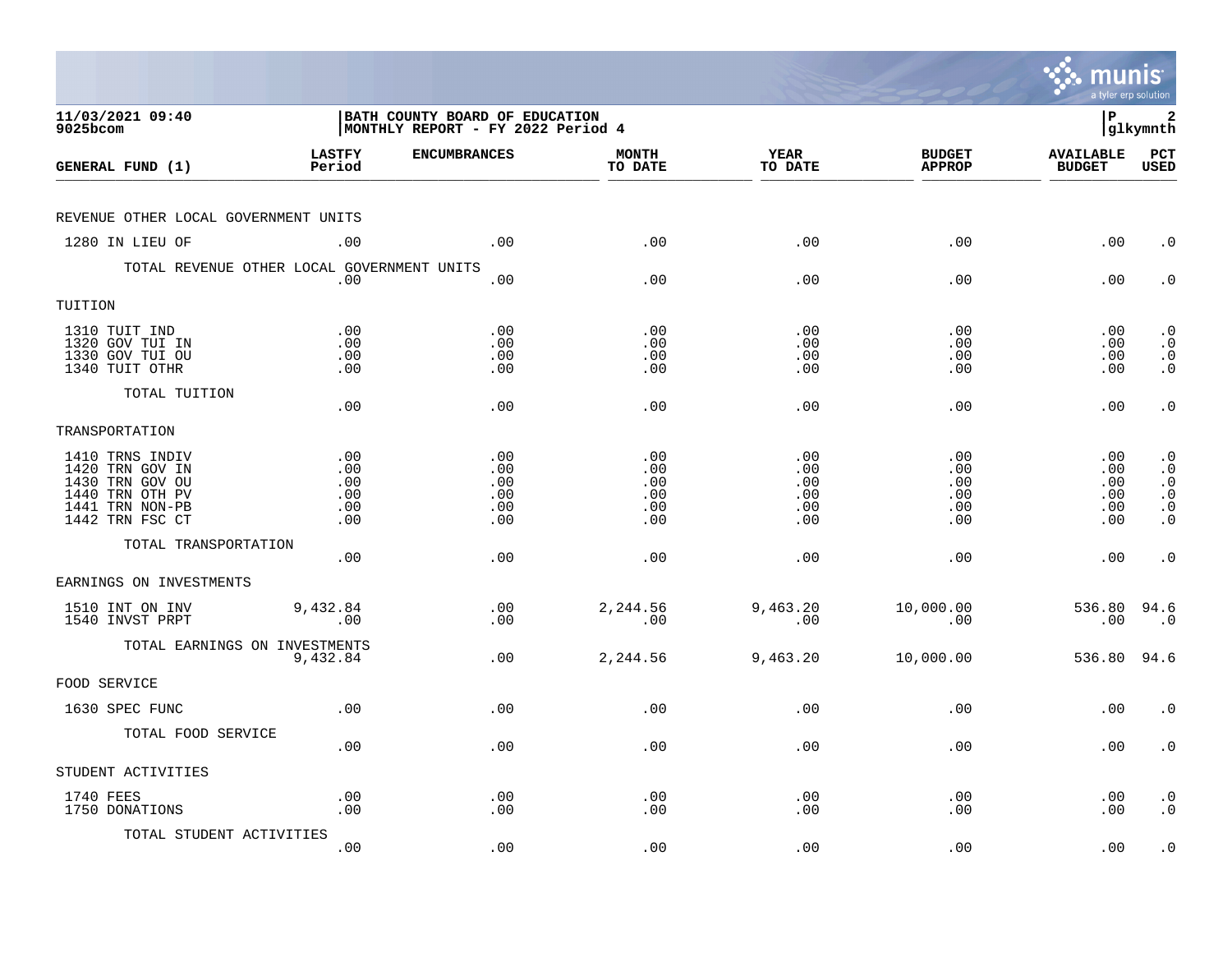|                                                                                                                |                                        |                                                                     |                                        |                                        |                                        | munis<br>a tyler erp solution           |                                                                                         |
|----------------------------------------------------------------------------------------------------------------|----------------------------------------|---------------------------------------------------------------------|----------------------------------------|----------------------------------------|----------------------------------------|-----------------------------------------|-----------------------------------------------------------------------------------------|
| 11/03/2021 09:40<br>9025bcom                                                                                   |                                        | BATH COUNTY BOARD OF EDUCATION<br>MONTHLY REPORT - FY 2022 Period 4 |                                        |                                        |                                        | l P                                     | 2<br> glkymnth                                                                          |
| GENERAL FUND (1)                                                                                               | <b>LASTFY</b><br>Period                | <b>ENCUMBRANCES</b>                                                 | <b>MONTH</b><br>TO DATE                | YEAR<br>TO DATE                        | <b>BUDGET</b><br><b>APPROP</b>         | <b>AVAILABLE</b><br><b>BUDGET</b>       | $_{\rm PCT}$<br><b>USED</b>                                                             |
| REVENUE OTHER LOCAL GOVERNMENT UNITS                                                                           |                                        |                                                                     |                                        |                                        |                                        |                                         |                                                                                         |
| 1280 IN LIEU OF                                                                                                | .00                                    | .00                                                                 | .00                                    | .00                                    | .00                                    | .00                                     | $\cdot$ 0                                                                               |
| TOTAL REVENUE OTHER LOCAL GOVERNMENT UNITS                                                                     | .00                                    | .00                                                                 | .00                                    | .00                                    | .00                                    | .00                                     | $\cdot$ 0                                                                               |
| TUITION                                                                                                        |                                        |                                                                     |                                        |                                        |                                        |                                         |                                                                                         |
| 1310 TUIT IND<br>1320 GOV TUI IN<br>1330 GOV TUI OU<br>1340 TUIT OTHR                                          | .00<br>.00<br>.00<br>.00               | .00<br>.00<br>.00<br>.00                                            | .00<br>.00<br>.00<br>.00               | .00<br>.00<br>.00<br>.00               | .00<br>.00<br>.00<br>.00               | $.00 \,$<br>$.00 \,$<br>.00<br>$.00 \,$ | $\cdot$ 0<br>$\cdot$ 0<br>$\begin{smallmatrix} 0 \\ 0 \\ 0 \end{smallmatrix}$           |
| TOTAL TUITION                                                                                                  | .00                                    | .00                                                                 | .00                                    | .00                                    | .00                                    | .00                                     | $\cdot$ 0                                                                               |
| TRANSPORTATION                                                                                                 |                                        |                                                                     |                                        |                                        |                                        |                                         |                                                                                         |
| 1410 TRNS INDIV<br>1420 TRN GOV IN<br>1430 TRN GOV OU<br>1440 TRN OTH PV<br>1441 TRN NON-PB<br>1442 TRN FSC CT | .00<br>.00<br>.00<br>.00<br>.00<br>.00 | .00<br>.00<br>.00<br>.00<br>.00<br>.00                              | .00<br>.00<br>.00<br>.00<br>.00<br>.00 | .00<br>.00<br>.00<br>.00<br>.00<br>.00 | .00<br>.00<br>.00<br>.00<br>.00<br>.00 | .00<br>.00<br>.00<br>.00<br>.00<br>.00  | $\cdot$ 0<br>$\cdot$ 0<br>$\cdot$ 0<br>$\boldsymbol{\cdot}$ 0<br>$\cdot$ 0<br>$\cdot$ 0 |
| TOTAL TRANSPORTATION                                                                                           | .00                                    | .00                                                                 | .00                                    | .00                                    | .00                                    | .00                                     | $\cdot$ 0                                                                               |
| EARNINGS ON INVESTMENTS                                                                                        |                                        |                                                                     |                                        |                                        |                                        |                                         |                                                                                         |
| 1510 INT ON INV<br>1540 INVST PRPT                                                                             | 9,432.84<br>.00                        | .00<br>.00                                                          | 2,244.56<br>.00                        | 9,463.20<br>.00                        | 10,000.00<br>.00                       | 536.80 94.6<br>.00                      | $\cdot$ 0                                                                               |
| TOTAL EARNINGS ON INVESTMENTS                                                                                  | 9,432.84                               | .00                                                                 | 2,244.56                               | 9,463.20                               | 10,000.00                              | 536.80                                  | 94.6                                                                                    |
| FOOD SERVICE                                                                                                   |                                        |                                                                     |                                        |                                        |                                        |                                         |                                                                                         |
| 1630 SPEC FUNC                                                                                                 | .00                                    | .00                                                                 | .00                                    | .00                                    | .00                                    | .00                                     | $\cdot$ 0                                                                               |
| TOTAL FOOD SERVICE                                                                                             | .00                                    | .00                                                                 | .00                                    | .00                                    | .00                                    | $.00 \,$                                | $\cdot$ 0                                                                               |
| STUDENT ACTIVITIES                                                                                             |                                        |                                                                     |                                        |                                        |                                        |                                         |                                                                                         |
| 1740 FEES<br>1750 DONATIONS                                                                                    | .00<br>.00                             | .00<br>.00                                                          | .00<br>.00                             | .00<br>.00                             | .00<br>.00                             | .00<br>.00                              | $\cdot$ 0<br>$\cdot$ 0                                                                  |
| TOTAL STUDENT ACTIVITIES                                                                                       | .00                                    | .00                                                                 | .00                                    | .00                                    | .00                                    | .00                                     | $\cdot$ 0                                                                               |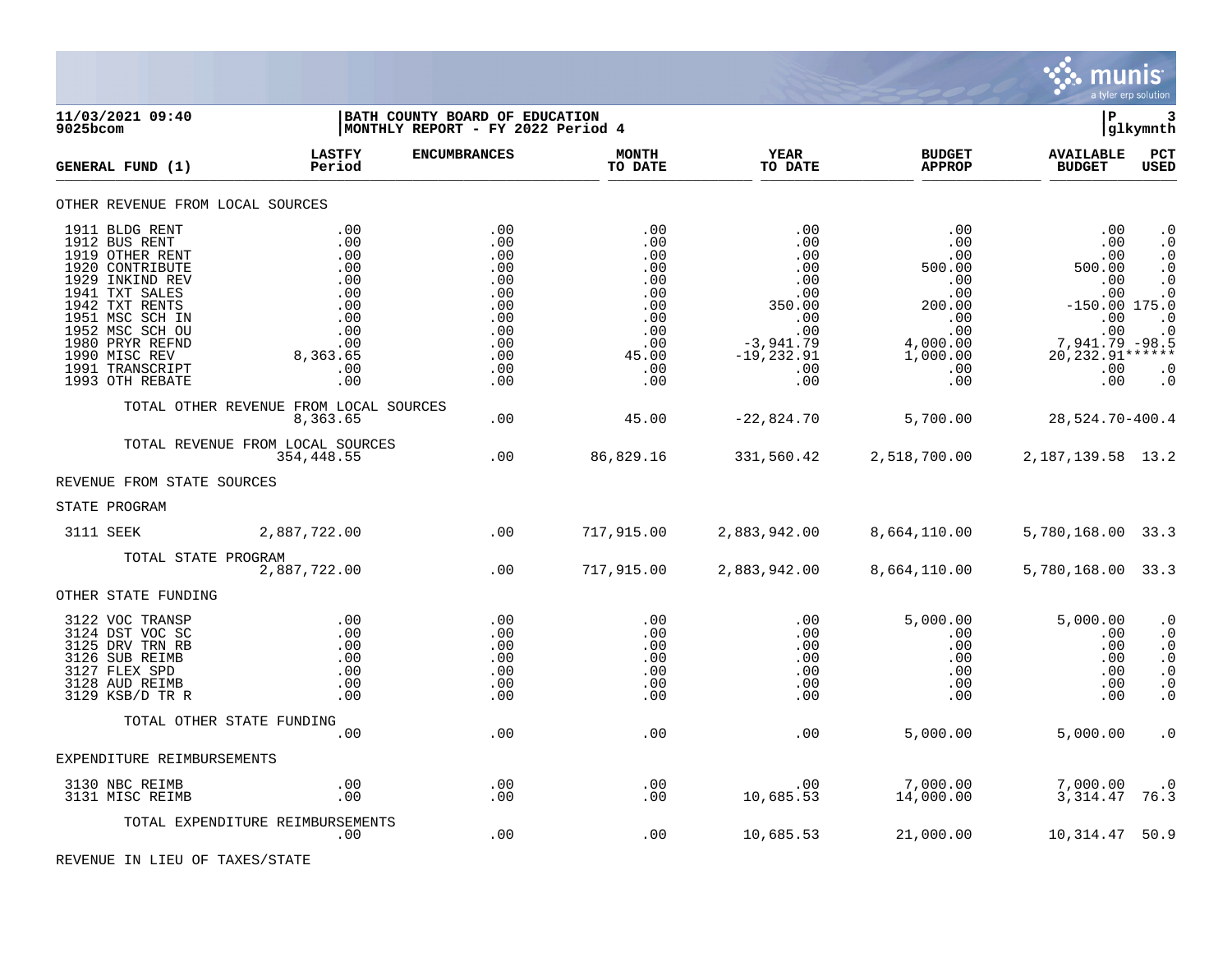

| 11/03/2021 09:40<br>9025bcom                                                                                                                                                                                                                 |                                                                                              | BATH COUNTY BOARD OF EDUCATION<br> MONTHLY REPORT - FY 2022 Period 4                    |                                                                                           |                                                                                                             |                                                                                                                             | lР                                                                                                                          | 3<br> glkymnth                                                                                                                 |
|----------------------------------------------------------------------------------------------------------------------------------------------------------------------------------------------------------------------------------------------|----------------------------------------------------------------------------------------------|-----------------------------------------------------------------------------------------|-------------------------------------------------------------------------------------------|-------------------------------------------------------------------------------------------------------------|-----------------------------------------------------------------------------------------------------------------------------|-----------------------------------------------------------------------------------------------------------------------------|--------------------------------------------------------------------------------------------------------------------------------|
| GENERAL FUND (1)                                                                                                                                                                                                                             | <b>LASTFY</b><br>Period                                                                      | <b>ENCUMBRANCES</b>                                                                     | <b>MONTH</b><br>TO DATE                                                                   | YEAR<br>TO DATE                                                                                             | <b>BUDGET</b><br><b>APPROP</b>                                                                                              | <b>AVAILABLE</b><br><b>BUDGET</b>                                                                                           | PCT<br><b>USED</b>                                                                                                             |
| OTHER REVENUE FROM LOCAL SOURCES                                                                                                                                                                                                             |                                                                                              |                                                                                         |                                                                                           |                                                                                                             |                                                                                                                             |                                                                                                                             |                                                                                                                                |
| 1911 BLDG RENT<br>1912 BUS RENT<br>1919 OTHER RENT<br>1920 CONTRIBUTE<br>1929 INKIND REV<br>1941 TXT SALES<br>1942 TXT RENTS<br>1951 MSC SCH IN<br>1952 MSC SCH OU<br>1980 PRYR REFND<br>1990 MISC REV<br>1991 TRANSCRIPT<br>1993 OTH REBATE | .00<br>.00<br>.00<br>.00<br>.00<br>.00<br>.00<br>.00<br>.00<br>.00<br>8,363.65<br>.00<br>.00 | .00<br>.00<br>.00<br>.00<br>.00<br>.00<br>.00<br>.00<br>.00<br>.00<br>.00<br>.00<br>.00 | .00<br>.00<br>.00<br>.00<br>.00<br>.00<br>.00<br>.00<br>.00<br>.00<br>45.00<br>.00<br>.00 | .00<br>.00<br>.00<br>.00<br>.00<br>.00<br>350.00<br>.00<br>.00<br>$-3,941.79$<br>$-19,232.91$<br>.00<br>.00 | .00<br>$.00 \,$<br>$.00 \,$<br>500.00<br>.00<br>.00<br>200.00<br>$.00 \,$<br>.00<br>4,000.00<br>1,000.00<br>$.00 \,$<br>.00 | .00<br>.00<br>.00<br>500.00<br>.00<br>.00<br>$-150.00$ 175.0<br>.00<br>$7,941.79 - 98.5$<br>20, 232. 91******<br>.00<br>.00 | $\cdot$ 0<br>$\cdot$ 0<br>$\cdot$ 0<br>$\cdot$ 0<br>$\cdot$ 0<br>$\cdot$ 0<br>$\cdot$ 0<br>$\cdot$ 0<br>$\cdot$ 0<br>$\cdot$ 0 |
|                                                                                                                                                                                                                                              | TOTAL OTHER REVENUE FROM LOCAL SOURCES<br>8,363.65                                           | .00                                                                                     | 45.00                                                                                     | $-22,824.70$                                                                                                | 5,700.00                                                                                                                    | 28,524.70-400.4                                                                                                             |                                                                                                                                |
|                                                                                                                                                                                                                                              | TOTAL REVENUE FROM LOCAL SOURCES<br>354,448.55                                               | .00                                                                                     | 86,829.16                                                                                 |                                                                                                             | 331,560.42 2,518,700.00                                                                                                     | 2, 187, 139.58 13.2                                                                                                         |                                                                                                                                |
| REVENUE FROM STATE SOURCES                                                                                                                                                                                                                   |                                                                                              |                                                                                         |                                                                                           |                                                                                                             |                                                                                                                             |                                                                                                                             |                                                                                                                                |
| STATE PROGRAM                                                                                                                                                                                                                                |                                                                                              |                                                                                         |                                                                                           |                                                                                                             |                                                                                                                             |                                                                                                                             |                                                                                                                                |
| 3111 SEEK                                                                                                                                                                                                                                    | 2,887,722.00                                                                                 | $\sim$ 00                                                                               | 717,915.00                                                                                | 2,883,942.00                                                                                                | 8,664,110.00                                                                                                                | 5,780,168.00 33.3                                                                                                           |                                                                                                                                |
| TOTAL STATE PROGRAM                                                                                                                                                                                                                          | 2,887,722.00                                                                                 | .00                                                                                     | 717,915.00                                                                                | 2,883,942.00                                                                                                | 8,664,110.00                                                                                                                | 5,780,168.00 33.3                                                                                                           |                                                                                                                                |
| OTHER STATE FUNDING                                                                                                                                                                                                                          |                                                                                              |                                                                                         |                                                                                           |                                                                                                             |                                                                                                                             |                                                                                                                             |                                                                                                                                |
| 3122 VOC TRANSP<br>3124 DST VOC SC<br>3125 DRV TRN RB<br>3126 SUB REIMB<br>3127 FLEX SPD<br>3128 AUD REIMB<br>3129 KSB/D TR R                                                                                                                | .00<br>.00<br>.00<br>.00<br>.00<br>.00<br>.00                                                | .00<br>.00<br>.00<br>.00<br>.00<br>.00<br>.00                                           | .00<br>.00<br>.00<br>.00<br>.00<br>.00<br>.00                                             | .00<br>.00<br>.00<br>.00<br>.00<br>.00<br>.00                                                               | 5,000.00<br>$.00 \,$<br>.00<br>$.00 \ \rm$<br>.00<br>$.00 \,$<br>.00                                                        | 5,000.00<br>.00<br>.00<br>.00<br>.00<br>.00<br>.00                                                                          | $\cdot$ 0<br>$\cdot$ 0<br>$\cdot$ 0<br>$\cdot$ 0<br>. $\boldsymbol{0}$<br>. $\boldsymbol{0}$<br>$\cdot$ 0                      |
|                                                                                                                                                                                                                                              | TOTAL OTHER STATE FUNDING                                                                    |                                                                                         |                                                                                           |                                                                                                             |                                                                                                                             |                                                                                                                             |                                                                                                                                |
| EXPENDITURE REIMBURSEMENTS                                                                                                                                                                                                                   | .00                                                                                          | .00                                                                                     | .00                                                                                       | .00                                                                                                         | 5,000.00                                                                                                                    | 5,000.00                                                                                                                    | $\cdot$ 0                                                                                                                      |
|                                                                                                                                                                                                                                              |                                                                                              |                                                                                         |                                                                                           |                                                                                                             |                                                                                                                             |                                                                                                                             |                                                                                                                                |
| 3130 NBC REIMB<br>3131 MISC REIMB                                                                                                                                                                                                            | .00<br>.00                                                                                   | .00<br>.00                                                                              | .00<br>.00                                                                                | .00<br>10,685.53                                                                                            | 7,000.00<br>14,000.00                                                                                                       | 7,000.00<br>3,314.47                                                                                                        | $\cdot$ 0<br>76.3                                                                                                              |
|                                                                                                                                                                                                                                              | TOTAL EXPENDITURE REIMBURSEMENTS<br>.00                                                      | .00                                                                                     | .00                                                                                       | 10,685.53                                                                                                   | 21,000.00                                                                                                                   | 10,314.47                                                                                                                   | 50.9                                                                                                                           |

REVENUE IN LIEU OF TAXES/STATE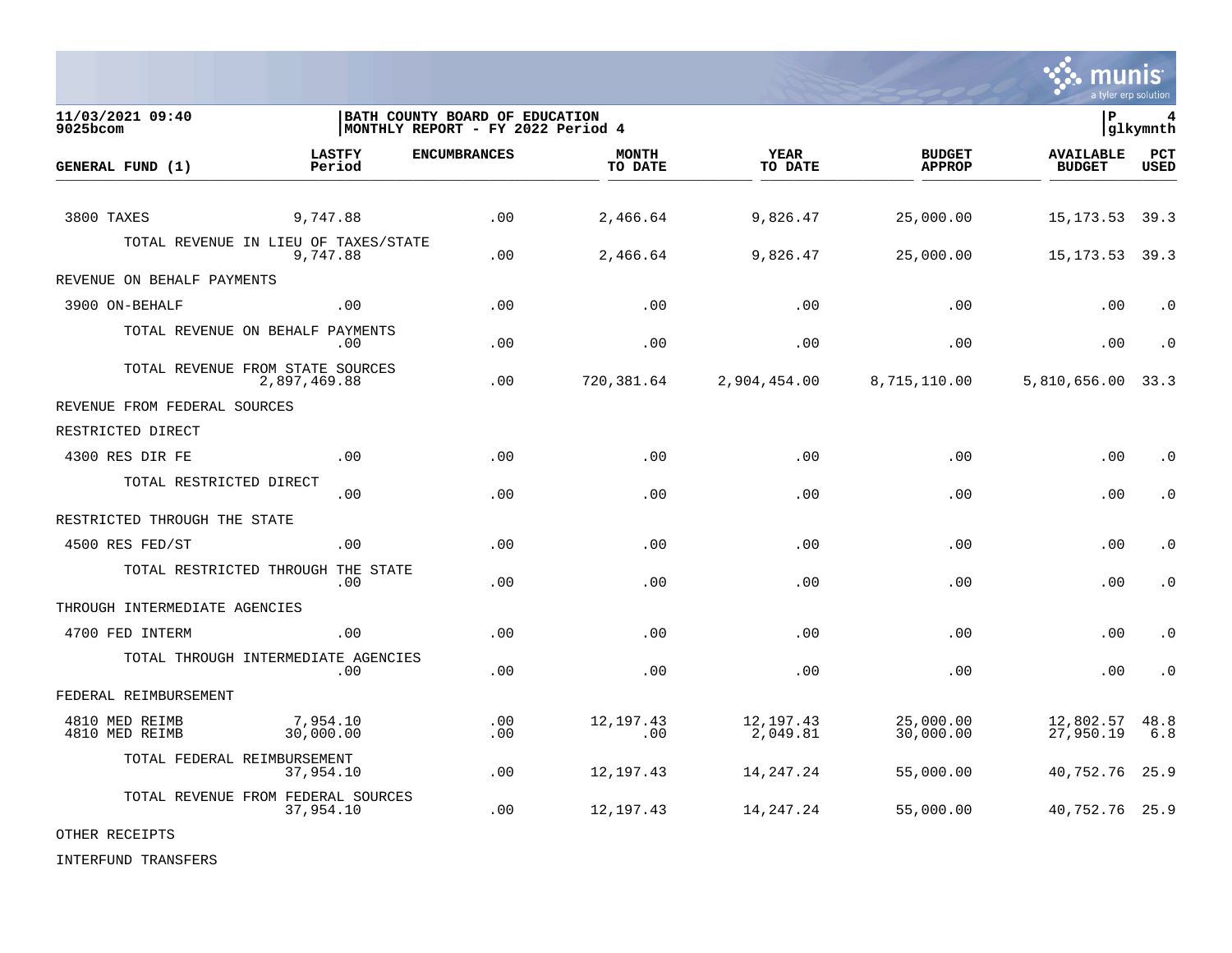

**11/03/2021 09:40 |BATH COUNTY BOARD OF EDUCATION |P 4** MONTHLY REPORT - FY 2022 Period 4 **LASTFY ENCUMBRANCES MONTH YEAR BUDGET AVAILABLE PCT GENERAL FUND (1)** TO DATE THE RELIGION CONDUCT TO DATE THE RELIGION CONDUCT TO DATE THE RELIGION OF THE RELIGION OF THE RELIGION OF THE RELIGION OF THE RELIGION OF THE RELIGION OF THE RELIGION OF THE RELIGION OF THE RELIGION OF THE RELIGION 3800 TAXES 9,747.88 .00 2,466.64 9,826.47 25,000.00 15,173.53 39.3 TOTAL REVENUE IN LIEU OF TAXES/STATE<br>9.747.88 9,747.88 .00 2,466.64 9,826.47 25,000.00 15,173.53 39.3 REVENUE ON BEHALF PAYMENTS 3900 ON-BEHALF .00 .00 .00 .00 .00 .00 .0 TOTAL REVENUE ON BEHALF PAYMENTS .00 .00 .00 .00 .00 .00 .0 TOTAL REVENUE FROM STATE SOURCES 2,897,469.88 .00 720,381.64 2,904,454.00 8,715,110.00 5,810,656.00 33.3 REVENUE FROM FEDERAL SOURCES RESTRICTED DIRECT 4300 RES DIR FE .00 .00 .00 .00 .00 .00 .0 TOTAL RESTRICTED DIRECT .00 .00 .00 .00 .00 .00 .0 RESTRICTED THROUGH THE STATE 4500 RES FED/ST .00 .00 .00 .00 .00 .00 .0 TOTAL RESTRICTED THROUGH THE STATE .00 .00 .00 .00 .00 .00 .0 THROUGH INTERMEDIATE AGENCIES 4700 FED INTERM .00 .00 .00 .00 .00 .00 .0 TOTAL THROUGH INTERMEDIATE AGENCIES .00 .00 .00 .00 .00 .00 .0 FEDERAL REIMBURSEMENT 4810 MED REIMB 7,954.10 .00 12,197.43 12,197.43 25,000.00 12,802.57 48.8 4810 MED REIMB 30,000.00 .00 .00 2,049.81 30,000.00 27,950.19 6.8 TOTAL FEDERAL REIMBURSEMENT 37,954.10 .00 12,197.43 14,247.24 55,000.00 40,752.76 25.9 TOTAL REVENUE FROM FEDERAL SOURCES<br>37,954.10 37,954.10 .00 12,197.43 14,247.24 55,000.00 40,752.76 25.9

OTHER RECEIPTS

INTERFUND TRANSFERS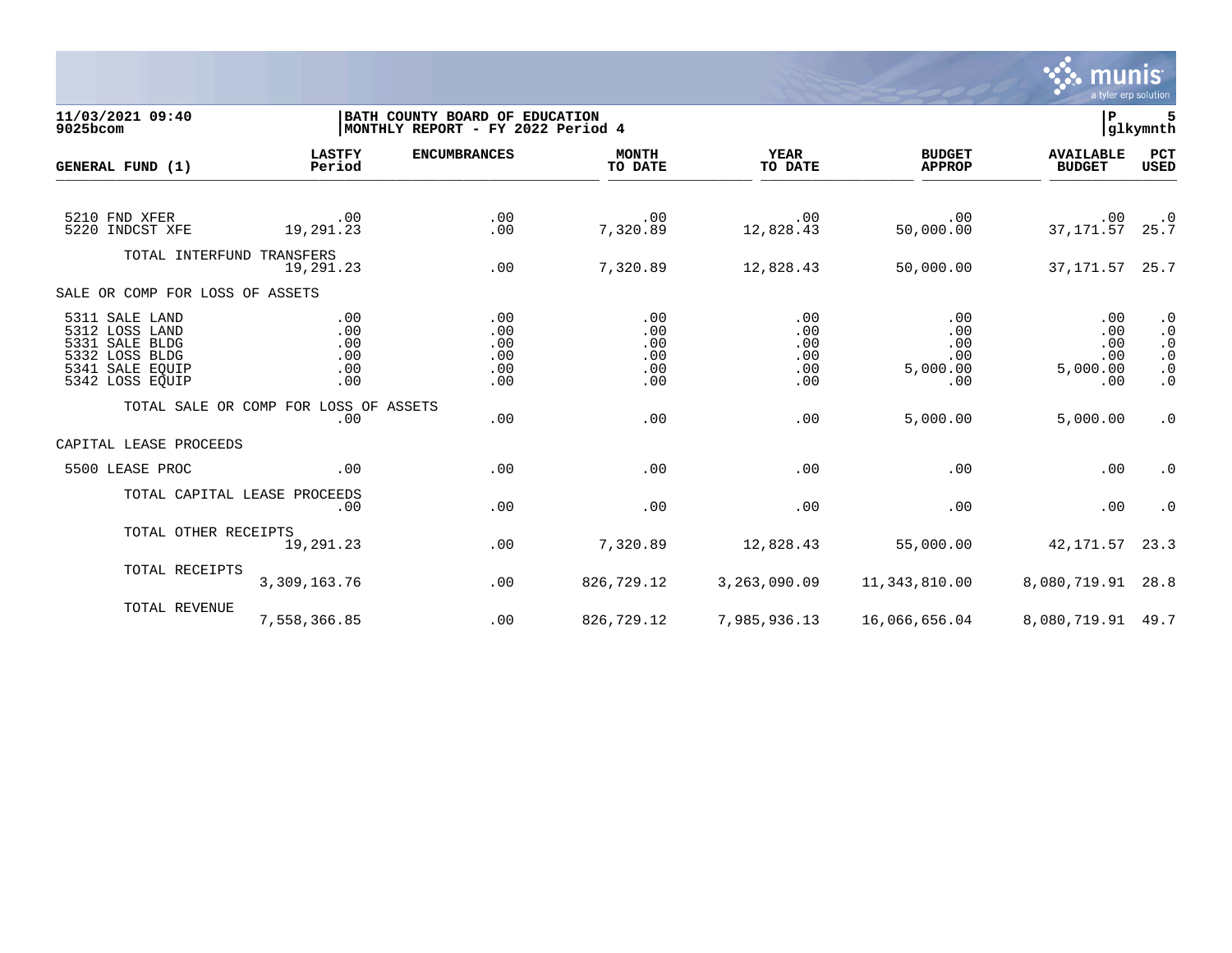

**11/03/2021 09:40 |BATH COUNTY BOARD OF EDUCATION |P 5 MONTHLY REPORT - FY 2022 Period 4 LASTFY ENCUMBRANCES MONTH YEAR BUDGET AVAILABLE PCT GENERAL FUND (1)** TO DATE THE RELIGION CONDUCT TO DATE THE RELIGION CONDUCT TO DATE THE RELIGION OF THE RELIGION OF THE RELIGION OF THE RELIGION OF THE RELIGION OF THE RELIGION OF THE RELIGION OF THE RELIGION OF THE RELIGION OF THE RELIGION 5210 FND XFER .00 .00 .00 .00 .00 .00 .0 5220 INDCST XFE 19,291.23 .00 7,320.89 12,828.43 50,000.00 37,171.57 25.7 TOTAL INTERFUND TRANSFERS<br>19.291.23 19,291.23 .00 7,320.89 12,828.43 50,000.00 37,171.57 25.7 SALE OR COMP FOR LOSS OF ASSETS 5311 SALE LAND .00 .00 .00 .00 .00 .00 .0 5312 LOSS LAND .00 .00 .00 .00 .00 .00 .0 5331 SALE BLDG .00 .00 .00 .00 .00 .00 .0 5332 LOSS BLDG .00 .00 .00 .00 .00 .00 .0 5341 SALE EQUIP .00 .00 .00 .00 5,000.00 5,000.00 .0 5342 LOSS EQUIP .00 .00 .00 .00 .00 .00 .0 TOTAL SALE OR COMP FOR LOSS OF ASSETS<br>.00 .00 .00 .00 .00 5,000.00 5,000.00 .0 CAPITAL LEASE PROCEEDS 5500 LEASE PROC .00 .00 .00 .00 .00 .00 .0 TOTAL CAPITAL LEASE PROCEEDS .00 .00 .00 .00 .00 .00 .0 TOTAL OTHER RECEIPTS 19,291.23 .00 7,320.89 12,828.43 55,000.00 42,171.57 23.3 TOTAL RECEIPTS 3,309,163.76 .00 826,729.12 3,263,090.09 11,343,810.00 8,080,719.91 28.8 TOTAL REVENUE 7,558,366.85 .00 826,729.12 7,985,936.13 16,066,656.04 8,080,719.91 49.7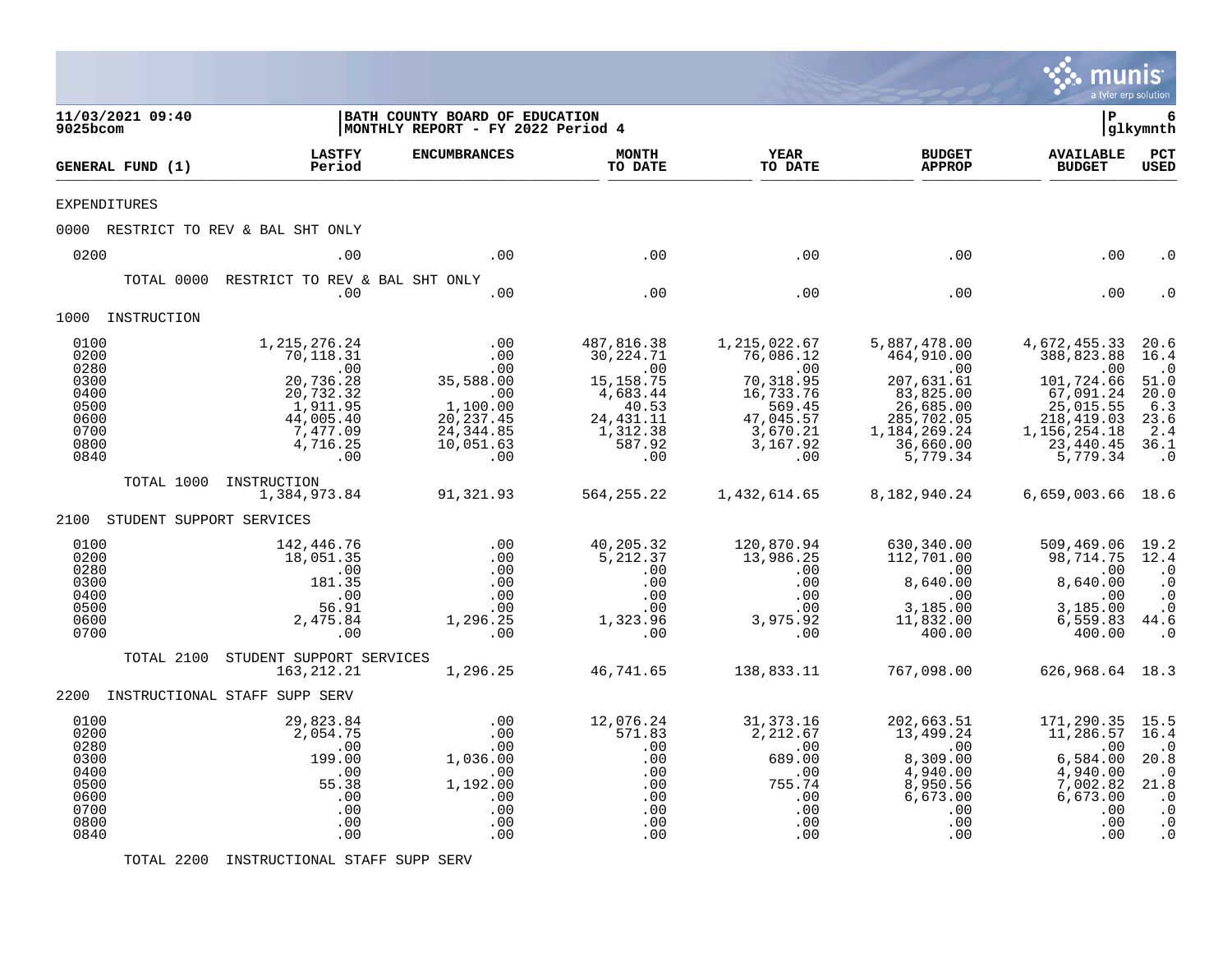|                                                                              |            |                                                                                                                         |                                                                                                   |                                                                                                               |                                                                                                                        |                                                                                                                                                  | munis<br>a tyler erp solution                                                                                                       |                                                                                                            |
|------------------------------------------------------------------------------|------------|-------------------------------------------------------------------------------------------------------------------------|---------------------------------------------------------------------------------------------------|---------------------------------------------------------------------------------------------------------------|------------------------------------------------------------------------------------------------------------------------|--------------------------------------------------------------------------------------------------------------------------------------------------|-------------------------------------------------------------------------------------------------------------------------------------|------------------------------------------------------------------------------------------------------------|
| 11/03/2021 09:40<br>$9025$ bcom                                              |            |                                                                                                                         | BATH COUNTY BOARD OF EDUCATION<br>MONTHLY REPORT - FY 2022 Period 4                               |                                                                                                               |                                                                                                                        |                                                                                                                                                  | l P                                                                                                                                 | 6<br> glkymnth                                                                                             |
| GENERAL FUND (1)                                                             |            | <b>LASTFY</b><br>Period                                                                                                 | <b>ENCUMBRANCES</b>                                                                               | <b>MONTH</b><br>TO DATE                                                                                       | <b>YEAR</b><br>TO DATE                                                                                                 | <b>BUDGET</b><br><b>APPROP</b>                                                                                                                   | <b>AVAILABLE</b><br><b>BUDGET</b>                                                                                                   | $_{\rm PCT}$<br><b>USED</b>                                                                                |
| <b>EXPENDITURES</b>                                                          |            |                                                                                                                         |                                                                                                   |                                                                                                               |                                                                                                                        |                                                                                                                                                  |                                                                                                                                     |                                                                                                            |
|                                                                              |            | 0000 RESTRICT TO REV & BAL SHT ONLY                                                                                     |                                                                                                   |                                                                                                               |                                                                                                                        |                                                                                                                                                  |                                                                                                                                     |                                                                                                            |
| 0200                                                                         |            | .00                                                                                                                     | .00                                                                                               | .00                                                                                                           | .00                                                                                                                    | .00                                                                                                                                              | .00                                                                                                                                 | . 0                                                                                                        |
|                                                                              | TOTAL 0000 | RESTRICT TO REV & BAL SHT ONLY<br>.00                                                                                   | .00                                                                                               | .00                                                                                                           | .00                                                                                                                    | .00                                                                                                                                              | .00                                                                                                                                 |                                                                                                            |
| 1000 INSTRUCTION                                                             |            |                                                                                                                         |                                                                                                   |                                                                                                               |                                                                                                                        |                                                                                                                                                  |                                                                                                                                     |                                                                                                            |
| 0100<br>0200<br>0280<br>0300<br>0400<br>0500<br>0600<br>0700<br>0800<br>0840 |            | 1, 215, 276. 24<br>70,118.31<br>.00<br>20,736.28<br>20, 732.32<br>1, 911.95<br>44,005.40<br>7,477.09<br>4,716.25<br>.00 | .00<br>.00<br>.00<br>35,588.00<br>.00<br>1,100.00<br>20, 237.45<br>24, 344.85<br>10,051.63<br>.00 | 487,816.38<br>30,224.71<br>.00<br>15, 158. 75<br>4,683.44<br>40.53<br>24, 431.11<br>1,312.38<br>587.92<br>.00 | 1,215,022.67<br>76,086.12<br>$\sim 00$<br>70,318.95<br>16,733.76<br>569.45<br>47,045.57<br>3,670.21<br>3,167.92<br>.00 | 5,887,478.00<br>464,910.00<br>$\overline{00}$<br>207,631.61<br>$83,825.00$<br>26,685.00<br>285,702.05<br>1, 184, 269.24<br>36,660.00<br>5,779.34 | 4,672,455.33<br>388,823.88<br>.00<br>101,724.66<br>67,091.24<br>25,015.55<br>218,419.03<br>1, 156, 254. 18<br>23,440.45<br>5,779.34 | 20.6<br>16.4<br>$\cdot$ 0<br>51.0<br>20.0<br>6.3<br>23.6<br>2.4<br>36.1<br>$\cdot$ 0                       |
|                                                                              | TOTAL 1000 | INSTRUCTION<br>1,384,973.84                                                                                             | 91,321.93                                                                                         | 564, 255. 22                                                                                                  | 1,432,614.65                                                                                                           | 8,182,940.24                                                                                                                                     | 6,659,003.66 18.6                                                                                                                   |                                                                                                            |
| 2100                                                                         |            | STUDENT SUPPORT SERVICES                                                                                                |                                                                                                   |                                                                                                               |                                                                                                                        |                                                                                                                                                  |                                                                                                                                     |                                                                                                            |
| 0100<br>0200<br>0280<br>0300<br>0400<br>0500<br>0600<br>0700                 |            | 142,446.76<br>18,051.35<br>.00<br>181.35<br>.00<br>56.91<br>2,475.84<br>.00                                             | .00<br>.00<br>.00<br>.00<br>.00<br>.00<br>1,296.25<br>.00                                         | 40,205.32<br>5,212.37<br>.00<br>.00<br>.00<br>.00<br>1,323.96<br>.00                                          | 120,870.94<br>13,986.25<br>.00<br>.00<br>.00<br>.00<br>3,975.92<br>.00                                                 | 630,340.00<br>112,701.00<br>$\overline{00}$<br>8,640.00<br>.00<br>3,185.00<br>11,832.00<br>400.00                                                | 509,469.06<br>98,714.75<br>.00<br>8,640.00<br>.00<br>3,185.00<br>6,559.83<br>400.00                                                 | 19.2<br>12.4<br>$\cdot$ 0<br>$\cdot$ 0<br>$\cdot$ 0<br>$\cdot$ 0<br>44.6<br>$\cdot$ 0                      |
|                                                                              | TOTAL 2100 | STUDENT SUPPORT SERVICES<br>163, 212. 21                                                                                | 1,296.25                                                                                          | 46,741.65                                                                                                     | 138,833.11                                                                                                             | 767,098.00                                                                                                                                       | 626,968.64 18.3                                                                                                                     |                                                                                                            |
|                                                                              |            | 2200 INSTRUCTIONAL STAFF SUPP SERV                                                                                      |                                                                                                   |                                                                                                               |                                                                                                                        |                                                                                                                                                  |                                                                                                                                     |                                                                                                            |
| 0100<br>0200<br>0280<br>0300<br>0400<br>0500<br>0600<br>0700<br>0800<br>0840 |            | 29,823.84<br>2,054.75<br>.00<br>199.00<br>.00<br>55.38<br>.00<br>.00<br>.00<br>.00                                      | .00<br>.00<br>.00<br>1,036.00<br>.00<br>1,192.00<br>.00<br>.00<br>.00<br>.00                      | 12,076.24<br>571.83<br>.00<br>.00<br>.00<br>.00<br>.00<br>.00<br>.00<br>.00                                   | 31, 373. 16<br>2,212.67<br>.00<br>689.00<br>.00<br>755.74<br>.00<br>.00<br>.00<br>.00                                  | 202,663.51<br>13,499.24<br>.00<br>8,309.00<br>4,940.00<br>8,950.56<br>6,673.00<br>.00<br>.00<br>.00                                              | 171,290.35<br>11,286.57<br>.00<br>6,584.00<br>4,940.00<br>7,002.82<br>6,673.00<br>.00<br>.00<br>.00                                 | 15.5<br>16.4<br>$\cdot$ 0<br>20.8<br>$\cdot$ 0<br>21.8<br>$\cdot$ 0<br>$\cdot$ 0<br>$\cdot$ 0<br>$\cdot$ 0 |

TOTAL 2200 INSTRUCTIONAL STAFF SUPP SERV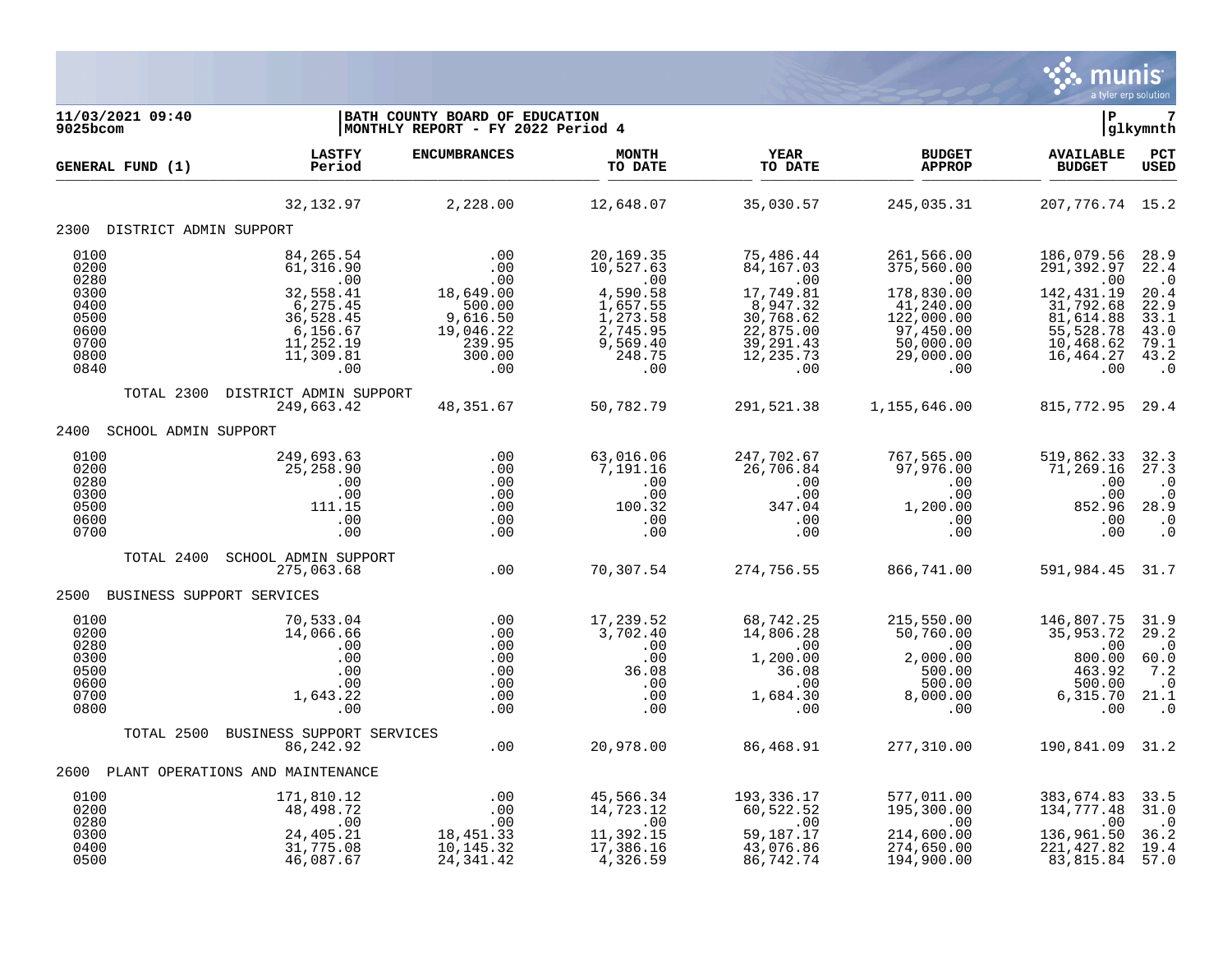

| 11/03/2021 09:40<br>9025bcom                                 |                                                                       | BATH COUNTY BOARD OF EDUCATION<br>MONTHLY REPORT - FY 2022 Period 4 |                                                                   |                                                                              |                                                                                   | l P                                                                             | 7<br> glkymnth                                                                                     |
|--------------------------------------------------------------|-----------------------------------------------------------------------|---------------------------------------------------------------------|-------------------------------------------------------------------|------------------------------------------------------------------------------|-----------------------------------------------------------------------------------|---------------------------------------------------------------------------------|----------------------------------------------------------------------------------------------------|
| GENERAL FUND (1)                                             | <b>LASTFY</b><br>Period                                               | <b>ENCUMBRANCES</b>                                                 | MONTH<br>TO DATE                                                  | YEAR<br>TO DATE                                                              | <b>BUDGET</b><br><b>APPROP</b>                                                    | <b>AVAILABLE</b><br><b>BUDGET</b>                                               | PCT<br><b>USED</b>                                                                                 |
|                                                              | 32, 132.97                                                            | 2,228.00                                                            | 12,648.07                                                         | 35,030.57                                                                    | 245,035.31                                                                        | 207, 776. 74 15. 2                                                              |                                                                                                    |
| 2300 DISTRICT ADMIN SUPPORT                                  |                                                                       |                                                                     |                                                                   |                                                                              |                                                                                   |                                                                                 |                                                                                                    |
| 0100<br>0200<br>0280<br>0300<br>0400<br>0500                 | 84,265.54<br>61,316.90<br>.00<br>32,558.41<br>6, 275.45<br>36,528.45  | .00<br>$.00 \,$<br>.00<br>18,649.00<br>500.00<br>9,616.50           | 20,169.35<br>10,527.63<br>.00<br>4,590.58<br>1,657.55<br>1,273.58 | 75,486.44<br>84, 167.03<br>.00<br>17,749.81<br>8,947.32<br>30,768.62         | 261,566.00<br>375,560.00<br>.00<br>178,830.00<br>41,240.00<br>122,000.00          | 186,079.56<br>291,392.97<br>.00<br>142, 431.19<br>31,792.68<br>81,614.88        | 28.9<br>22.4<br>$\cdot$ 0<br>20.4<br>22.9<br>33.1                                                  |
| 0600<br>0700<br>0800<br>0840                                 | $6,156.67$<br>11,252.19<br>11,309.81<br>.00                           | 19,046.22<br>239.95<br>300.00<br>.00                                | 2,745.95<br>9,569.40<br>248.75<br>.00                             | 22,875.00<br>39, 291.43<br>12, 235.73<br>.00                                 | 97,450.00<br>50,000.00<br>29,000.00<br>.00                                        | 55,528.78<br>10,468.62<br>16,464.27<br>.00                                      | 43.0<br>79.1<br>43.2<br>$\cdot$ 0                                                                  |
| TOTAL 2300                                                   | DISTRICT ADMIN SUPPORT<br>249,663.42                                  | 48,351.67                                                           | 50,782.79                                                         | 291,521.38                                                                   | 1,155,646.00                                                                      | 815, 772.95 29.4                                                                |                                                                                                    |
| 2400<br>SCHOOL ADMIN SUPPORT                                 |                                                                       |                                                                     |                                                                   |                                                                              |                                                                                   |                                                                                 |                                                                                                    |
| 0100<br>0200<br>0280<br>0300<br>0500<br>0600<br>0700         | 249,693.63<br>25, 258.90<br>.00<br>.00<br>111.15<br>.00<br>.00        | .00<br>.00<br>.00<br>.00<br>.00<br>.00<br>.00                       | 63,016.06<br>7,191.16<br>.00<br>.00<br>100.32<br>.00<br>.00       | 247,702.67<br>26,706.84<br>.00<br>.00<br>347.04<br>.00<br>.00                | 767,565.00<br>97,976.00<br>.00<br>.00<br>1,200.00<br>.00<br>.00                   | 519,862.33<br>71,269.16<br>.00<br>.00<br>852.96<br>.00<br>.00                   | 32.3<br>27.3<br>$\cdot$ 0<br>$\boldsymbol{\cdot}$ 0<br>28.9<br>$\boldsymbol{\cdot}$ 0<br>$\cdot$ 0 |
| TOTAL 2400                                                   | SCHOOL ADMIN SUPPORT<br>275,063.68                                    | .00                                                                 | 70,307.54                                                         | 274,756.55                                                                   | 866,741.00                                                                        | 591,984.45 31.7                                                                 |                                                                                                    |
| 2500 BUSINESS SUPPORT SERVICES                               |                                                                       |                                                                     |                                                                   |                                                                              |                                                                                   |                                                                                 |                                                                                                    |
| 0100<br>0200<br>0280<br>0300<br>0500<br>0600<br>0700<br>0800 | 70,533.04<br>14,066.66<br>.00<br>.00<br>.00<br>.00<br>1,643.22<br>.00 | .00<br>.00<br>.00<br>.00<br>.00<br>.00<br>.00<br>.00                | 17,239.52<br>3,702.40<br>.00<br>.00<br>36.08<br>.00<br>.00<br>.00 | 68,742.25<br>14,806.28<br>.00<br>1,200.00<br>36.08<br>.00<br>1,684.30<br>.00 | 215,550.00<br>50,760.00<br>.00<br>2,000.00<br>500.00<br>500.00<br>8,000.00<br>.00 | 146,807.75<br>35,953.72<br>.00<br>800.00<br>463.92<br>500.00<br>6,315.70<br>.00 | 31.9<br>29.2<br>$\cdot$ 0<br>60.0<br>7.2<br>$\cdot$ 0<br>21.1<br>$\cdot$ 0                         |
|                                                              | TOTAL 2500 BUSINESS SUPPORT SERVICES<br>86,242.92                     | .00                                                                 | 20,978.00                                                         | 86,468.91                                                                    | 277,310.00                                                                        | 190,841.09 31.2                                                                 |                                                                                                    |
| 2600                                                         | PLANT OPERATIONS AND MAINTENANCE                                      |                                                                     |                                                                   |                                                                              |                                                                                   |                                                                                 |                                                                                                    |
| 0100                                                         | 171,810.12                                                            | .00                                                                 | 45,566.34                                                         | 193,336.17                                                                   | 577,011.00                                                                        |                                                                                 | 33.5                                                                                               |
| 0200<br>0280<br>0300<br>0400<br>0500                         | 48,498.72<br>.00<br>24,405.21<br>31,775.08<br>46,087.67               | .00<br>.00<br>18,451.33<br>10, 145.32<br>24, 341.42                 | 14,723.12<br>.00<br>11,392.15<br>17,386.16<br>4,326.59            | 60,522.52<br>.00<br>59,187.17<br>43,076.86<br>86,742.74                      | 195,300.00<br>.00<br>214,600.00<br>274,650.00<br>194,900.00                       | 383,674.83<br>134,777.48<br>.00<br>136,961.50<br>221, 427.82<br>83,815.84       | 31.0<br>$\cdot$ 0<br>36.2<br>19.4<br>57.0                                                          |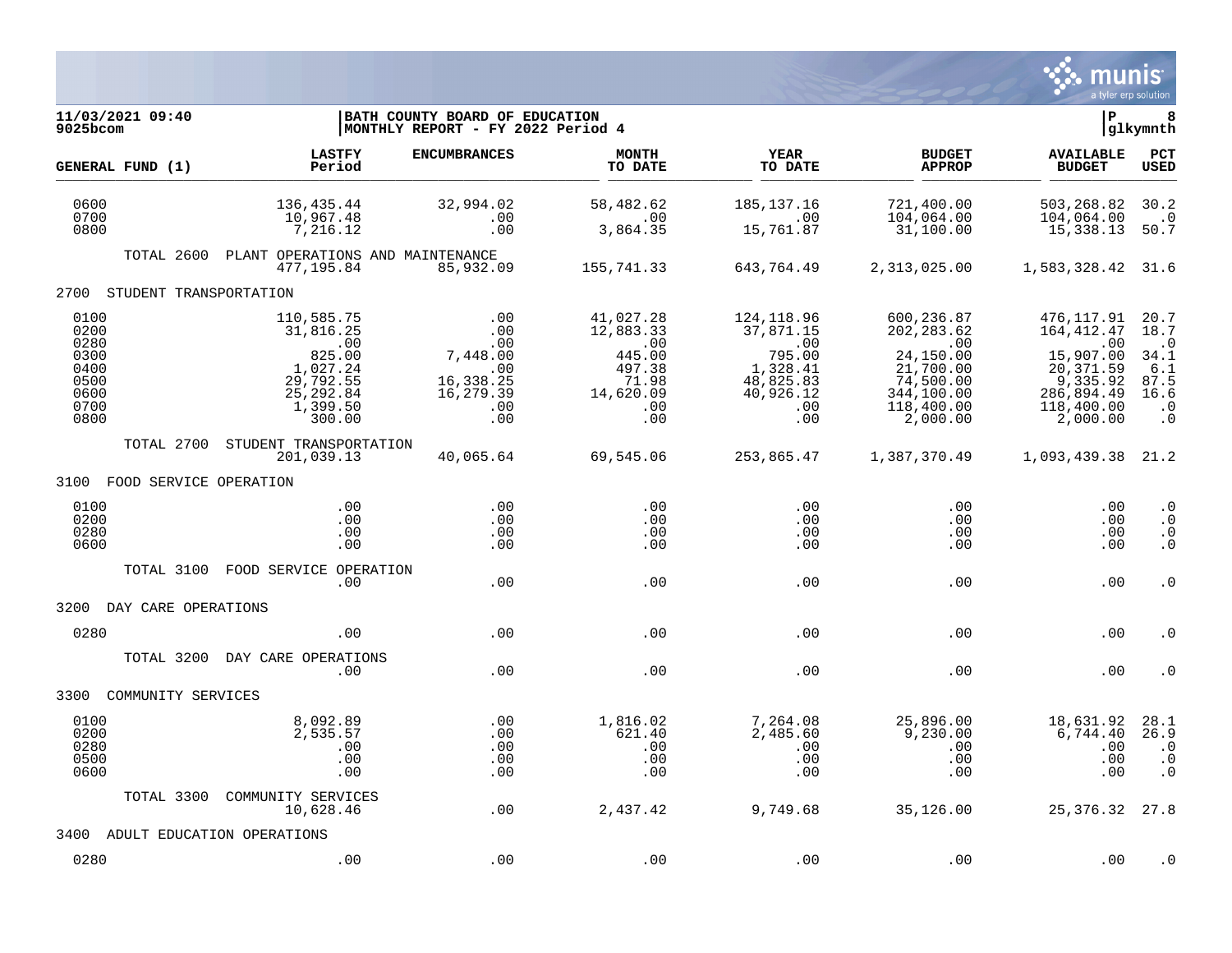

| 11/03/2021 09:40<br>9025bcom                                         |                                                                                                       | BATH COUNTY BOARD OF EDUCATION<br>MONTHLY REPORT - FY 2022 Period 4          |                                                                                       |                                                                                                    |                                                                                                                 | ΙP                                                                                                              | 8<br> glkymnth                                                                     |
|----------------------------------------------------------------------|-------------------------------------------------------------------------------------------------------|------------------------------------------------------------------------------|---------------------------------------------------------------------------------------|----------------------------------------------------------------------------------------------------|-----------------------------------------------------------------------------------------------------------------|-----------------------------------------------------------------------------------------------------------------|------------------------------------------------------------------------------------|
| GENERAL FUND (1)                                                     | <b>LASTFY</b><br>Period                                                                               | <b>ENCUMBRANCES</b>                                                          | <b>MONTH</b><br>TO DATE                                                               | YEAR<br>TO DATE                                                                                    | <b>BUDGET</b><br><b>APPROP</b>                                                                                  | <b>AVAILABLE</b><br><b>BUDGET</b>                                                                               | PCT<br><b>USED</b>                                                                 |
| 0600<br>0700<br>0800                                                 | 136,435.44<br>10,967.48<br>7,216.12                                                                   | 32,994.02<br>.00<br>.00                                                      | 58,482.62<br>.00<br>3,864.35                                                          | 185, 137. 16<br>.00<br>15,761.87                                                                   | 721,400.00<br>104,064.00<br>31,100.00                                                                           | 503,268.82<br>104,064.00<br>15,338.13                                                                           | 30.2<br>$\cdot$ 0<br>50.7                                                          |
| TOTAL 2600                                                           | PLANT OPERATIONS AND MAINTENANCE<br>477.195.84                                                        | 85,932.09                                                                    | 155,741.33                                                                            | 643,764.49                                                                                         | 2,313,025.00                                                                                                    | 1,583,328.42 31.6                                                                                               |                                                                                    |
| STUDENT TRANSPORTATION<br>2700                                       |                                                                                                       |                                                                              |                                                                                       |                                                                                                    |                                                                                                                 |                                                                                                                 |                                                                                    |
| 0100<br>0200<br>0280<br>0300<br>0400<br>0500<br>0600<br>0700<br>0800 | 110,585.75<br>31,816.25<br>.00<br>825.00<br>1,027.24<br>29,792.55<br>25, 292.84<br>1,399.50<br>300.00 | .00<br>.00<br>.00<br>7,448.00<br>.00<br>16,338.25<br>16,279.39<br>.00<br>.00 | 41,027.28<br>12,883.33<br>.00<br>445.00<br>497.38<br>71.98<br>14,620.09<br>.00<br>.00 | 124,118.96<br>37,871.15<br>$\,.\,00$<br>795.00<br>1,328.41<br>48,825.83<br>40,926.12<br>.00<br>.00 | 600,236.87<br>202, 283.62<br>.00<br>24,150.00<br>21,700.00<br>74,500.00<br>344,100.00<br>118,400.00<br>2,000.00 | 476,117.91<br>164, 412.47<br>.00<br>15,907.00<br>20, 371.59<br>9,335.92<br>286,894.49<br>118,400.00<br>2,000.00 | 20.7<br>18.7<br>$\cdot$ 0<br>34.1<br>6.1<br>87.5<br>16.6<br>$\cdot$ 0<br>$\cdot$ 0 |
| TOTAL 2700                                                           | STUDENT TRANSPORTATION<br>201,039.13                                                                  | 40,065.64                                                                    | 69,545.06                                                                             | 253,865.47                                                                                         | 1,387,370.49                                                                                                    | 1,093,439.38                                                                                                    | 21.2                                                                               |
| 3100 FOOD SERVICE OPERATION                                          |                                                                                                       |                                                                              |                                                                                       |                                                                                                    |                                                                                                                 |                                                                                                                 |                                                                                    |
| 0100<br>0200<br>0280<br>0600                                         | .00<br>.00<br>.00<br>.00                                                                              | .00<br>.00<br>.00<br>.00                                                     | .00<br>.00<br>.00<br>.00                                                              | .00<br>.00<br>.00<br>.00                                                                           | .00<br>.00<br>.00<br>.00                                                                                        | .00<br>.00<br>.00<br>.00                                                                                        | $\cdot$ 0<br>$\cdot$ 0<br>$\cdot$ 0<br>$\cdot$ 0                                   |
| TOTAL 3100                                                           | FOOD SERVICE OPERATION<br>.00                                                                         | .00                                                                          | .00                                                                                   | .00                                                                                                | .00                                                                                                             | .00                                                                                                             | $\cdot$ 0                                                                          |
| 3200<br>DAY CARE OPERATIONS                                          |                                                                                                       |                                                                              |                                                                                       |                                                                                                    |                                                                                                                 |                                                                                                                 |                                                                                    |
| 0280                                                                 | .00                                                                                                   | .00                                                                          | .00                                                                                   | .00                                                                                                | .00                                                                                                             | .00                                                                                                             | . 0                                                                                |
| TOTAL 3200                                                           | DAY CARE OPERATIONS<br>.00                                                                            | .00                                                                          | .00                                                                                   | .00                                                                                                | .00                                                                                                             | .00                                                                                                             | . 0                                                                                |
| 3300<br>COMMUNITY SERVICES                                           |                                                                                                       |                                                                              |                                                                                       |                                                                                                    |                                                                                                                 |                                                                                                                 |                                                                                    |
| 0100<br>0200<br>0280<br>0500<br>0600                                 | 8,092.89<br>2,535.57<br>.00<br>.00<br>.00                                                             | .00<br>.00<br>.00<br>.00<br>.00                                              | 1,816.02<br>621.40<br>.00<br>.00<br>.00                                               | 7,264.08<br>2,485.60<br>.00<br>.00<br>.00                                                          | 25,896.00<br>9,230.00<br>.00<br>.00<br>.00                                                                      | 18,631.92<br>6,744.40<br>.00<br>.00<br>.00                                                                      | 28.1<br>26.9<br>$\cdot$ 0<br>$\cdot$ 0<br>$\cdot$ 0                                |
| TOTAL 3300                                                           | COMMUNITY SERVICES<br>10,628.46                                                                       | .00                                                                          | 2,437.42                                                                              | 9,749.68                                                                                           | 35,126.00                                                                                                       | 25, 376. 32 27.8                                                                                                |                                                                                    |
| 3400                                                                 | ADULT EDUCATION OPERATIONS                                                                            |                                                                              |                                                                                       |                                                                                                    |                                                                                                                 |                                                                                                                 |                                                                                    |
| 0280                                                                 | .00                                                                                                   | .00                                                                          | .00                                                                                   | .00                                                                                                | .00                                                                                                             | .00                                                                                                             | $\cdot$ 0                                                                          |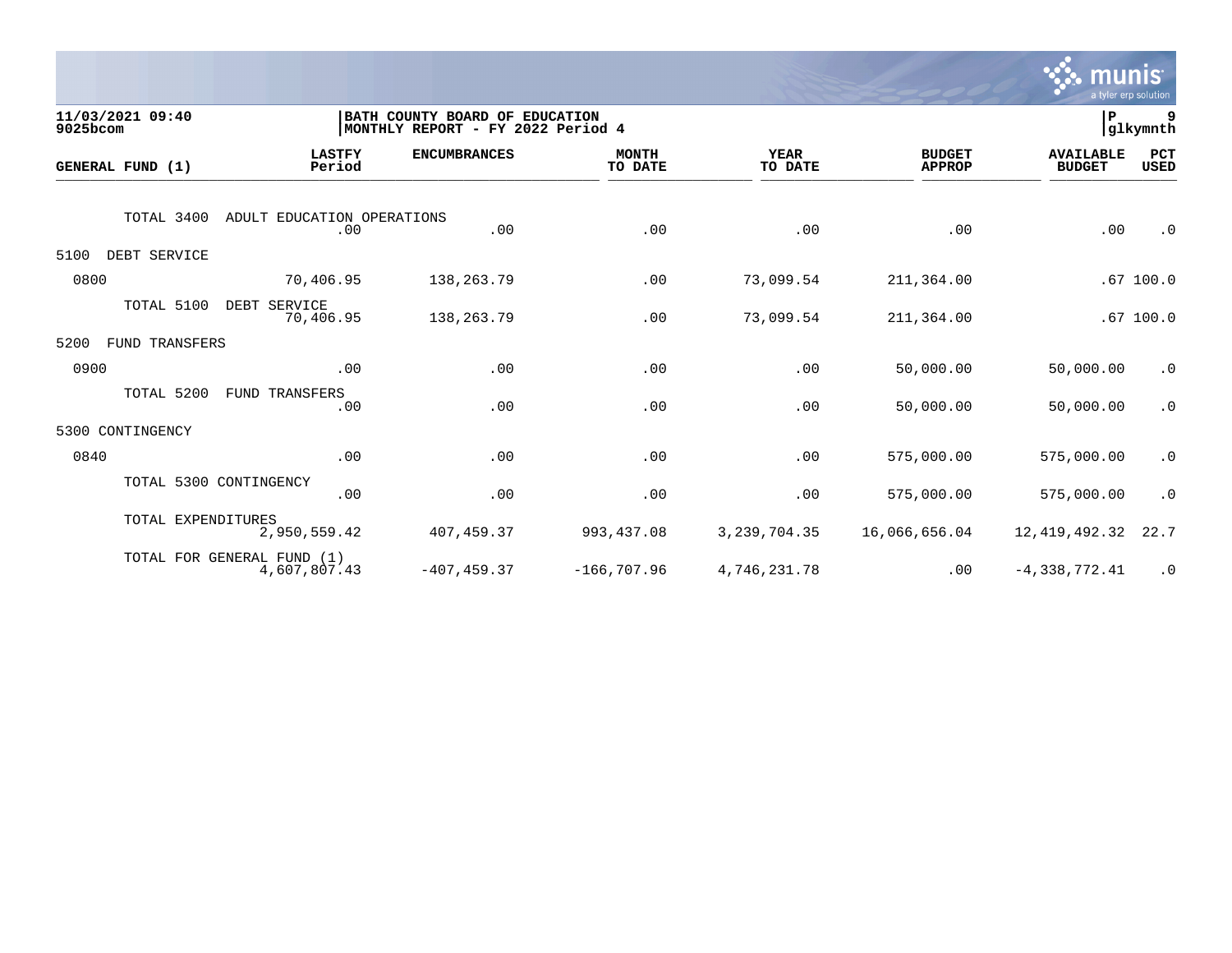

| 9025bcom | 11/03/2021 09:40       |                                            | BATH COUNTY BOARD OF EDUCATION<br>MONTHLY REPORT - FY 2022 Period 4 |                         |                 |                                |                                   | glkymnth           |
|----------|------------------------|--------------------------------------------|---------------------------------------------------------------------|-------------------------|-----------------|--------------------------------|-----------------------------------|--------------------|
|          | GENERAL FUND (1)       | <b>LASTFY</b><br>Period                    | <b>ENCUMBRANCES</b>                                                 | <b>MONTH</b><br>TO DATE | YEAR<br>TO DATE | <b>BUDGET</b><br><b>APPROP</b> | <b>AVAILABLE</b><br><b>BUDGET</b> | PCT<br><b>USED</b> |
|          | TOTAL 3400             | ADULT EDUCATION OPERATIONS                 |                                                                     |                         |                 |                                |                                   |                    |
|          |                        | .00                                        | .00                                                                 | .00                     | .00             | .00                            | .00                               | $\cdot$ 0          |
| 5100     | DEBT SERVICE           |                                            |                                                                     |                         |                 |                                |                                   |                    |
| 0800     |                        | 70,406.95                                  | 138,263.79                                                          | .00                     | 73,099.54       | 211,364.00                     |                                   | .67100.0           |
|          | TOTAL 5100             | DEBT SERVICE<br>70,406.95                  | 138,263.79                                                          | .00                     | 73,099.54       | 211,364.00                     |                                   | .67100.0           |
| 5200     | <b>FUND TRANSFERS</b>  |                                            |                                                                     |                         |                 |                                |                                   |                    |
| 0900     |                        | .00                                        | .00                                                                 | .00                     | .00             | 50,000.00                      | 50,000.00                         | $\cdot$ 0          |
|          | TOTAL 5200             | FUND TRANSFERS<br>.00                      | .00                                                                 | .00                     | .00             | 50,000.00                      | 50,000.00                         | $\cdot$ 0          |
|          | 5300 CONTINGENCY       |                                            |                                                                     |                         |                 |                                |                                   |                    |
| 0840     |                        | .00                                        | .00                                                                 | .00                     | .00             | 575,000.00                     | 575,000.00                        | $\cdot$ 0          |
|          | TOTAL 5300 CONTINGENCY | .00                                        | .00                                                                 | .00                     | .00             | 575,000.00                     | 575,000.00                        | $\cdot$ 0          |
|          | TOTAL EXPENDITURES     | 2,950,559.42                               | 407, 459.37                                                         | 993, 437.08             | 3, 239, 704.35  | 16,066,656.04                  | 12, 419, 492.32                   | 22.7               |
|          |                        | TOTAL FOR GENERAL FUND (1)<br>4,607,807.43 | $-407, 459.37$                                                      | $-166,707.96$           | 4,746,231.78    | .00                            | $-4,338,772.41$                   | $\cdot$ 0          |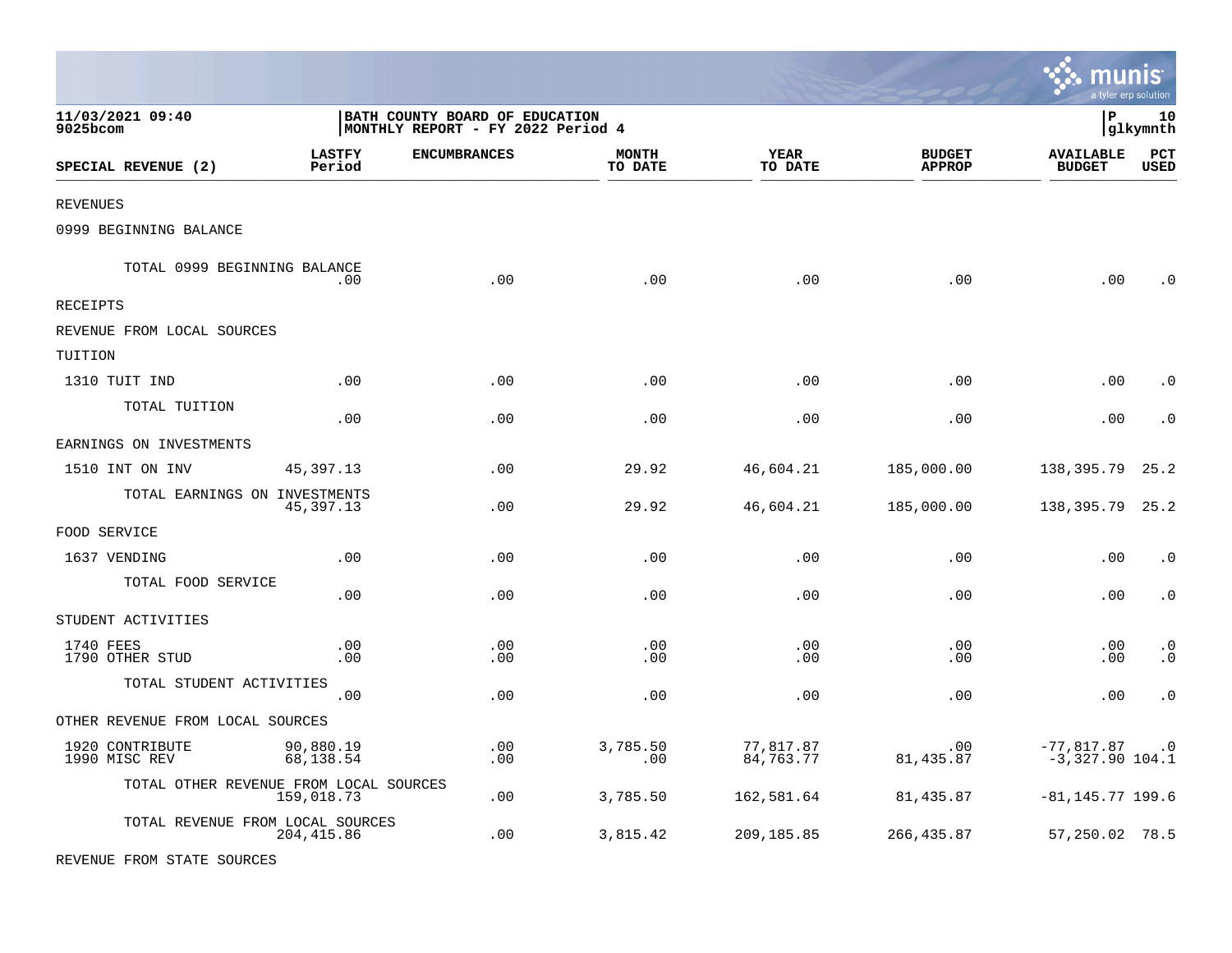|                                        |                         |                                                                     |                         |                        |                                |                                      | a tyler erp solution   |
|----------------------------------------|-------------------------|---------------------------------------------------------------------|-------------------------|------------------------|--------------------------------|--------------------------------------|------------------------|
| 11/03/2021 09:40<br>9025bcom           |                         | BATH COUNTY BOARD OF EDUCATION<br>MONTHLY REPORT - FY 2022 Period 4 |                         |                        |                                | lР                                   | 10<br> glkymnth        |
| SPECIAL REVENUE (2)                    | <b>LASTFY</b><br>Period | <b>ENCUMBRANCES</b>                                                 | <b>MONTH</b><br>TO DATE | YEAR<br>TO DATE        | <b>BUDGET</b><br><b>APPROP</b> | <b>AVAILABLE</b><br><b>BUDGET</b>    | PCT<br><b>USED</b>     |
| REVENUES                               |                         |                                                                     |                         |                        |                                |                                      |                        |
| 0999 BEGINNING BALANCE                 |                         |                                                                     |                         |                        |                                |                                      |                        |
| TOTAL 0999 BEGINNING BALANCE           | .00                     | .00                                                                 | .00                     | .00                    | .00                            | .00                                  | . 0                    |
| RECEIPTS                               |                         |                                                                     |                         |                        |                                |                                      |                        |
| REVENUE FROM LOCAL SOURCES             |                         |                                                                     |                         |                        |                                |                                      |                        |
| TUITION                                |                         |                                                                     |                         |                        |                                |                                      |                        |
| 1310 TUIT IND                          | .00                     | .00                                                                 | .00                     | .00                    | .00                            | .00                                  | . 0                    |
| TOTAL TUITION                          | .00                     | .00                                                                 | .00                     | .00                    | .00                            | .00                                  | . 0                    |
| EARNINGS ON INVESTMENTS                |                         |                                                                     |                         |                        |                                |                                      |                        |
| 1510 INT ON INV                        | 45, 397. 13             | .00                                                                 | 29.92                   | 46,604.21              | 185,000.00                     | 138,395.79                           | 25.2                   |
| TOTAL EARNINGS ON INVESTMENTS          | 45,397.13               | .00                                                                 | 29.92                   | 46,604.21              | 185,000.00                     | 138, 395. 79 25. 2                   |                        |
| FOOD SERVICE                           |                         |                                                                     |                         |                        |                                |                                      |                        |
| 1637 VENDING                           | .00                     | $.00 \,$                                                            | .00                     | .00                    | .00                            | .00                                  | $\cdot$ 0              |
| TOTAL FOOD SERVICE                     | .00                     | .00                                                                 | .00                     | .00                    | .00                            | .00                                  | $\cdot$ 0              |
| STUDENT ACTIVITIES                     |                         |                                                                     |                         |                        |                                |                                      |                        |
| 1740 FEES<br>1790 OTHER STUD           | .00<br>.00              | $.00 \,$<br>$.00 \,$                                                | .00<br>.00              | .00<br>.00             | .00<br>.00                     | .00<br>.00                           | $\cdot$ 0<br>$\cdot$ 0 |
| TOTAL STUDENT ACTIVITIES               | .00                     | .00                                                                 | .00                     | .00                    | .00                            | .00                                  | $\cdot$ 0              |
| OTHER REVENUE FROM LOCAL SOURCES       |                         |                                                                     |                         |                        |                                |                                      |                        |
| 1920 CONTRIBUTE<br>1990 MISC REV       | 90,880.19<br>68,138.54  | .00<br>.00                                                          | 3,785.50<br>.00         | 77,817.87<br>84,763.77 | .00<br>81, 435.87              | $-77,817.87$ .0<br>$-3,327.90 104.1$ |                        |
| TOTAL OTHER REVENUE FROM LOCAL SOURCES | 159,018.73              | .00                                                                 | 3,785.50                | 162,581.64             | 81,435.87                      | $-81, 145.77$ 199.6                  |                        |
| TOTAL REVENUE FROM LOCAL SOURCES       | 204, 415.86             | $.00 \,$                                                            | 3,815.42                | 209,185.85             | 266, 435.87                    | 57,250.02 78.5                       |                        |
| REVENUE FROM STATE SOURCES             |                         |                                                                     |                         |                        |                                |                                      |                        |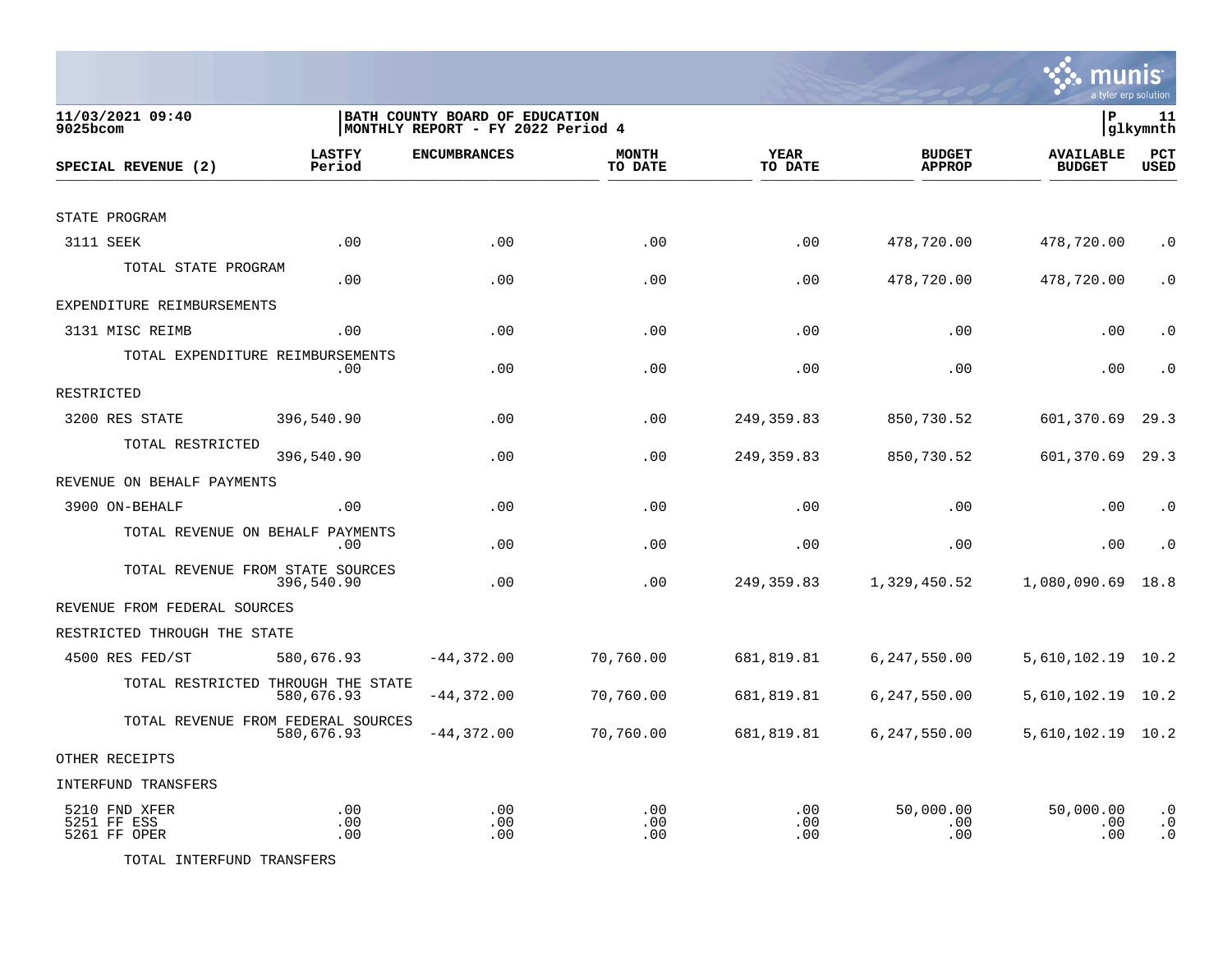

| 11/03/2021 09:40<br>9025bcom                 | BATH COUNTY BOARD OF EDUCATION<br>MONTHLY REPORT - FY 2022 Period 4 |                     |                         | lР<br> glkymnth        |                                |                                   |                                     |  |
|----------------------------------------------|---------------------------------------------------------------------|---------------------|-------------------------|------------------------|--------------------------------|-----------------------------------|-------------------------------------|--|
| SPECIAL REVENUE (2)                          | <b>LASTFY</b><br>Period                                             | <b>ENCUMBRANCES</b> | <b>MONTH</b><br>TO DATE | <b>YEAR</b><br>TO DATE | <b>BUDGET</b><br><b>APPROP</b> | <b>AVAILABLE</b><br><b>BUDGET</b> | <b>PCT</b><br><b>USED</b>           |  |
|                                              |                                                                     |                     |                         |                        |                                |                                   |                                     |  |
| STATE PROGRAM                                |                                                                     |                     |                         |                        |                                |                                   |                                     |  |
| 3111 SEEK                                    | .00                                                                 | .00                 | .00                     | .00                    | 478,720.00                     | 478,720.00                        | $\cdot$ 0                           |  |
| TOTAL STATE PROGRAM                          | .00                                                                 | .00                 | .00                     | .00                    | 478,720.00                     | 478,720.00                        | $\cdot$ 0                           |  |
| EXPENDITURE REIMBURSEMENTS                   |                                                                     |                     |                         |                        |                                |                                   |                                     |  |
| 3131 MISC REIMB                              | .00                                                                 | .00                 | .00                     | .00                    | .00                            | .00                               | $\cdot$ 0                           |  |
| TOTAL EXPENDITURE REIMBURSEMENTS             | $.00 \,$                                                            | .00                 | .00                     | .00                    | .00                            | .00                               | $\cdot$ 0                           |  |
| RESTRICTED                                   |                                                                     |                     |                         |                        |                                |                                   |                                     |  |
| 3200 RES STATE                               | 396,540.90                                                          | .00                 | .00                     | 249, 359.83            | 850,730.52                     | 601,370.69                        | 29.3                                |  |
| TOTAL RESTRICTED                             | 396,540.90                                                          | .00                 | .00                     | 249,359.83             | 850,730.52                     | 601,370.69                        | 29.3                                |  |
| REVENUE ON BEHALF PAYMENTS                   |                                                                     |                     |                         |                        |                                |                                   |                                     |  |
| 3900 ON-BEHALF                               | .00                                                                 | .00                 | .00                     | .00                    | .00                            | .00                               | $\cdot$ 0                           |  |
| TOTAL REVENUE ON BEHALF PAYMENTS             | .00                                                                 | .00                 | .00                     | .00                    | .00                            | .00                               | $\cdot$ 0                           |  |
| TOTAL REVENUE FROM STATE SOURCES             | 396,540.90                                                          | .00                 | .00                     | 249,359.83             | 1,329,450.52                   | 1,080,090.69                      | 18.8                                |  |
| REVENUE FROM FEDERAL SOURCES                 |                                                                     |                     |                         |                        |                                |                                   |                                     |  |
| RESTRICTED THROUGH THE STATE                 |                                                                     |                     |                         |                        |                                |                                   |                                     |  |
| 4500 RES FED/ST                              | 580,676.93                                                          | $-44,372.00$        | 70,760.00               | 681,819.81             | 6,247,550.00                   | 5,610,102.19 10.2                 |                                     |  |
|                                              | TOTAL RESTRICTED THROUGH THE STATE<br>580,676.93                    | $-44,372.00$        | 70,760.00               | 681,819.81             | 6,247,550.00                   | 5,610,102.19                      | 10.2                                |  |
|                                              | TOTAL REVENUE FROM FEDERAL SOURCES<br>580,676.93                    | $-44,372.00$        | 70,760.00               | 681,819.81             | 6,247,550.00                   | 5,610,102.19 10.2                 |                                     |  |
| OTHER RECEIPTS                               |                                                                     |                     |                         |                        |                                |                                   |                                     |  |
| <b>INTERFUND TRANSFERS</b>                   |                                                                     |                     |                         |                        |                                |                                   |                                     |  |
| 5210 FND XFER<br>5251 FF ESS<br>5261 FF OPER | .00<br>.00<br>.00                                                   | .00<br>.00<br>.00   | .00<br>.00<br>.00       | .00<br>.00<br>.00      | 50,000.00<br>.00<br>.00        | 50,000.00<br>.00<br>.00           | $\cdot$ 0<br>$\cdot$ 0<br>$\cdot$ 0 |  |

TOTAL INTERFUND TRANSFERS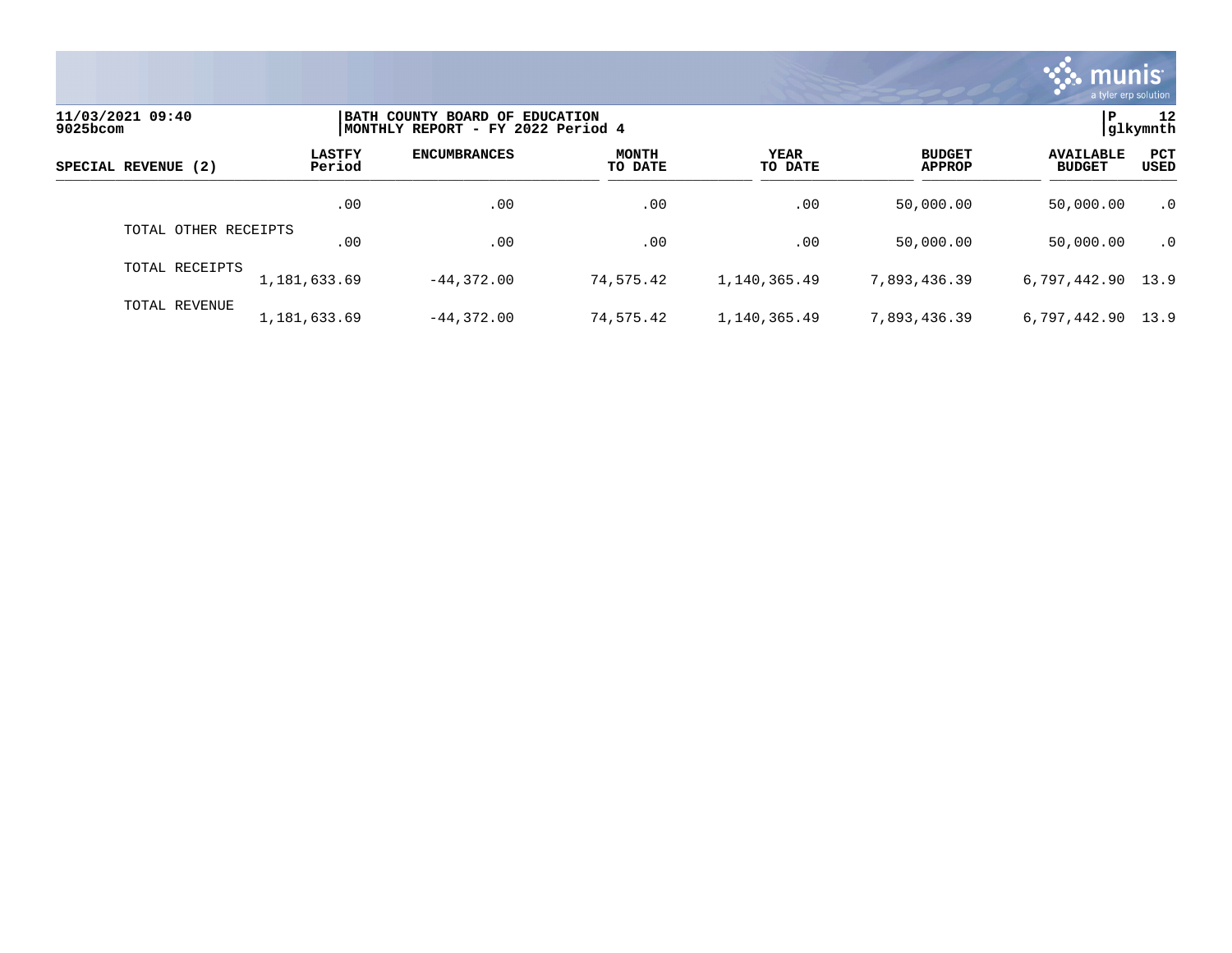

| 11/03/2021 09:40<br>9025bcom |                         | BATH COUNTY BOARD OF EDUCATION<br>MONTHLY REPORT - FY 2022 Period 4 |                         |                        |                                |                                   |                    |  |
|------------------------------|-------------------------|---------------------------------------------------------------------|-------------------------|------------------------|--------------------------------|-----------------------------------|--------------------|--|
| SPECIAL REVENUE (2)          | <b>LASTFY</b><br>Period | <b>ENCUMBRANCES</b>                                                 | <b>MONTH</b><br>TO DATE | <b>YEAR</b><br>TO DATE | <b>BUDGET</b><br><b>APPROP</b> | <b>AVAILABLE</b><br><b>BUDGET</b> | PCT<br><b>USED</b> |  |
|                              | .00                     | .00                                                                 | .00                     | .00                    | 50,000.00                      | 50,000.00                         | $\cdot$ 0          |  |
| TOTAL OTHER RECEIPTS         | .00                     | .00                                                                 | .00                     | .00                    | 50,000.00                      | 50,000.00                         | $\cdot$ 0          |  |
| TOTAL RECEIPTS               | 1,181,633.69            | $-44.372.00$                                                        | 74,575.42               | 1,140,365.49           | 7,893,436.39                   | 6,797,442.90 13.9                 |                    |  |
| TOTAL REVENUE                | 1,181,633.69            | $-44.372.00$                                                        | 74,575.42               | 1,140,365.49           | 7,893,436.39                   | 6,797,442.90 13.9                 |                    |  |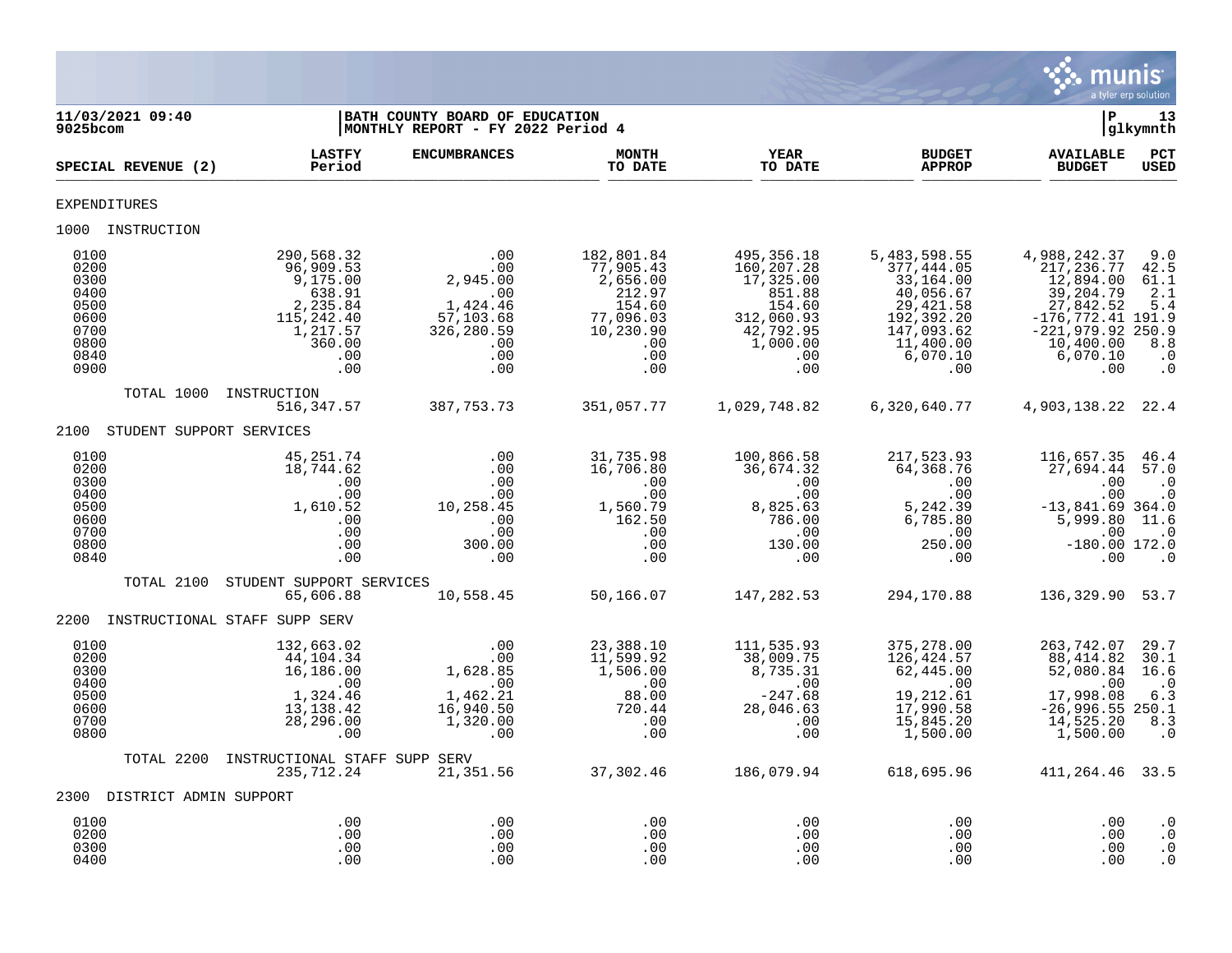

| 11/03/2021 09:40<br>9025bcom                                                 |                                                                                                             | BATH COUNTY BOARD OF EDUCATION<br>MONTHLY REPORT - FY 2022 Period 4                                                                                              |                                                                                                         |                                                                                                                |                                                                                                                               | $\mathbf{P}$                                                                                                                                      | 13<br>glkymnth                                                                             |
|------------------------------------------------------------------------------|-------------------------------------------------------------------------------------------------------------|------------------------------------------------------------------------------------------------------------------------------------------------------------------|---------------------------------------------------------------------------------------------------------|----------------------------------------------------------------------------------------------------------------|-------------------------------------------------------------------------------------------------------------------------------|---------------------------------------------------------------------------------------------------------------------------------------------------|--------------------------------------------------------------------------------------------|
| SPECIAL REVENUE (2)                                                          | <b>LASTFY</b><br>Period                                                                                     | <b>ENCUMBRANCES</b>                                                                                                                                              | <b>MONTH</b><br>TO DATE                                                                                 | <b>YEAR</b><br>TO DATE                                                                                         | <b>BUDGET</b><br><b>APPROP</b>                                                                                                | <b>AVAILABLE</b><br><b>BUDGET</b>                                                                                                                 | PCT<br>USED                                                                                |
| EXPENDITURES                                                                 |                                                                                                             |                                                                                                                                                                  |                                                                                                         |                                                                                                                |                                                                                                                               |                                                                                                                                                   |                                                                                            |
| 1000 INSTRUCTION                                                             |                                                                                                             |                                                                                                                                                                  |                                                                                                         |                                                                                                                |                                                                                                                               |                                                                                                                                                   |                                                                                            |
| 0100<br>0200<br>0300<br>0400<br>0500<br>0600<br>0700<br>0800<br>0840<br>0900 | 290,568.32<br>96,909.53<br>9,175.00<br>638.91<br>2,235.84<br>115,242.40<br>1,217.57<br>360.00<br>.00<br>.00 | .00<br>.00<br>2,945.00<br>.00<br>1,424.46<br>57,103.68<br>326,280.59<br>.00<br>.00<br>.00                                                                        | 182,801.84<br>77,905.43<br>2,656.00<br>212.97<br>154.60<br>77,096.03<br>10, 230.90<br>.00<br>.00<br>.00 | 495,356.18<br>160,207.28<br>17,325.00<br>851.88<br>154.60<br>312,060.93<br>42,792.95<br>1,000.00<br>.00<br>.00 | 5,483,598.55<br>377,444.05<br>33,164.00<br>40,056.67<br>29,421.58<br>192,392.20<br>147,093.62<br>11,400.00<br>6,070.10<br>.00 | 4,988,242.37<br>217, 236.77<br>12,894.00<br>39,204.79<br>27,842.52<br>$-176, 772.41$ 191.9<br>$-221,979.92$ 250.9<br>10,400.00<br>6,070.10<br>.00 | 9.0<br>42.5<br>61.1<br>2.1<br>5.4<br>8.8<br>$\ldots$<br>$\cdot$ 0                          |
| TOTAL 1000                                                                   | INSTRUCTION<br>516,347.57                                                                                   | 387, 753. 73                                                                                                                                                     | 351,057.77                                                                                              | 1,029,748.82                                                                                                   | 6,320,640.77                                                                                                                  | 4,903,138.22                                                                                                                                      | 22.4                                                                                       |
| 2100<br>STUDENT SUPPORT SERVICES                                             |                                                                                                             |                                                                                                                                                                  |                                                                                                         |                                                                                                                |                                                                                                                               |                                                                                                                                                   |                                                                                            |
| 0100<br>0200<br>0300<br>0400<br>0500<br>0600<br>0700<br>0800<br>0840         | 45,251.74<br>18,744.62<br>.00<br>.00<br>1,610.52<br>.00<br>.00<br>.00<br>.00                                | .00<br>.00<br>.00<br>.00<br>10,258.45<br>.00<br>.00<br>300.00<br>.00                                                                                             | 31,735.98<br>16,706.80<br>$\cdot$ 00<br>.00<br>1,560.79<br>162.50<br>.00<br>.00<br>.00                  | 100,866.58<br>36,674.32<br>.00<br>.00<br>8,825.63<br>786.00<br>.00<br>130.00<br>.00                            | 217,523.93<br>64,368.76<br>.00<br>.00<br>5,242.39<br>6,785.80<br>.00<br>250.00<br>.00                                         | 116,657.35<br>27,694.44<br>.00<br>.00<br>$-13,841.69$ 364.0<br>5,999.80<br>.00<br>$-180.00$ 172.0<br>.00                                          | 46.4<br>57.0<br>$\cdot$ 0<br>$\cdot$ 0<br>11.6<br>$\cdot$ 0<br>$\overline{\phantom{0}}$ .0 |
| TOTAL 2100                                                                   | STUDENT SUPPORT SERVICES                                                                                    |                                                                                                                                                                  |                                                                                                         |                                                                                                                |                                                                                                                               |                                                                                                                                                   |                                                                                            |
| 2200                                                                         | 65,606.88<br>INSTRUCTIONAL STAFF SUPP SERV                                                                  | 10,558.45                                                                                                                                                        | 50,166.07                                                                                               | 147,282.53                                                                                                     | 294,170.88                                                                                                                    | 136,329.90 53.7                                                                                                                                   |                                                                                            |
| 0100<br>0200<br>0300<br>0400<br>0500<br>0600<br>0700<br>0800                 | 132,663.02<br>44,104.34<br>16,186.00<br>.00<br>1,324.46<br>13,138.42<br>28,296.00<br>.00                    | .00<br>.00<br>1,628.85<br>$\begin{array}{c} \begin{array}{c} \end{array} \\ \begin{array}{c} \end{array} \end{array}$<br>1,462.21<br>16,940.50<br>1,320.00<br>00 | 23,388.10<br>11,599.92<br>1,506.00<br>$\overline{\phantom{0}}$ .00<br>88.00<br>720.44<br>.00<br>.00     | 111,535.93<br>38,009.75<br>8,735.31<br>.00<br>$-247.68$<br>28,046.63<br>.00<br>.00                             | 375,278.00<br>126,424.57<br>62,445.00<br>.00<br>19,212.61<br>17,990.58<br>15,845.20<br>1,500.00                               | 263,742.07<br>88,414.82<br>52,080.84<br>.00<br>17,998.08<br>$-26,996.55$ 250.1<br>14,525.20<br>1,500.00                                           | 29.7<br>30.1<br>16.6<br>$\cdot$ 0<br>6.3<br>8.3<br>$\cdot$ 0                               |
| TOTAL 2200                                                                   | INSTRUCTIONAL STAFF SUPP SERV<br>235,712.24                                                                 | 21,351.56                                                                                                                                                        | 37,302.46                                                                                               | 186,079.94                                                                                                     | 618,695.96                                                                                                                    | 411,264.46 33.5                                                                                                                                   |                                                                                            |
| 2300 DISTRICT ADMIN SUPPORT                                                  |                                                                                                             |                                                                                                                                                                  |                                                                                                         |                                                                                                                |                                                                                                                               |                                                                                                                                                   |                                                                                            |
| 0100<br>0200<br>0300<br>0400                                                 | .00<br>.00<br>.00<br>.00                                                                                    | .00<br>.00<br>.00<br>.00                                                                                                                                         | .00<br>.00<br>.00<br>.00                                                                                | .00<br>.00<br>.00<br>.00                                                                                       | .00<br>.00<br>.00<br>.00                                                                                                      | .00<br>.00<br>.00<br>.00                                                                                                                          | $\cdot$ 0<br>$\cdot$ 0<br>$\cdot$ 0<br>$\cdot$ 0                                           |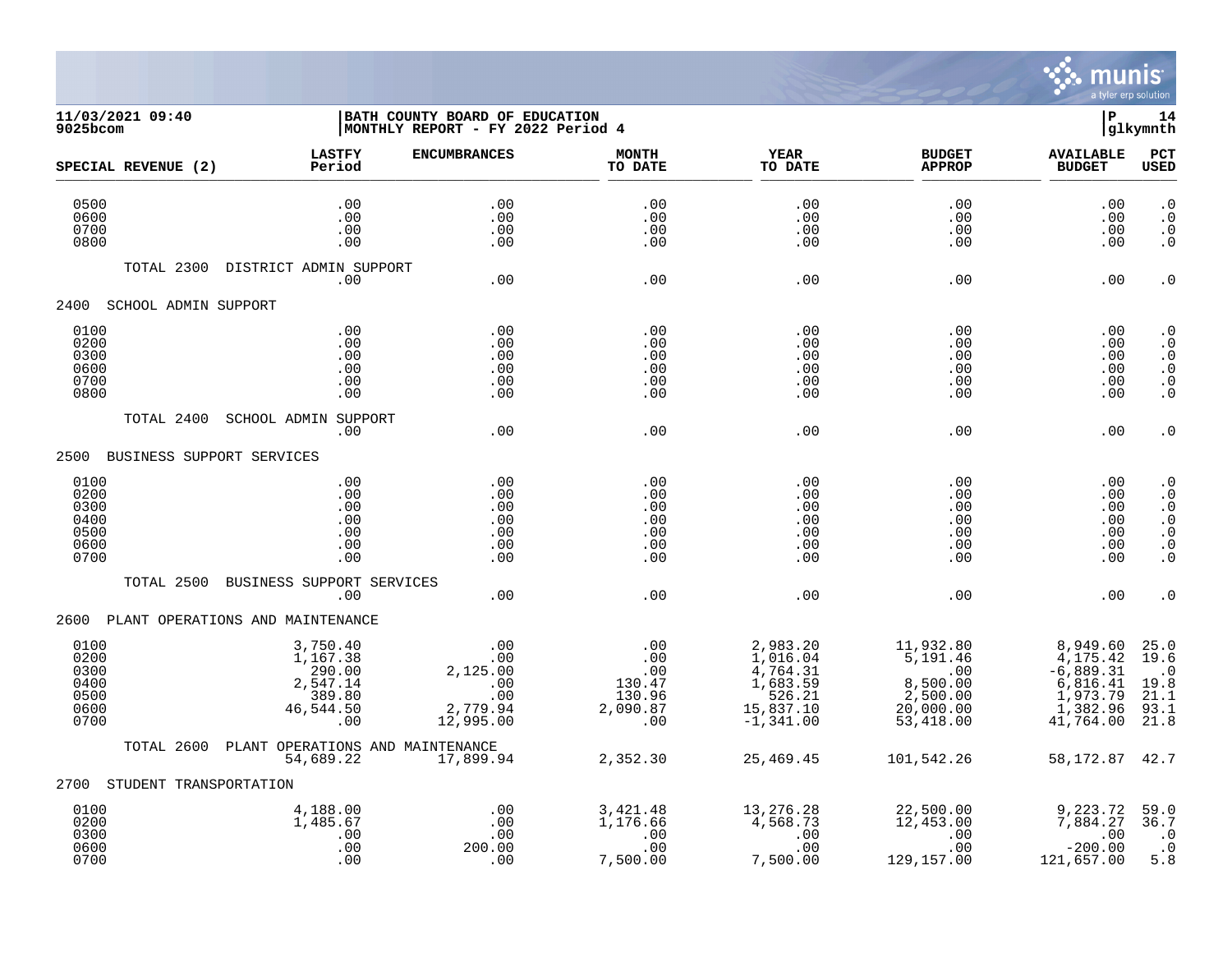

## **11/03/2021 09:40 |BATH COUNTY BOARD OF EDUCATION |P 14 9025bcom |MONTHLY REPORT - FY 2022 Period 4 |glkymnth**

| SPECIAL REVENUE (2)                                  | <b>LASTFY</b><br>Period                                        | <b>ENCUMBRANCES</b>                                           | <b>MONTH</b><br>TO DATE                                                             | <b>YEAR</b><br>TO DATE                                                                 | <b>BUDGET</b><br><b>APPROP</b>                                                                  | <b>AVAILABLE</b><br><b>BUDGET</b>                                                    | <b>PCT</b><br><b>USED</b>                                                                                                  |
|------------------------------------------------------|----------------------------------------------------------------|---------------------------------------------------------------|-------------------------------------------------------------------------------------|----------------------------------------------------------------------------------------|-------------------------------------------------------------------------------------------------|--------------------------------------------------------------------------------------|----------------------------------------------------------------------------------------------------------------------------|
| 0500<br>0600<br>0700<br>0800                         | .00<br>.00<br>.00<br>.00                                       | .00<br>.00<br>.00<br>.00                                      | .00<br>.00<br>.00<br>.00                                                            | .00<br>.00<br>.00<br>.00                                                               | .00<br>.00<br>.00<br>.00                                                                        | .00<br>.00<br>.00<br>.00                                                             | $\cdot$ 0<br>$\cdot$ 0<br>$\cdot$ 0<br>$\cdot$ 0                                                                           |
| TOTAL 2300                                           | DISTRICT ADMIN SUPPORT<br>.00                                  | .00                                                           | .00                                                                                 | .00                                                                                    | .00                                                                                             | .00                                                                                  | $\cdot$ 0                                                                                                                  |
| 2400<br>SCHOOL ADMIN SUPPORT                         |                                                                |                                                               |                                                                                     |                                                                                        |                                                                                                 |                                                                                      |                                                                                                                            |
| 0100<br>0200<br>0300<br>0600<br>0700<br>0800         | .00<br>.00<br>.00<br>.00<br>.00<br>.00                         | .00<br>.00<br>.00<br>.00<br>.00<br>.00                        | .00<br>.00<br>.00<br>.00<br>.00<br>.00                                              | .00<br>.00<br>.00<br>.00<br>.00<br>.00                                                 | .00<br>.00<br>.00<br>.00<br>.00<br>.00                                                          | .00<br>.00<br>.00<br>.00<br>.00<br>.00                                               | $\cdot$ 0<br>$\cdot$ 0<br>$\cdot$ 0<br>. $\boldsymbol{0}$<br>$\cdot$ 0<br>$\cdot$ 0                                        |
| TOTAL 2400                                           | SCHOOL ADMIN SUPPORT<br>.00                                    | .00                                                           | .00                                                                                 | .00                                                                                    | .00                                                                                             | .00                                                                                  | $\cdot$ 0                                                                                                                  |
| 2500                                                 | BUSINESS SUPPORT SERVICES                                      |                                                               |                                                                                     |                                                                                        |                                                                                                 |                                                                                      |                                                                                                                            |
| 0100<br>0200<br>0300<br>0400<br>0500<br>0600<br>0700 | .00<br>.00<br>.00<br>.00<br>.00<br>.00<br>.00                  | .00<br>.00<br>.00<br>.00<br>.00<br>.00<br>.00                 | .00<br>.00<br>.00<br>.00<br>.00<br>.00<br>.00                                       | .00<br>.00<br>.00<br>.00<br>.00<br>.00<br>.00                                          | .00<br>.00<br>.00<br>.00<br>.00<br>.00<br>.00                                                   | .00<br>.00<br>.00<br>.00<br>.00<br>.00<br>.00                                        | $\cdot$ 0<br>$\cdot$ 0<br>$\boldsymbol{\cdot}$ 0<br>$\cdot$ 0<br>$\boldsymbol{\cdot}$ 0<br>. $\boldsymbol{0}$<br>$\cdot$ 0 |
| TOTAL 2500                                           | BUSINESS SUPPORT SERVICES<br>.00                               | .00                                                           | .00                                                                                 | .00                                                                                    | .00                                                                                             | .00                                                                                  | $\cdot$ 0                                                                                                                  |
|                                                      | 2600 PLANT OPERATIONS AND MAINTENANCE                          |                                                               |                                                                                     |                                                                                        |                                                                                                 |                                                                                      |                                                                                                                            |
| 0100<br>0200<br>0300<br>0400<br>0500<br>0600<br>0700 | 3,750.40<br>1,167.38<br>2,547.14<br>389.80<br>46,544.50<br>.00 | .00<br>.00<br>2,125.00<br>.00<br>.00<br>2,779.94<br>12,995.00 | .00<br>.00<br>.00<br>130.47<br>130.96<br>2,090.87<br>.00                            | 2,983.20<br>1,016.04<br>$4,764.31$<br>$1,683.59$<br>526.21<br>15,837.10<br>$-1,341.00$ | 11,932.80<br>5,191.46<br>8,500.00<br>$2,500.00$<br>20,000.00<br>53,418.00                       | 8,949.60<br>4,175.42<br>$-6,889.31$<br>6,816.41<br>1,973.79<br>1,382.96<br>41,764.00 | 25.0<br>19.6<br>$\cdot$ . 0<br>19.8<br>21.1<br>93.1<br>21.8                                                                |
| TOTAL 2600                                           | PLANT OPERATIONS AND MAINTENANCE<br>54,689.22                  | 17,899.94                                                     | 2,352.30                                                                            | 25,469.45                                                                              | 101,542.26                                                                                      | 58, 172. 87 42. 7                                                                    |                                                                                                                            |
| STUDENT TRANSPORTATION<br>2700                       |                                                                |                                                               |                                                                                     |                                                                                        |                                                                                                 |                                                                                      |                                                                                                                            |
| 0100<br>0200<br>0300<br>0600<br>0700                 | 4,188.00<br>1,485.67<br>.00<br>.00<br>.00                      | .00<br>.00<br>.00<br>200.00<br>.00                            | 3,421.48<br>1,176.66<br>$\begin{array}{c} . & 00 \\ . & 00 \end{array}$<br>7,500.00 | 13,276.28<br>4,568.73<br>$\begin{array}{c} . & 00 \\ . & 00 \end{array}$<br>7,500.00   | 22,500.00<br>12,453.00<br>$\begin{array}{c} \cdot & 00 \\ \cdot & 00 \end{array}$<br>129,157.00 | 9,223.72<br>7,884.27<br>.00<br>$-200.00$<br>121,657.00                               | 59.0<br>36.7<br>$\cdot$ 0<br>$\overline{\phantom{0}}$ .0<br>5.8                                                            |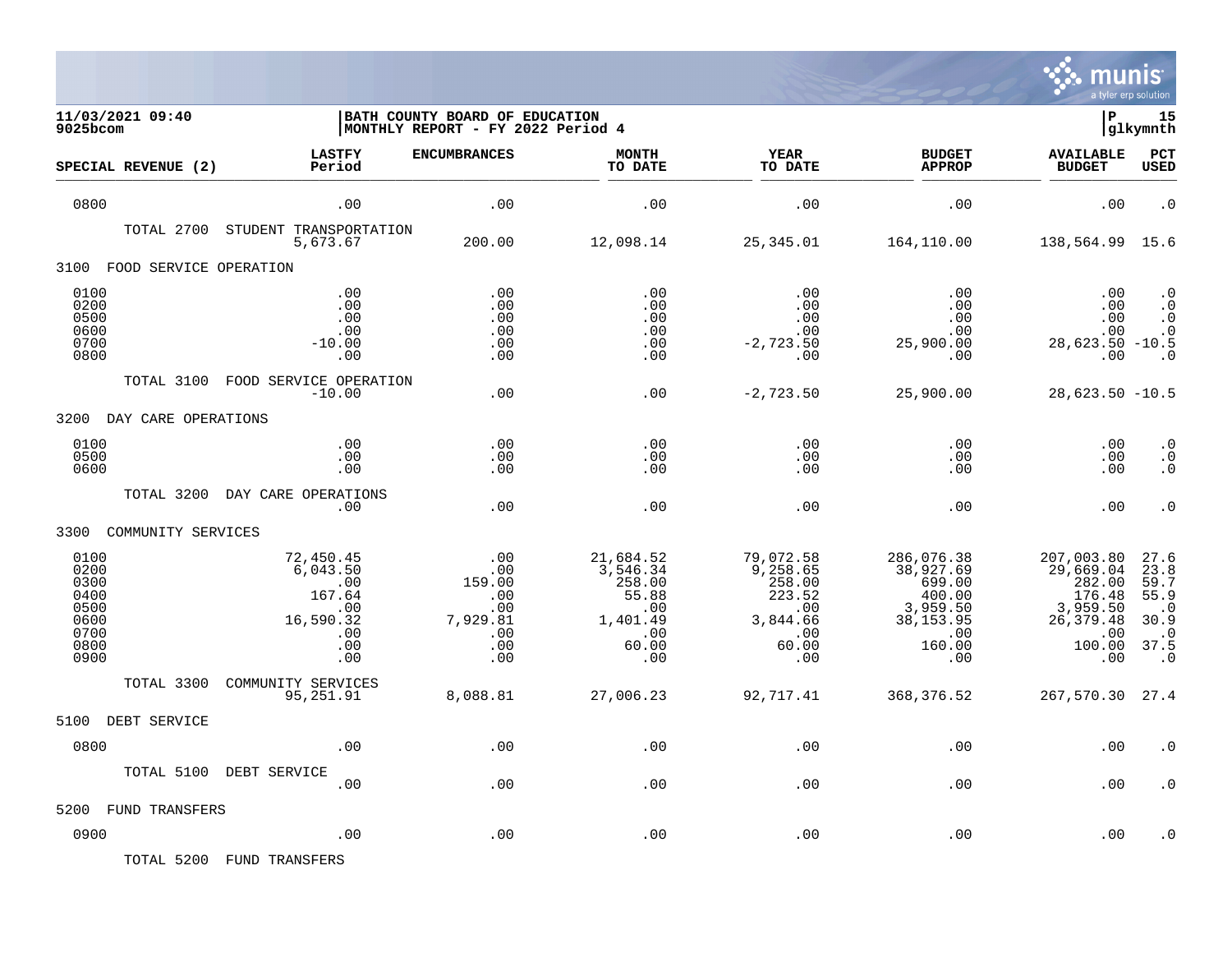

| 11/03/2021 09:40<br>9025bcom                                         |                                                                                 | BATH COUNTY BOARD OF EDUCATION<br>MONTHLY REPORT - FY 2022 Period 4        |                                                                                    |                                                                                                 |                                                                                               | lР                                                                                            | 15<br> glkymnth                                                                      |
|----------------------------------------------------------------------|---------------------------------------------------------------------------------|----------------------------------------------------------------------------|------------------------------------------------------------------------------------|-------------------------------------------------------------------------------------------------|-----------------------------------------------------------------------------------------------|-----------------------------------------------------------------------------------------------|--------------------------------------------------------------------------------------|
| SPECIAL REVENUE (2)                                                  | <b>LASTFY</b><br>Period                                                         | <b>ENCUMBRANCES</b>                                                        | <b>MONTH</b><br>TO DATE                                                            | <b>YEAR</b><br>TO DATE                                                                          | <b>BUDGET</b><br><b>APPROP</b>                                                                | <b>AVAILABLE</b><br><b>BUDGET</b>                                                             | PCT<br><b>USED</b>                                                                   |
| 0800                                                                 | .00                                                                             | .00                                                                        | .00                                                                                | .00                                                                                             | .00                                                                                           | .00                                                                                           | $\cdot$ 0                                                                            |
| TOTAL 2700                                                           | STUDENT TRANSPORTATION<br>5,673.67                                              | 200.00                                                                     | 12,098.14                                                                          | 25,345.01                                                                                       | 164,110.00                                                                                    | 138,564.99 15.6                                                                               |                                                                                      |
| FOOD SERVICE OPERATION<br>3100                                       |                                                                                 |                                                                            |                                                                                    |                                                                                                 |                                                                                               |                                                                                               |                                                                                      |
| 0100<br>0200<br>0500<br>0600<br>0700<br>0800                         | .00<br>.00<br>.00<br>.00<br>$-10.00$<br>.00                                     | .00<br>.00<br>.00<br>.00<br>.00<br>.00                                     | .00<br>.00<br>.00<br>.00<br>.00<br>.00                                             | .00<br>.00<br>.00<br>.00<br>$-2,723.50$<br>.00                                                  | .00<br>.00<br>.00<br>.00<br>25,900.00<br>.00                                                  | .00<br>.00<br>.00<br>.00<br>$28,623.50 -10.5$<br>.00                                          | $\cdot$ 0<br>$\cdot$ 0<br>$\cdot$ 0<br>$\cdot$ 0<br>$\cdot$ 0                        |
| TOTAL 3100                                                           | FOOD SERVICE OPERATION<br>$-10.00$                                              | .00                                                                        | .00                                                                                | $-2,723.50$                                                                                     | 25,900.00                                                                                     | $28,623.50 - 10.5$                                                                            |                                                                                      |
| 3200 DAY CARE OPERATIONS                                             |                                                                                 |                                                                            |                                                                                    |                                                                                                 |                                                                                               |                                                                                               |                                                                                      |
| 0100<br>0500<br>0600                                                 | .00<br>.00<br>.00                                                               | .00<br>.00<br>.00                                                          | .00<br>.00<br>.00                                                                  | .00<br>.00<br>.00                                                                               | .00<br>.00<br>.00                                                                             | .00<br>.00<br>.00                                                                             | $\cdot$ 0<br>$\cdot$ 0<br>$\cdot$ 0                                                  |
| TOTAL 3200                                                           | DAY CARE OPERATIONS<br>.00                                                      | .00                                                                        | .00                                                                                | .00                                                                                             | .00                                                                                           | .00                                                                                           | $\cdot$ 0                                                                            |
| 3300 COMMUNITY SERVICES                                              |                                                                                 |                                                                            |                                                                                    |                                                                                                 |                                                                                               |                                                                                               |                                                                                      |
| 0100<br>0200<br>0300<br>0400<br>0500<br>0600<br>0700<br>0800<br>0900 | 72,450.45<br>6,043.50<br>.00<br>167.64<br>.00<br>16,590.32<br>.00<br>.00<br>.00 | .00<br>.00<br>159.00<br>$.00 \ \,$<br>.00<br>7,929.81<br>.00<br>.00<br>.00 | 21,684.52<br>3,546.34<br>258.00<br>55.88<br>.00<br>1,401.49<br>.00<br>60.00<br>.00 | 79,072.58<br>9,258.65<br>258.00<br>223.52<br>$\overline{00}$<br>3,844.66<br>.00<br>60.00<br>.00 | 286,076.38<br>38,927.69<br>699.00<br>400.00<br>3,959.50<br>38, 153.95<br>.00<br>160.00<br>.00 | 207,003.80<br>29,669.04<br>282.00<br>176.48<br>3,959.50<br>26, 379.48<br>.00<br>100.00<br>.00 | 27.6<br>23.8<br>59.7<br>55.9<br>$\cdot$ .0<br>30.9<br>$\cdot$ 0<br>37.5<br>$\cdot$ 0 |
| TOTAL 3300                                                           | COMMUNITY SERVICES<br>95,251.91                                                 | 8,088.81                                                                   | 27,006.23                                                                          | 92,717.41                                                                                       | 368,376.52                                                                                    | 267,570.30 27.4                                                                               |                                                                                      |
| 5100<br>DEBT SERVICE                                                 |                                                                                 |                                                                            |                                                                                    |                                                                                                 |                                                                                               |                                                                                               |                                                                                      |
| 0800                                                                 | .00                                                                             | .00                                                                        | .00                                                                                | .00                                                                                             | .00                                                                                           | .00                                                                                           | . 0                                                                                  |
| TOTAL 5100                                                           | DEBT SERVICE<br>.00                                                             | .00                                                                        | .00                                                                                | .00                                                                                             | .00                                                                                           | .00                                                                                           |                                                                                      |
| FUND TRANSFERS<br>5200                                               |                                                                                 |                                                                            |                                                                                    |                                                                                                 |                                                                                               |                                                                                               |                                                                                      |
| 0900                                                                 | .00                                                                             | .00                                                                        | .00                                                                                | .00                                                                                             | .00                                                                                           | .00                                                                                           | . 0                                                                                  |

TOTAL 5200 FUND TRANSFERS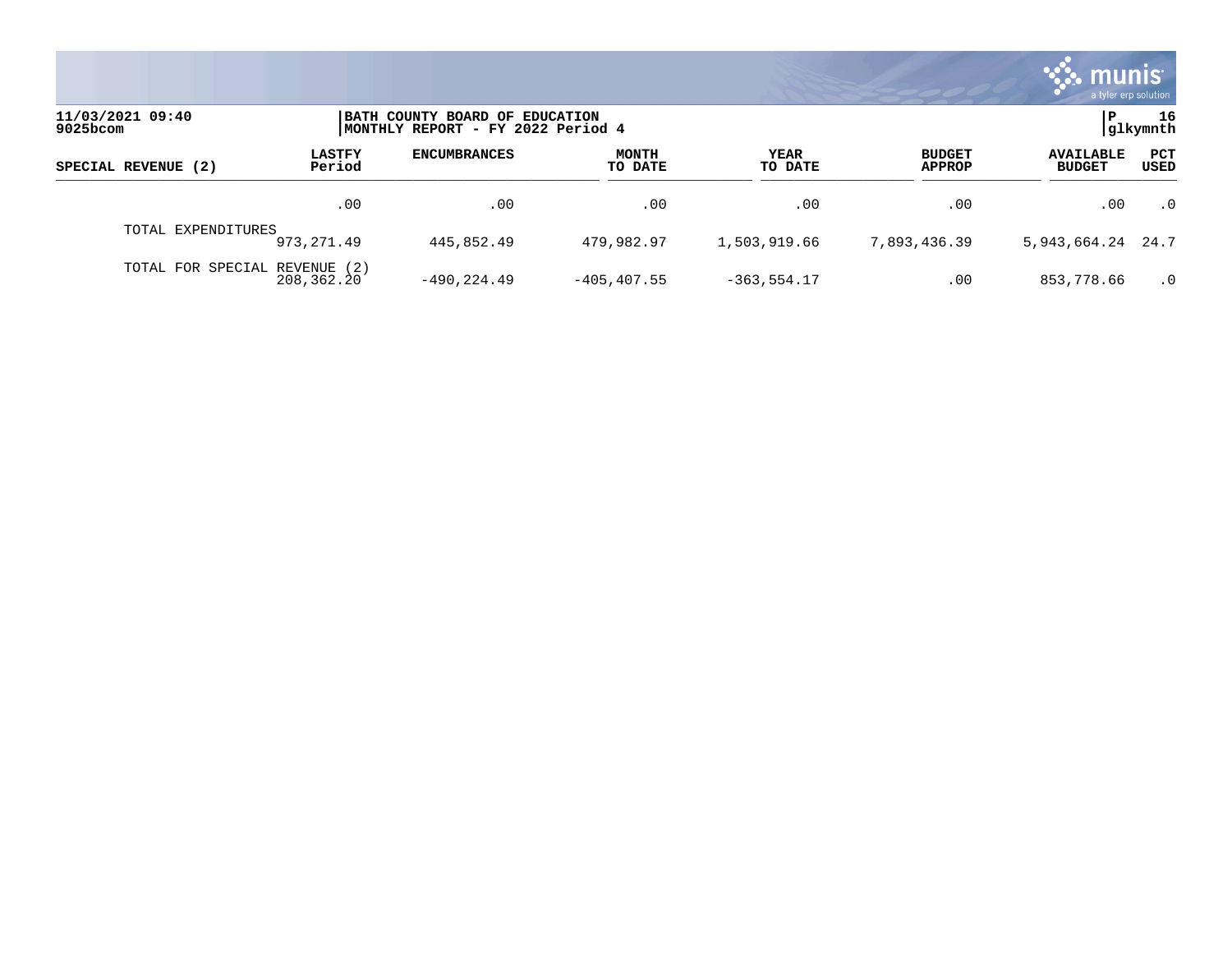|                                 |                                                                     |                     |                         |                 |                                | <b>as munis</b><br>a tyler erp solution |             |
|---------------------------------|---------------------------------------------------------------------|---------------------|-------------------------|-----------------|--------------------------------|-----------------------------------------|-------------|
| 11/03/2021 09:40<br>$9025$ bcom | BATH COUNTY BOARD OF EDUCATION<br>MONTHLY REPORT - FY 2022 Period 4 |                     |                         | l P             | 16<br>glkymnth                 |                                         |             |
| SPECIAL REVENUE (2)             | <b>LASTFY</b><br>Period                                             | <b>ENCUMBRANCES</b> | <b>MONTH</b><br>TO DATE | YEAR<br>TO DATE | <b>BUDGET</b><br><b>APPROP</b> | <b>AVAILABLE</b><br><b>BUDGET</b>       | PCT<br>USED |
|                                 | .00                                                                 | .00                 | .00                     | .00             | .00                            | .00                                     | $\cdot$ 0   |
| TOTAL EXPENDITURES              | 973, 271, 49                                                        | 445,852.49          | 479,982.97              | 1,503,919.66    | 7,893,436.39                   | 5, 943, 664. 24 24. 7                   |             |
| TOTAL FOR SPECIAL REVENUE (2)   | 208,362.20                                                          | $-490.224.49$       | $-405, 407.55$          | $-363, 554.17$  | .00                            | 853,778.66                              | $\cdot$ 0   |

and the state of the state of the state of the state of the state of the state of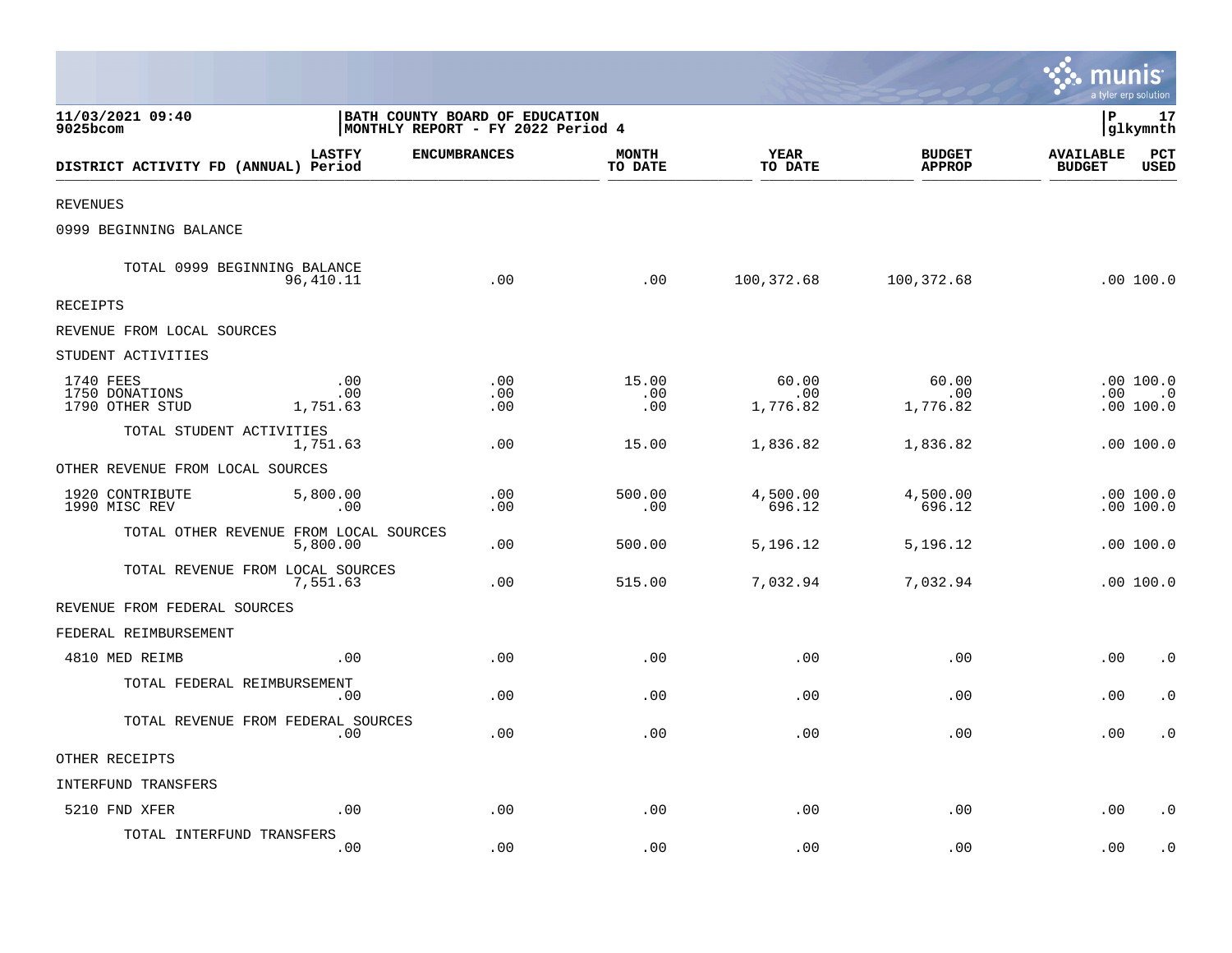|                                                            |                                                                     |                   |                         |                          |                                | munis                             | a tyler erp solution                 |
|------------------------------------------------------------|---------------------------------------------------------------------|-------------------|-------------------------|--------------------------|--------------------------------|-----------------------------------|--------------------------------------|
| 11/03/2021 09:40<br>9025bcom                               | BATH COUNTY BOARD OF EDUCATION<br>MONTHLY REPORT - FY 2022 Period 4 |                   |                         |                          |                                | l P                               | 17<br>glkymnth                       |
| DISTRICT ACTIVITY FD (ANNUAL) Period                       | <b>LASTFY</b><br><b>ENCUMBRANCES</b>                                |                   | <b>MONTH</b><br>TO DATE | <b>YEAR</b><br>TO DATE   | <b>BUDGET</b><br><b>APPROP</b> | <b>AVAILABLE</b><br><b>BUDGET</b> | PCT<br><b>USED</b>                   |
| <b>REVENUES</b>                                            |                                                                     |                   |                         |                          |                                |                                   |                                      |
| 0999 BEGINNING BALANCE                                     |                                                                     |                   |                         |                          |                                |                                   |                                      |
| TOTAL 0999 BEGINNING BALANCE<br>96,410.11                  |                                                                     | .00               | .00                     | 100,372.68               | 100,372.68                     |                                   | $.00$ 100.0                          |
| <b>RECEIPTS</b>                                            |                                                                     |                   |                         |                          |                                |                                   |                                      |
| REVENUE FROM LOCAL SOURCES                                 |                                                                     |                   |                         |                          |                                |                                   |                                      |
| STUDENT ACTIVITIES                                         |                                                                     |                   |                         |                          |                                |                                   |                                      |
| 1740 FEES<br>1750 DONATIONS<br>1790 OTHER STUD<br>1,751.63 | .00<br>.00                                                          | .00<br>.00<br>.00 | 15.00<br>.00<br>.00     | 60.00<br>.00<br>1,776.82 | 60.00<br>.00<br>1,776.82       |                                   | .00 100.0<br>$.00$ $.0$<br>.00 100.0 |
| TOTAL STUDENT ACTIVITIES<br>1,751.63                       |                                                                     | .00               | 15.00                   | 1,836.82                 | 1,836.82                       |                                   | .00100.0                             |
| OTHER REVENUE FROM LOCAL SOURCES                           |                                                                     |                   |                         |                          |                                |                                   |                                      |
| 5,800.00<br>1920 CONTRIBUTE<br>1990 MISC REV               | .00                                                                 | .00<br>.00        | 500.00<br>.00           | 4,500.00<br>696.12       | 4,500.00<br>696.12             |                                   | .00100.0<br>.00 100.0                |
| TOTAL OTHER REVENUE FROM LOCAL SOURCES<br>5,800.00         |                                                                     | .00               | 500.00                  | 5,196.12                 | 5,196.12                       |                                   | .00 100.0                            |
| TOTAL REVENUE FROM LOCAL SOURCES<br>7,551.63               |                                                                     | .00               | 515.00                  | 7,032.94                 | 7,032.94                       |                                   | .00100.0                             |
| REVENUE FROM FEDERAL SOURCES                               |                                                                     |                   |                         |                          |                                |                                   |                                      |
| FEDERAL REIMBURSEMENT                                      |                                                                     |                   |                         |                          |                                |                                   |                                      |
| 4810 MED REIMB                                             | .00                                                                 | .00               | .00                     | .00                      | .00                            | .00                               | $\cdot$ 0                            |
| TOTAL FEDERAL REIMBURSEMENT                                | .00                                                                 | .00               | .00                     | .00                      | .00                            | .00                               | $\cdot$ 0                            |
| TOTAL REVENUE FROM FEDERAL SOURCES                         | .00                                                                 | .00               | .00                     | .00                      | .00                            | .00                               | $\cdot$ 0                            |
| OTHER RECEIPTS                                             |                                                                     |                   |                         |                          |                                |                                   |                                      |
| INTERFUND TRANSFERS                                        |                                                                     |                   |                         |                          |                                |                                   |                                      |
| 5210 FND XFER                                              | .00                                                                 | .00               | .00                     | .00                      | .00                            | .00                               | $\cdot$ 0                            |
| TOTAL INTERFUND TRANSFERS                                  | .00                                                                 | .00               | .00                     | .00                      | .00                            | .00                               | $\cdot$ 0                            |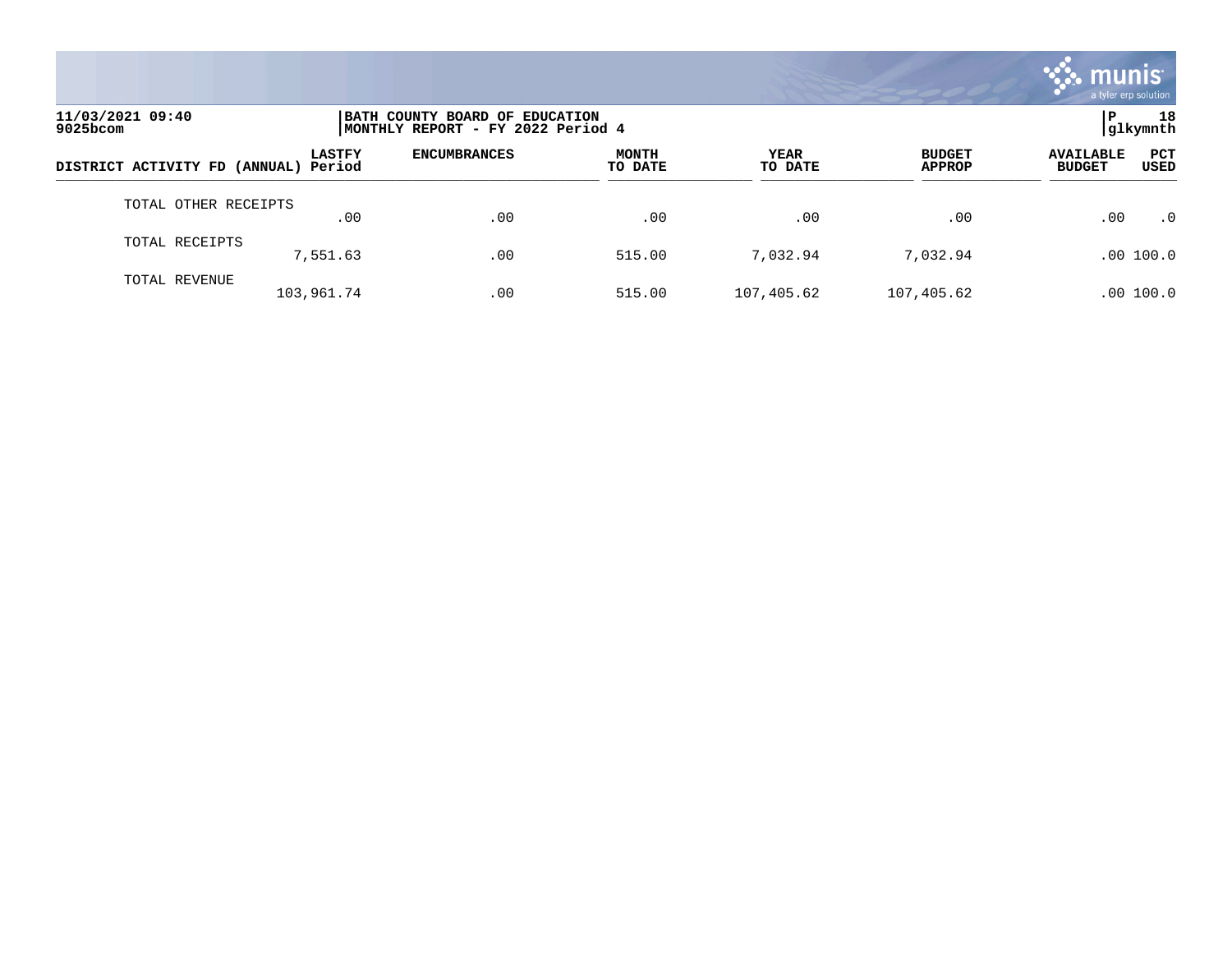

| 11/03/2021 09:40<br>$9025$ bcom      |               | BATH COUNTY BOARD OF EDUCATION<br>MONTHLY REPORT - FY 2022 Period 4 |                         |                 |                                |                                                         |  |  |
|--------------------------------------|---------------|---------------------------------------------------------------------|-------------------------|-----------------|--------------------------------|---------------------------------------------------------|--|--|
| DISTRICT ACTIVITY FD (ANNUAL) Period | <b>LASTFY</b> | <b>ENCUMBRANCES</b>                                                 | <b>MONTH</b><br>TO DATE | YEAR<br>TO DATE | <b>BUDGET</b><br><b>APPROP</b> | <b>PCT</b><br><b>AVAILABLE</b><br><b>BUDGET</b><br>USED |  |  |
| TOTAL OTHER RECEIPTS                 | .00           | .00                                                                 | .00                     | .00             | .00                            | .00<br>$\cdot$ 0                                        |  |  |
| TOTAL RECEIPTS                       | 7,551.63      | .00                                                                 | 515.00                  | 7,032.94        | 7,032.94                       | .00 100.0                                               |  |  |
| TOTAL REVENUE                        | 103,961.74    | .00                                                                 | 515.00                  | 107,405.62      | 107,405.62                     | .00 100.0                                               |  |  |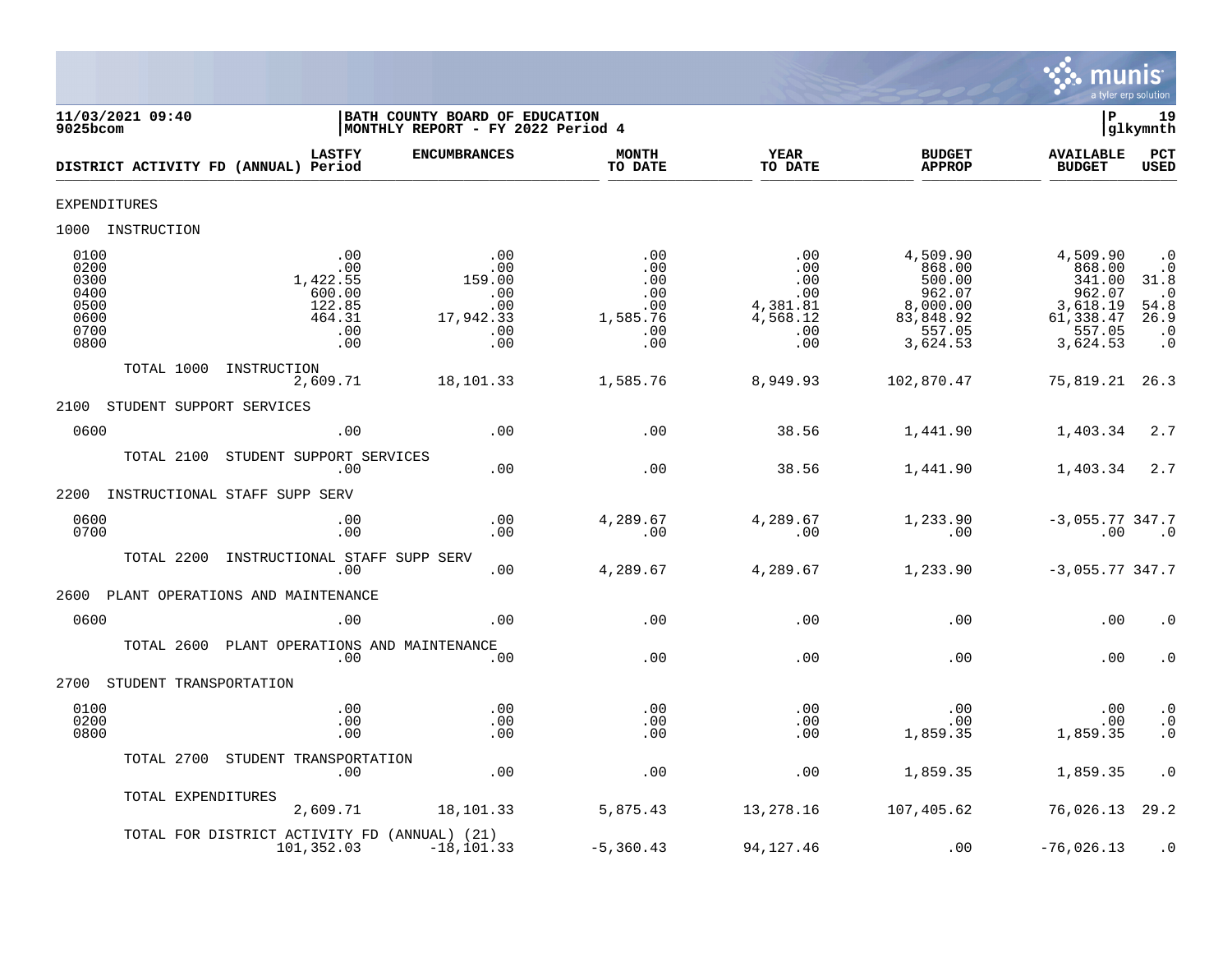

| 11/03/2021 09:40<br>$9025$ bcom                                                                                                    | BATH COUNTY BOARD OF EDUCATION<br>MONTHLY REPORT - FY 2022 Period 4 |                                                           |                                                                |                                                                                       | l P                                                                                   | 19<br>glkymnth                                                                        |
|------------------------------------------------------------------------------------------------------------------------------------|---------------------------------------------------------------------|-----------------------------------------------------------|----------------------------------------------------------------|---------------------------------------------------------------------------------------|---------------------------------------------------------------------------------------|---------------------------------------------------------------------------------------|
| <b>LASTFY</b><br>DISTRICT ACTIVITY FD (ANNUAL) Period                                                                              | <b>ENCUMBRANCES</b>                                                 | <b>MONTH</b><br>TO DATE                                   | <b>YEAR</b><br>TO DATE                                         | <b>BUDGET</b><br><b>APPROP</b>                                                        | <b>AVAILABLE</b><br><b>BUDGET</b>                                                     | PCT<br><b>USED</b>                                                                    |
| <b>EXPENDITURES</b>                                                                                                                |                                                                     |                                                           |                                                                |                                                                                       |                                                                                       |                                                                                       |
| 1000 INSTRUCTION                                                                                                                   |                                                                     |                                                           |                                                                |                                                                                       |                                                                                       |                                                                                       |
| 0100<br>.00<br>0200<br>.00<br>1,422.55<br>0300<br>0400<br>600.00<br>122.85<br>0500<br>0600<br>464.31<br>0700<br>.00<br>0800<br>.00 | .00<br>.00<br>159.00<br>.00<br>.00<br>17,942.33<br>.00<br>.00       | .00<br>.00<br>.00<br>.00<br>.00<br>1,585.76<br>.00<br>.00 | .00<br>.00<br>.00<br>.00<br>4,381.81<br>4,568.12<br>.00<br>.00 | 4,509.90<br>868.00<br>500.00<br>962.07<br>8,000.00<br>83,848.92<br>557.05<br>3,624.53 | 4,509.90<br>868.00<br>341.00<br>962.07<br>3,618.19<br>61,338.47<br>557.05<br>3,624.53 | $\cdot$ 0<br>$\cdot$ 0<br>31.8<br>$\cdot$ 0<br>54.8<br>26.9<br>$\cdot$ 0<br>$\cdot$ 0 |
| TOTAL 1000<br>INSTRUCTION<br>2,609.71                                                                                              | 18,101.33                                                           | 1,585.76                                                  | 8,949.93                                                       | 102,870.47                                                                            | 75,819.21                                                                             | 26.3                                                                                  |
| 2100<br>STUDENT SUPPORT SERVICES                                                                                                   |                                                                     |                                                           |                                                                |                                                                                       |                                                                                       |                                                                                       |
| 0600<br>.00                                                                                                                        | .00                                                                 | .00                                                       | 38.56                                                          | 1,441.90                                                                              | 1,403.34                                                                              | 2.7                                                                                   |
| STUDENT SUPPORT SERVICES<br>TOTAL 2100<br>.00                                                                                      | .00                                                                 | .00                                                       | 38.56                                                          | 1,441.90                                                                              | 1,403.34                                                                              | 2.7                                                                                   |
| INSTRUCTIONAL STAFF SUPP SERV<br>2200                                                                                              |                                                                     |                                                           |                                                                |                                                                                       |                                                                                       |                                                                                       |
| 0600<br>.00<br>0700<br>.00                                                                                                         | .00<br>.00                                                          | 4,289.67<br>.00                                           | 4,289.67<br>.00                                                | 1,233.90<br>.00                                                                       | $-3,055.77,347.7$<br>.00                                                              | $\cdot$ 0                                                                             |
| TOTAL 2200<br>INSTRUCTIONAL STAFF SUPP SERV<br>.00                                                                                 | .00                                                                 | 4,289.67                                                  | 4,289.67                                                       | 1,233.90                                                                              | $-3,055.77347.7$                                                                      |                                                                                       |
| 2600<br>PLANT OPERATIONS AND MAINTENANCE                                                                                           |                                                                     |                                                           |                                                                |                                                                                       |                                                                                       |                                                                                       |
| 0600<br>.00                                                                                                                        | .00                                                                 | .00                                                       | .00                                                            | .00                                                                                   | .00                                                                                   | $\cdot$ 0                                                                             |
| TOTAL 2600<br>PLANT OPERATIONS AND MAINTENANCE<br>.00                                                                              | .00                                                                 | .00                                                       | .00                                                            | .00                                                                                   | .00                                                                                   | $\cdot$ 0                                                                             |
| 2700<br>STUDENT TRANSPORTATION                                                                                                     |                                                                     |                                                           |                                                                |                                                                                       |                                                                                       |                                                                                       |
| 0100<br>.00<br>0200<br>.00<br>0800<br>.00                                                                                          | .00<br>.00<br>.00                                                   | .00<br>.00<br>.00                                         | .00<br>.00<br>.00                                              | .00<br>.00<br>1,859.35                                                                | .00<br>.00<br>1,859.35                                                                | $\cdot$ 0<br>$\boldsymbol{\cdot}$ 0<br>$\cdot$ 0                                      |
| STUDENT TRANSPORTATION<br>TOTAL 2700<br>.00                                                                                        | .00                                                                 | .00                                                       | .00                                                            | 1,859.35                                                                              | 1,859.35                                                                              | $\cdot$ 0                                                                             |
| TOTAL EXPENDITURES<br>2,609.71                                                                                                     | 18,101.33                                                           | 5,875.43                                                  | 13,278.16                                                      | 107,405.62                                                                            | 76,026.13                                                                             | 29.2                                                                                  |
| TOTAL FOR DISTRICT ACTIVITY FD (ANNUAL) (21)<br>101,352.03                                                                         | $-18, 101.33$                                                       | $-5,360.43$                                               | 94,127.46                                                      | .00                                                                                   | $-76,026.13$                                                                          | $\cdot$ 0                                                                             |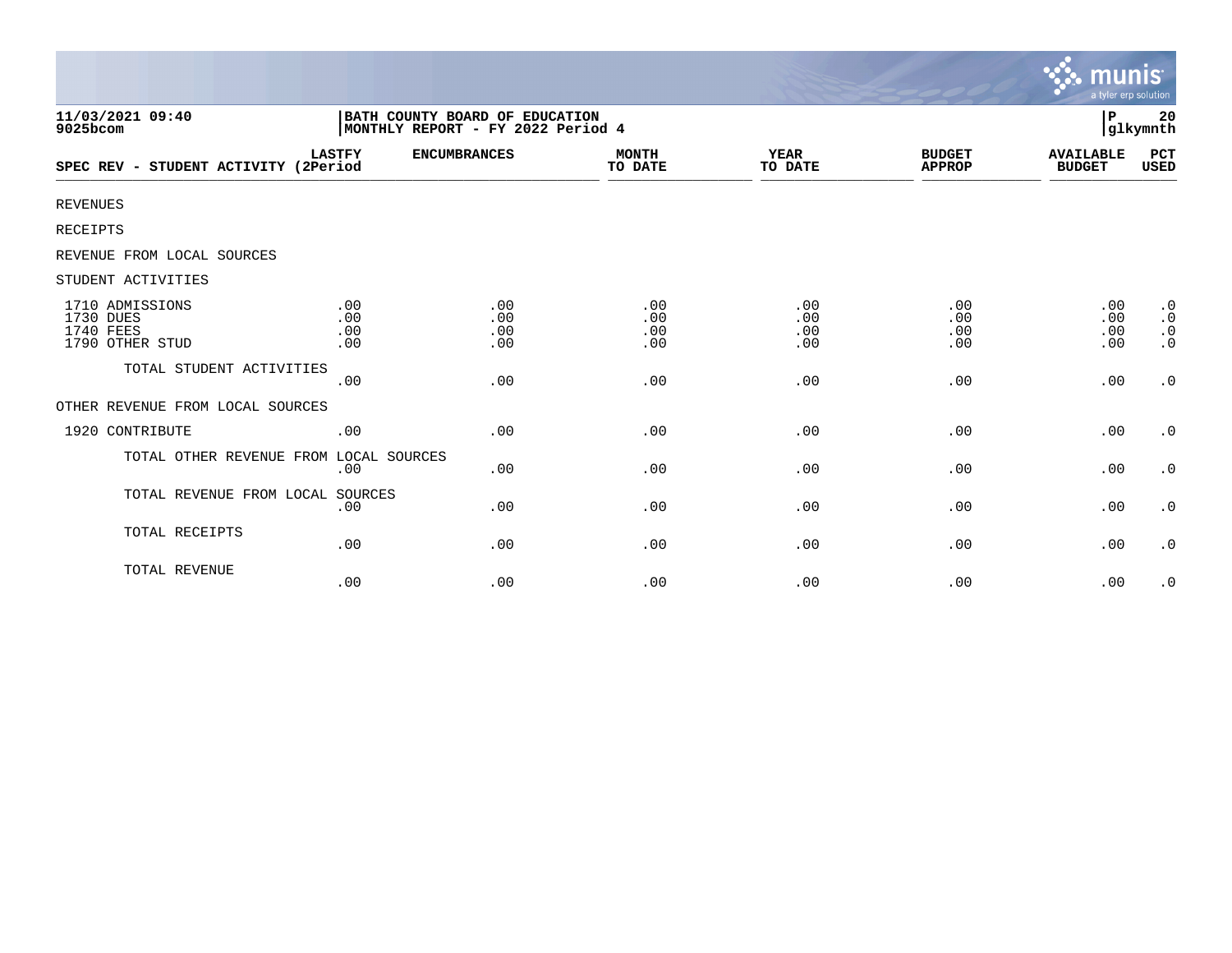|                                                              |                                                                     |                          |                          |                          |                                | <b>munis</b><br>a tyler erp solution |                                                  |
|--------------------------------------------------------------|---------------------------------------------------------------------|--------------------------|--------------------------|--------------------------|--------------------------------|--------------------------------------|--------------------------------------------------|
| 11/03/2021 09:40<br>9025bcom                                 | BATH COUNTY BOARD OF EDUCATION<br>MONTHLY REPORT - FY 2022 Period 4 |                          |                          |                          |                                | P                                    | 20<br>glkymnth                                   |
| SPEC REV - STUDENT ACTIVITY (2Period                         | <b>LASTFY</b>                                                       | <b>ENCUMBRANCES</b>      | <b>MONTH</b><br>TO DATE  | YEAR<br>TO DATE          | <b>BUDGET</b><br><b>APPROP</b> | <b>AVAILABLE</b><br><b>BUDGET</b>    | PCT<br>USED                                      |
| <b>REVENUES</b>                                              |                                                                     |                          |                          |                          |                                |                                      |                                                  |
| RECEIPTS                                                     |                                                                     |                          |                          |                          |                                |                                      |                                                  |
| REVENUE FROM LOCAL SOURCES                                   |                                                                     |                          |                          |                          |                                |                                      |                                                  |
| STUDENT ACTIVITIES                                           |                                                                     |                          |                          |                          |                                |                                      |                                                  |
| 1710 ADMISSIONS<br>1730 DUES<br>1740 FEES<br>1790 OTHER STUD | .00<br>.00<br>.00<br>.00                                            | .00<br>.00<br>.00<br>.00 | .00<br>.00<br>.00<br>.00 | .00<br>.00<br>.00<br>.00 | .00<br>.00<br>.00<br>.00       | .00<br>.00<br>.00<br>.00             | $\cdot$ 0<br>$\cdot$ 0<br>$\cdot$ 0<br>$\cdot$ 0 |
| TOTAL STUDENT ACTIVITIES                                     | .00                                                                 | .00                      | .00                      | .00                      | .00                            | .00                                  | $\boldsymbol{\cdot}$ 0                           |
| OTHER REVENUE FROM LOCAL SOURCES                             |                                                                     |                          |                          |                          |                                |                                      |                                                  |
| 1920 CONTRIBUTE                                              | .00                                                                 | .00                      | .00                      | .00                      | .00                            | .00                                  | $\cdot$ 0                                        |
| TOTAL OTHER REVENUE FROM LOCAL SOURCES                       | .00                                                                 | .00                      | .00                      | .00                      | .00                            | .00                                  | $\cdot$ 0                                        |
| TOTAL REVENUE FROM LOCAL SOURCES                             | .00                                                                 | .00                      | .00                      | .00                      | .00                            | .00                                  | $\cdot$ 0                                        |
| TOTAL RECEIPTS                                               | .00                                                                 | .00                      | .00                      | .00                      | .00                            | .00                                  | $\cdot$ 0                                        |
| TOTAL REVENUE                                                | .00                                                                 | .00                      | .00                      | .00                      | .00                            | .00                                  | $\cdot$ 0                                        |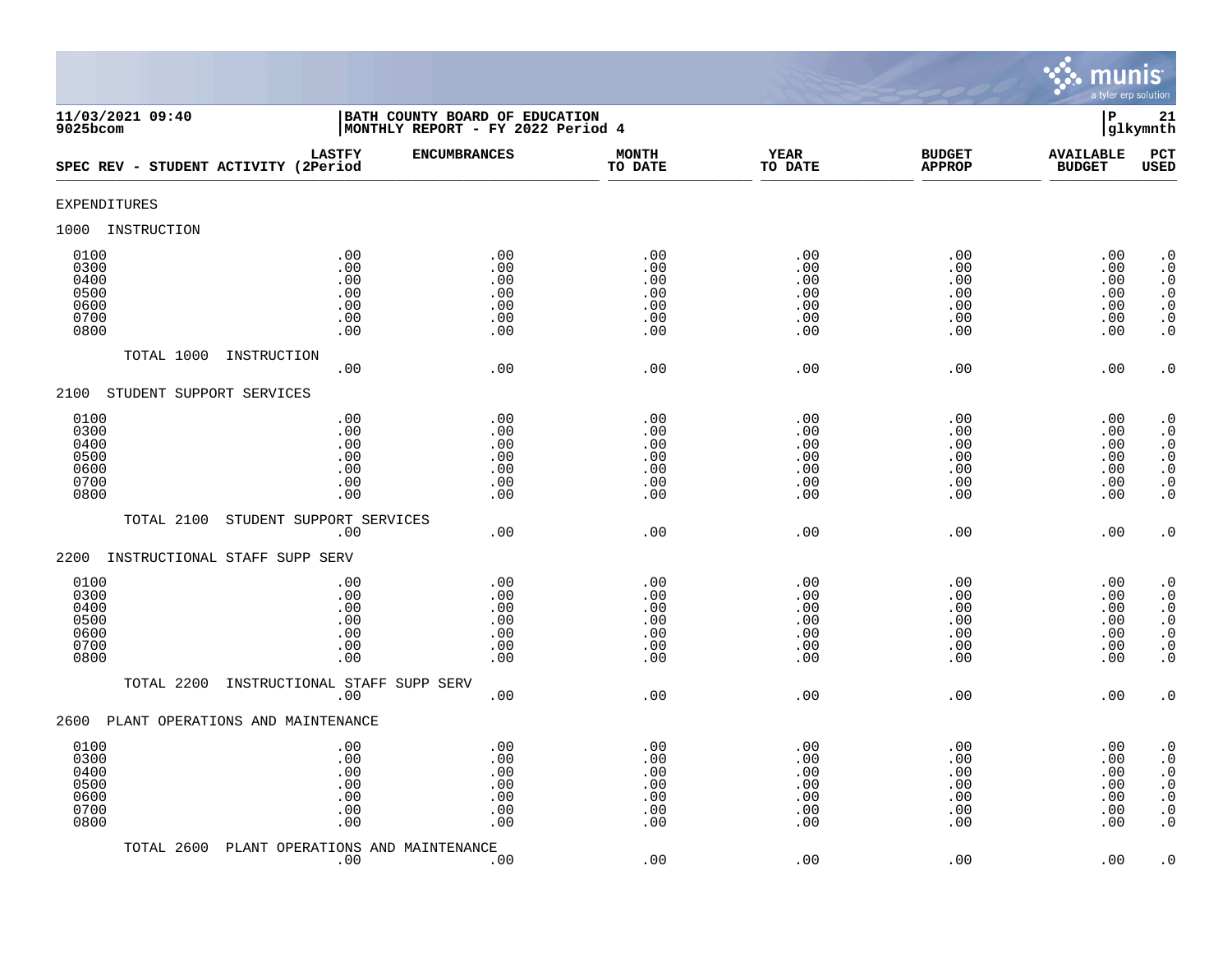

| 11/03/2021 09:40<br>$9025$ bcom                      |                                                                         | BATH COUNTY BOARD OF EDUCATION<br>MONTHLY REPORT - FY 2022 Period 4 |                                               |                                               |                                               | $\mathbf P$                                   | 21<br>glkymnth                                                                                                                                    |
|------------------------------------------------------|-------------------------------------------------------------------------|---------------------------------------------------------------------|-----------------------------------------------|-----------------------------------------------|-----------------------------------------------|-----------------------------------------------|---------------------------------------------------------------------------------------------------------------------------------------------------|
| SPEC REV - STUDENT ACTIVITY (2Period                 | <b>LASTFY</b>                                                           | <b>ENCUMBRANCES</b>                                                 | <b>MONTH</b><br>TO DATE                       | <b>YEAR</b><br>TO DATE                        | <b>BUDGET</b><br><b>APPROP</b>                | <b>AVAILABLE</b><br><b>BUDGET</b>             | PCT<br><b>USED</b>                                                                                                                                |
| <b>EXPENDITURES</b>                                  |                                                                         |                                                                     |                                               |                                               |                                               |                                               |                                                                                                                                                   |
| 1000<br>INSTRUCTION                                  |                                                                         |                                                                     |                                               |                                               |                                               |                                               |                                                                                                                                                   |
| 0100<br>0300<br>0400<br>0500<br>0600<br>0700<br>0800 | .00<br>.00<br>.00<br>$.00$<br>.00<br>.00<br>.00                         | .00<br>.00<br>.00<br>.00<br>.00<br>.00<br>.00                       | .00<br>.00<br>.00<br>.00<br>.00<br>.00<br>.00 | .00<br>.00<br>.00<br>.00<br>.00<br>.00<br>.00 | .00<br>.00<br>.00<br>.00<br>.00<br>.00<br>.00 | .00<br>.00<br>.00<br>.00<br>.00<br>.00<br>.00 | $\cdot$ 0<br>$\boldsymbol{\cdot}$ 0<br>$\cdot$ 0<br>$\begin{smallmatrix} . & 0 \\ . & 0 \end{smallmatrix}$<br>$\boldsymbol{\cdot}$ 0<br>$\cdot$ 0 |
| TOTAL 1000<br>INSTRUCTION                            | .00                                                                     | .00                                                                 | .00                                           | .00                                           | .00                                           | .00                                           | $\cdot$ 0                                                                                                                                         |
| STUDENT SUPPORT SERVICES<br>2100                     |                                                                         |                                                                     |                                               |                                               |                                               |                                               |                                                                                                                                                   |
| 0100<br>0300<br>0400<br>0500<br>0600<br>0700<br>0800 | .00<br>.00<br>.00<br>.00<br>.00<br>.00<br>.00                           | .00<br>.00<br>.00<br>.00<br>.00<br>.00<br>.00                       | .00<br>.00<br>.00<br>.00<br>.00<br>.00<br>.00 | .00<br>.00<br>.00<br>.00<br>.00<br>.00<br>.00 | .00<br>.00<br>.00<br>.00<br>.00<br>.00<br>.00 | .00<br>.00<br>.00<br>.00<br>.00<br>.00<br>.00 | $\cdot$ 0<br>$\cdot$ 0<br>$\cdot$ 0<br>$\begin{array}{c} 0 \\ 0 \\ 0 \\ 0 \end{array}$<br>$\cdot$ 0                                               |
| TOTAL 2100                                           | STUDENT SUPPORT SERVICES                                                |                                                                     |                                               |                                               |                                               |                                               |                                                                                                                                                   |
| 2200<br>INSTRUCTIONAL STAFF SUPP SERV                | .00                                                                     | .00                                                                 | .00                                           | .00                                           | .00                                           | .00                                           | $\cdot$ 0                                                                                                                                         |
| 0100<br>0300<br>0400<br>0500<br>0600<br>0700<br>0800 | .00<br>.00<br>.00<br>.00<br>.00<br>.00<br>.00                           | .00<br>.00<br>.00<br>.00<br>.00<br>.00<br>.00                       | .00<br>.00<br>.00<br>.00<br>.00<br>.00<br>.00 | .00<br>.00<br>.00<br>.00<br>.00<br>.00<br>.00 | .00<br>.00<br>.00<br>.00<br>.00<br>.00<br>.00 | .00<br>.00<br>.00<br>.00<br>.00<br>.00<br>.00 | $\cdot$ 0<br>$\cdot$ 0<br>$\begin{smallmatrix} 0.1 \\ 0.1 \end{smallmatrix}$<br>$\ddot{0}$<br>$\boldsymbol{\cdot}$ 0<br>$\overline{0}$            |
| TOTAL 2200                                           | INSTRUCTIONAL STAFF SUPP SERV<br>.00                                    | .00                                                                 | .00                                           | .00                                           | .00                                           | .00                                           | $\cdot$ 0                                                                                                                                         |
| PLANT OPERATIONS AND MAINTENANCE<br>2600             |                                                                         |                                                                     |                                               |                                               |                                               |                                               |                                                                                                                                                   |
| 0100<br>0300<br>0400<br>0500<br>0600<br>0700<br>0800 | .00<br>.00<br>.00<br>.00<br>$.00$<br>.00<br>$\boldsymbol{\mathsf{.00}}$ | .00<br>.00<br>.00<br>.00<br>.00<br>.00<br>.00                       | .00<br>.00<br>.00<br>.00<br>.00<br>.00<br>.00 | .00<br>.00<br>.00<br>.00<br>.00<br>.00<br>.00 | .00<br>.00<br>.00<br>.00<br>.00<br>.00<br>.00 | .00<br>.00<br>.00<br>.00<br>.00<br>.00<br>.00 | $\cdot$ 0<br>$\cdot$ 0<br>$\boldsymbol{\cdot}$ 0<br>$\ddot{0}$<br>$\boldsymbol{\cdot}$ 0<br>$\boldsymbol{\cdot}$ 0<br>$\cdot$ 0                   |
| TOTAL 2600                                           | PLANT OPERATIONS AND MAINTENANCE<br>.00                                 | .00                                                                 | .00                                           | .00                                           | .00                                           | .00                                           | $\cdot$ 0                                                                                                                                         |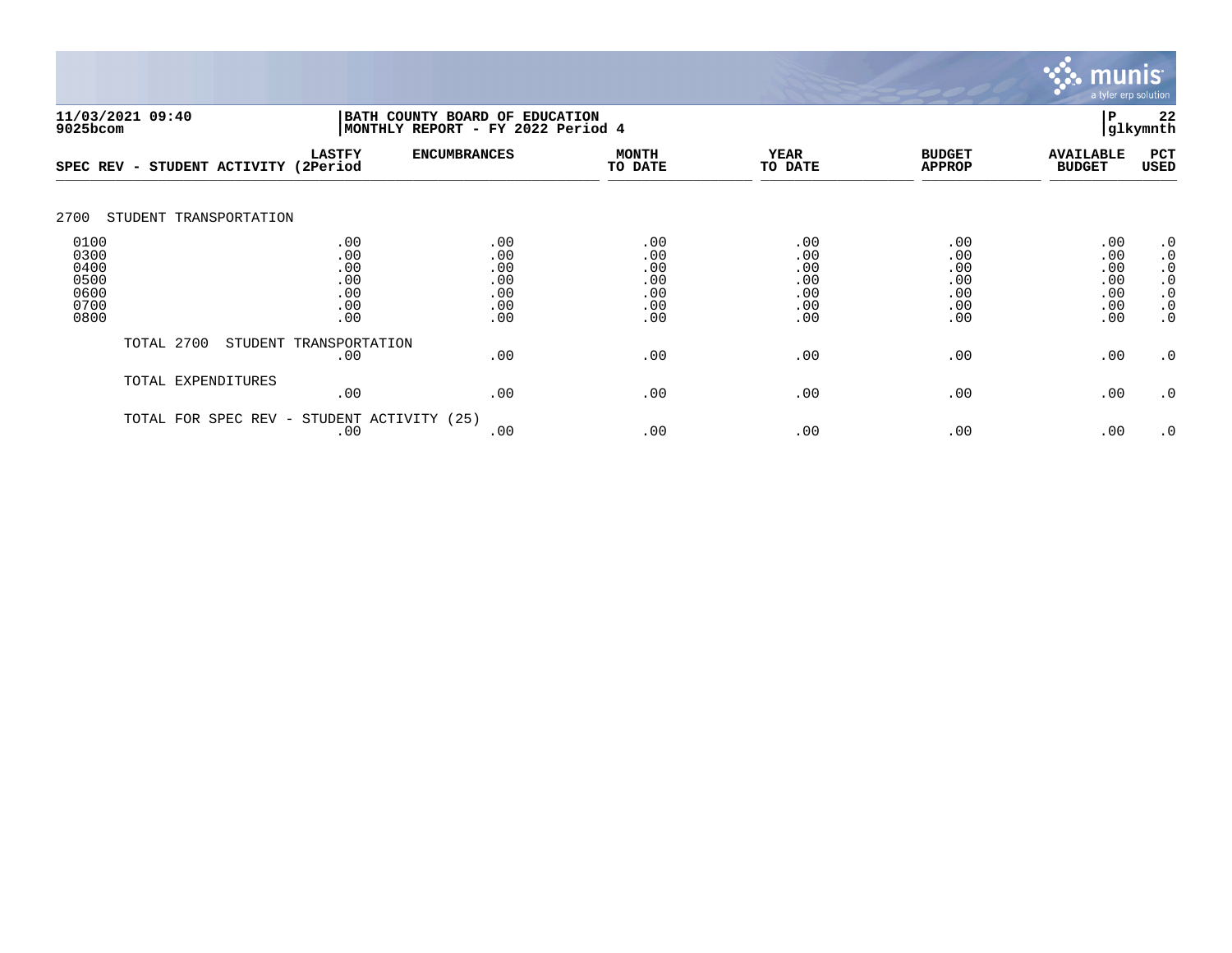

| 11/03/2021 09:40<br>9025bcom                         |                                      |                                               | 22<br>P<br>BATH COUNTY BOARD OF EDUCATION<br>glkymnth<br> MONTHLY REPORT - FY 2022 Period 4 |                                               |                                               |                                               |                                               |                                                                                         |  |
|------------------------------------------------------|--------------------------------------|-----------------------------------------------|---------------------------------------------------------------------------------------------|-----------------------------------------------|-----------------------------------------------|-----------------------------------------------|-----------------------------------------------|-----------------------------------------------------------------------------------------|--|
|                                                      | SPEC REV - STUDENT ACTIVITY (2Period | <b>LASTFY</b>                                 | <b>ENCUMBRANCES</b>                                                                         | <b>MONTH</b><br>TO DATE                       | <b>YEAR</b><br>TO DATE                        | <b>BUDGET</b><br><b>APPROP</b>                | <b>AVAILABLE</b><br><b>BUDGET</b>             | PCT<br>USED                                                                             |  |
| 2700                                                 | STUDENT TRANSPORTATION               |                                               |                                                                                             |                                               |                                               |                                               |                                               |                                                                                         |  |
| 0100<br>0300<br>0400<br>0500<br>0600<br>0700<br>0800 |                                      | .00<br>.00<br>.00<br>.00<br>.00<br>.00<br>.00 | .00<br>.00<br>.00<br>.00<br>.00<br>.00<br>.00                                               | .00<br>.00<br>.00<br>.00<br>.00<br>.00<br>.00 | .00<br>.00<br>.00<br>.00<br>.00<br>.00<br>.00 | .00<br>.00<br>.00<br>.00<br>.00<br>.00<br>.00 | .00<br>.00<br>.00<br>.00<br>.00<br>.00<br>.00 | $\cdot$ 0<br>$\cdot$ 0<br>$\cdot$ 0<br>$\cdot$ 0<br>$\cdot$ 0<br>$\cdot$ 0<br>$\cdot$ 0 |  |
|                                                      | TOTAL 2700                           | STUDENT TRANSPORTATION<br>.00                 | .00                                                                                         | .00                                           | .00                                           | .00                                           | .00                                           | $\cdot$ 0                                                                               |  |
|                                                      | TOTAL EXPENDITURES                   | .00                                           | .00                                                                                         | .00                                           | .00                                           | .00                                           | .00                                           | $\cdot$ 0                                                                               |  |
|                                                      | TOTAL FOR<br>SPEC REV -              | STUDENT ACTIVITY<br>.00                       | (25)<br>.00                                                                                 | .00                                           | .00                                           | .00                                           | .00                                           | $\cdot$ 0                                                                               |  |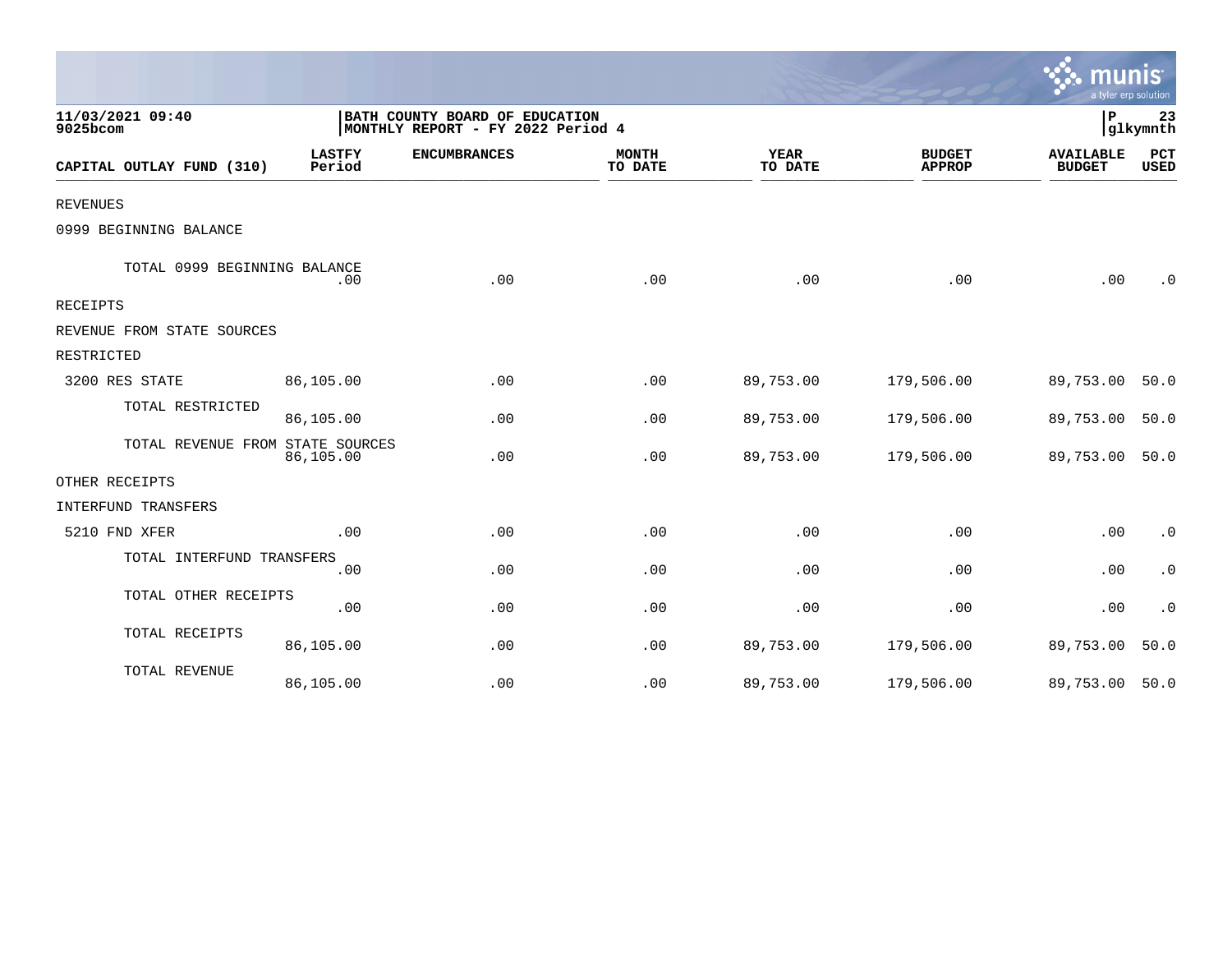|                                  |                                                                     |                     |                         |                        |                                | mun<br>a tyler erp solution       |                        |
|----------------------------------|---------------------------------------------------------------------|---------------------|-------------------------|------------------------|--------------------------------|-----------------------------------|------------------------|
| 11/03/2021 09:40<br>9025bcom     | BATH COUNTY BOARD OF EDUCATION<br>MONTHLY REPORT - FY 2022 Period 4 |                     |                         |                        |                                | P<br>glkymnth                     |                        |
| CAPITAL OUTLAY FUND (310)        | <b>LASTFY</b><br>Period                                             | <b>ENCUMBRANCES</b> | <b>MONTH</b><br>TO DATE | <b>YEAR</b><br>TO DATE | <b>BUDGET</b><br><b>APPROP</b> | <b>AVAILABLE</b><br><b>BUDGET</b> | PCT<br><b>USED</b>     |
| <b>REVENUES</b>                  |                                                                     |                     |                         |                        |                                |                                   |                        |
| 0999 BEGINNING BALANCE           |                                                                     |                     |                         |                        |                                |                                   |                        |
| TOTAL 0999 BEGINNING BALANCE     | .00                                                                 | .00                 | .00                     | .00                    | .00                            | .00                               | $\cdot$ 0              |
| <b>RECEIPTS</b>                  |                                                                     |                     |                         |                        |                                |                                   |                        |
| REVENUE FROM STATE SOURCES       |                                                                     |                     |                         |                        |                                |                                   |                        |
| RESTRICTED                       |                                                                     |                     |                         |                        |                                |                                   |                        |
| 3200 RES STATE                   | 86,105.00                                                           | .00                 | .00                     | 89,753.00              | 179,506.00                     | 89,753.00                         | 50.0                   |
| TOTAL RESTRICTED                 | 86,105.00                                                           | .00                 | .00                     | 89,753.00              | 179,506.00                     | 89,753.00                         | 50.0                   |
| TOTAL REVENUE FROM STATE SOURCES | 86,105.00                                                           | .00                 | .00                     | 89,753.00              | 179,506.00                     | 89,753.00                         | 50.0                   |
| OTHER RECEIPTS                   |                                                                     |                     |                         |                        |                                |                                   |                        |
| INTERFUND TRANSFERS              |                                                                     |                     |                         |                        |                                |                                   |                        |
| 5210 FND XFER                    | .00                                                                 | .00                 | .00                     | .00                    | .00                            | .00                               | $\boldsymbol{\cdot}$ 0 |
| TOTAL INTERFUND TRANSFERS        | .00                                                                 | .00                 | .00                     | .00                    | .00                            | .00                               | $\cdot$ 0              |
| TOTAL OTHER RECEIPTS             | .00                                                                 | .00                 | .00                     | .00                    | .00                            | .00                               | $\cdot$ 0              |
| TOTAL RECEIPTS                   | 86,105.00                                                           | .00                 | .00                     | 89,753.00              | 179,506.00                     | 89,753.00                         | 50.0                   |
| TOTAL REVENUE                    | 86,105.00                                                           | .00                 | .00                     | 89,753.00              | 179,506.00                     | 89,753.00                         | 50.0                   |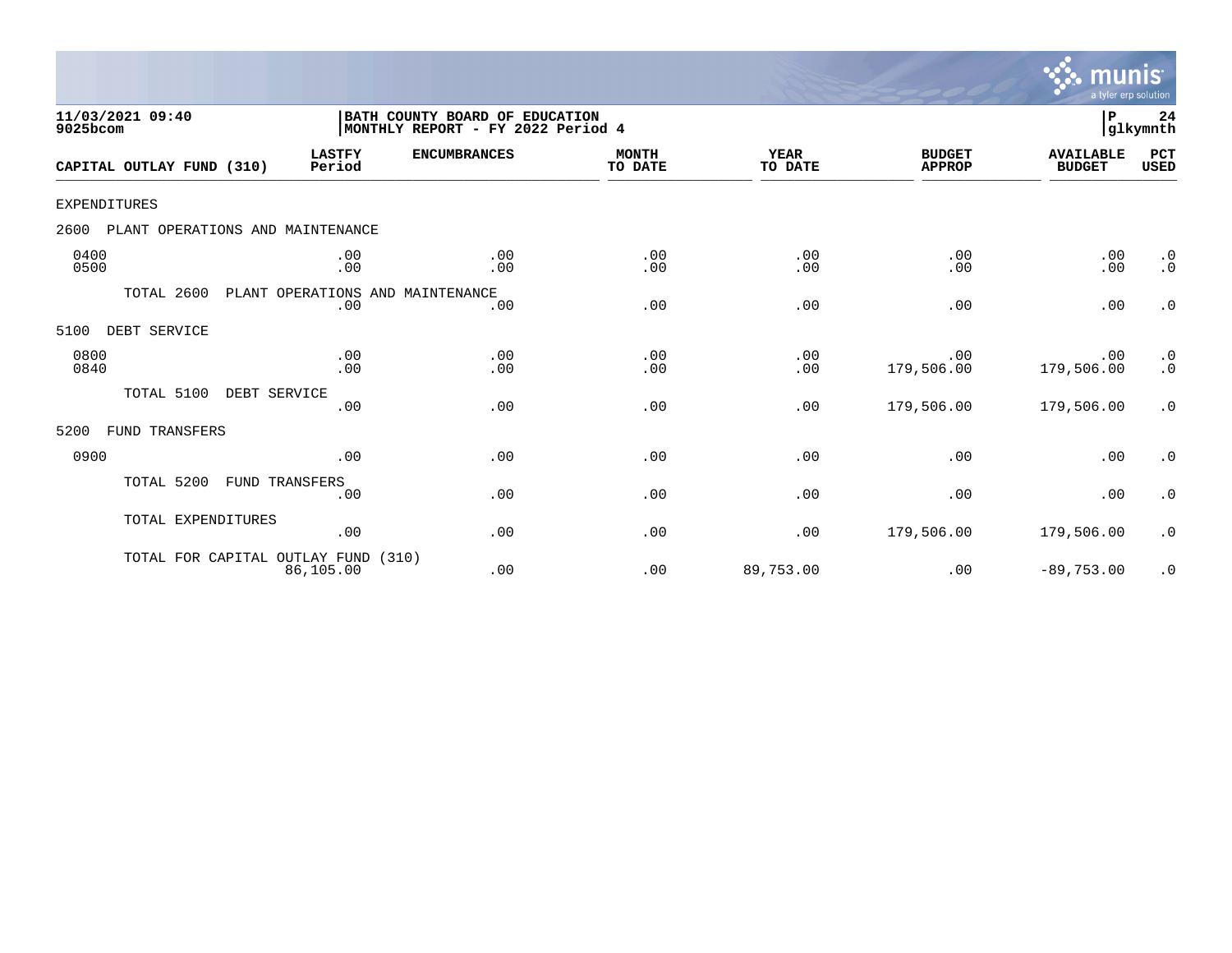

| 11/03/2021 09:40<br>9025bcom             |                                         | BATH COUNTY BOARD OF EDUCATION<br>MONTHLY REPORT - FY 2022 Period 4 |                         |                        |                                | P                                 | 24<br> glkymnth                                   |
|------------------------------------------|-----------------------------------------|---------------------------------------------------------------------|-------------------------|------------------------|--------------------------------|-----------------------------------|---------------------------------------------------|
| CAPITAL OUTLAY FUND (310)                | <b>LASTFY</b><br>Period                 | <b>ENCUMBRANCES</b>                                                 | <b>MONTH</b><br>TO DATE | <b>YEAR</b><br>TO DATE | <b>BUDGET</b><br><b>APPROP</b> | <b>AVAILABLE</b><br><b>BUDGET</b> | PCT<br><b>USED</b>                                |
| <b>EXPENDITURES</b>                      |                                         |                                                                     |                         |                        |                                |                                   |                                                   |
| 2600<br>PLANT OPERATIONS AND MAINTENANCE |                                         |                                                                     |                         |                        |                                |                                   |                                                   |
| 0400<br>0500                             | .00<br>.00                              | .00<br>.00                                                          | .00<br>.00              | .00<br>.00             | .00<br>.00                     | .00<br>.00                        | $\cdot$ 0<br>$\cdot$ 0                            |
| TOTAL 2600                               | PLANT OPERATIONS AND MAINTENANCE<br>.00 | .00                                                                 | .00                     | .00                    | .00                            | .00                               | $\cdot$ 0                                         |
| 5100<br>DEBT SERVICE                     |                                         |                                                                     |                         |                        |                                |                                   |                                                   |
| 0800<br>0840                             | .00<br>.00                              | .00<br>.00                                                          | .00<br>.00              | .00<br>.00             | .00<br>179,506.00              | .00<br>179,506.00                 | $\begin{smallmatrix} 0.1 \ 0.1 \end{smallmatrix}$ |
| TOTAL 5100                               | DEBT SERVICE<br>.00                     | .00                                                                 | .00                     | .00                    | 179,506.00                     | 179,506.00                        | $\cdot$ 0                                         |
| 5200<br>FUND TRANSFERS                   |                                         |                                                                     |                         |                        |                                |                                   |                                                   |
| 0900                                     | .00                                     | .00                                                                 | .00                     | .00                    | .00                            | .00                               | $\cdot$ 0                                         |
| TOTAL 5200                               | <b>FUND TRANSFERS</b><br>.00            | .00                                                                 | .00                     | .00                    | .00                            | .00                               | $\cdot$ 0                                         |
| TOTAL EXPENDITURES                       | .00                                     | .00                                                                 | .00                     | .00                    | 179,506.00                     | 179,506.00                        | $\cdot$ 0                                         |
| TOTAL FOR CAPITAL OUTLAY FUND (310)      | 86,105.00                               | .00                                                                 | .00                     | 89,753.00              | .00                            | $-89,753.00$                      | $\cdot$ 0                                         |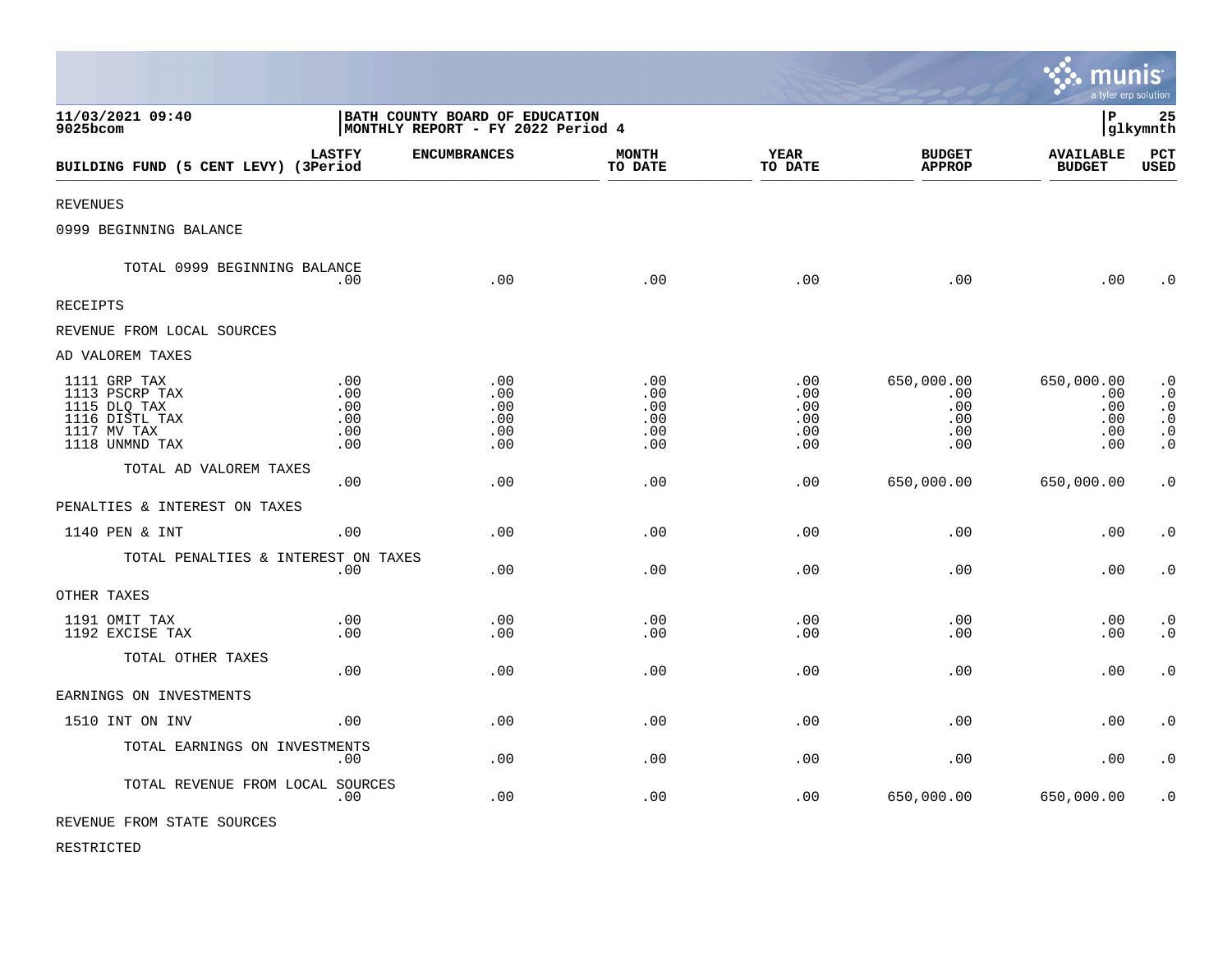|                                                                                                   |                                                                      |                                        |                                        |                                        |                                               | munis<br>a tyler erp solution                 |                                                                                         |
|---------------------------------------------------------------------------------------------------|----------------------------------------------------------------------|----------------------------------------|----------------------------------------|----------------------------------------|-----------------------------------------------|-----------------------------------------------|-----------------------------------------------------------------------------------------|
| 11/03/2021 09:40<br>9025bcom                                                                      | BATH COUNTY BOARD OF EDUCATION<br> MONTHLY REPORT - FY 2022 Period 4 |                                        |                                        |                                        |                                               | l P                                           | 25<br> glkymnth                                                                         |
| BUILDING FUND (5 CENT LEVY) (3Period                                                              | <b>LASTFY</b>                                                        | <b>ENCUMBRANCES</b>                    | <b>MONTH</b><br>TO DATE                | <b>YEAR</b><br>TO DATE                 | <b>BUDGET</b><br><b>APPROP</b>                | <b>AVAILABLE</b><br><b>BUDGET</b>             | PCT<br><b>USED</b>                                                                      |
| <b>REVENUES</b>                                                                                   |                                                                      |                                        |                                        |                                        |                                               |                                               |                                                                                         |
| 0999 BEGINNING BALANCE                                                                            |                                                                      |                                        |                                        |                                        |                                               |                                               |                                                                                         |
| TOTAL 0999 BEGINNING BALANCE                                                                      | $.00 \,$                                                             | .00                                    | .00                                    | .00                                    | .00                                           | .00                                           | $\cdot$ 0                                                                               |
| <b>RECEIPTS</b>                                                                                   |                                                                      |                                        |                                        |                                        |                                               |                                               |                                                                                         |
| REVENUE FROM LOCAL SOURCES                                                                        |                                                                      |                                        |                                        |                                        |                                               |                                               |                                                                                         |
| AD VALOREM TAXES                                                                                  |                                                                      |                                        |                                        |                                        |                                               |                                               |                                                                                         |
| 1111 GRP TAX<br>1113 PSCRP TAX<br>1115 DLQ TAX<br>1116 DISTL TAX<br>1117 MV TAX<br>1118 UNMND TAX | .00<br>.00<br>.00<br>.00<br>.00<br>.00                               | .00<br>.00<br>.00<br>.00<br>.00<br>.00 | .00<br>.00<br>.00<br>.00<br>.00<br>.00 | .00<br>.00<br>.00<br>.00<br>.00<br>.00 | 650,000.00<br>.00<br>.00<br>.00<br>.00<br>.00 | 650,000.00<br>.00<br>.00<br>.00<br>.00<br>.00 | $\cdot$ 0<br>$\cdot$ 0<br>$\cdot$ 0<br>$\boldsymbol{\cdot}$ 0<br>$\cdot$ 0<br>$\cdot$ 0 |
| TOTAL AD VALOREM TAXES                                                                            | .00                                                                  | .00                                    | .00                                    | .00                                    | 650,000.00                                    | 650,000.00                                    | $\cdot$ 0                                                                               |
| PENALTIES & INTEREST ON TAXES                                                                     |                                                                      |                                        |                                        |                                        |                                               |                                               |                                                                                         |
| 1140 PEN & INT                                                                                    | .00.                                                                 | .00.                                   | .00                                    | .00                                    | .00                                           | .00                                           | $\cdot$ 0                                                                               |
| TOTAL PENALTIES & INTEREST ON TAXES                                                               | .00                                                                  | .00                                    | .00                                    | .00                                    | .00                                           | .00                                           | $\boldsymbol{\cdot}$ 0                                                                  |
| OTHER TAXES                                                                                       |                                                                      |                                        |                                        |                                        |                                               |                                               |                                                                                         |
| 1191 OMIT TAX<br>1192 EXCISE TAX                                                                  | .00<br>.00                                                           | .00<br>.00                             | .00<br>.00                             | .00<br>.00                             | .00<br>.00                                    | .00<br>.00                                    | $\cdot$ 0<br>$\cdot$ 0                                                                  |
| TOTAL OTHER TAXES                                                                                 | .00                                                                  | .00                                    | .00                                    | .00                                    | .00                                           | .00                                           | $\cdot$ 0                                                                               |
| EARNINGS ON INVESTMENTS                                                                           |                                                                      |                                        |                                        |                                        |                                               |                                               |                                                                                         |
| 1510 INT ON INV                                                                                   | .00                                                                  | .00                                    | .00                                    | .00                                    | .00                                           | .00                                           | $\cdot$ 0                                                                               |
| TOTAL EARNINGS ON INVESTMENTS                                                                     | .00                                                                  | .00                                    | .00                                    | .00                                    | .00                                           | .00                                           | $\cdot$ 0                                                                               |
| TOTAL REVENUE FROM LOCAL SOURCES                                                                  | .00                                                                  | .00                                    | .00                                    | .00                                    | 650,000.00                                    | 650,000.00                                    | $\cdot$ 0                                                                               |
| REVENUE FROM STATE SOURCES                                                                        |                                                                      |                                        |                                        |                                        |                                               |                                               |                                                                                         |

 $\bullet$ 

RESTRICTED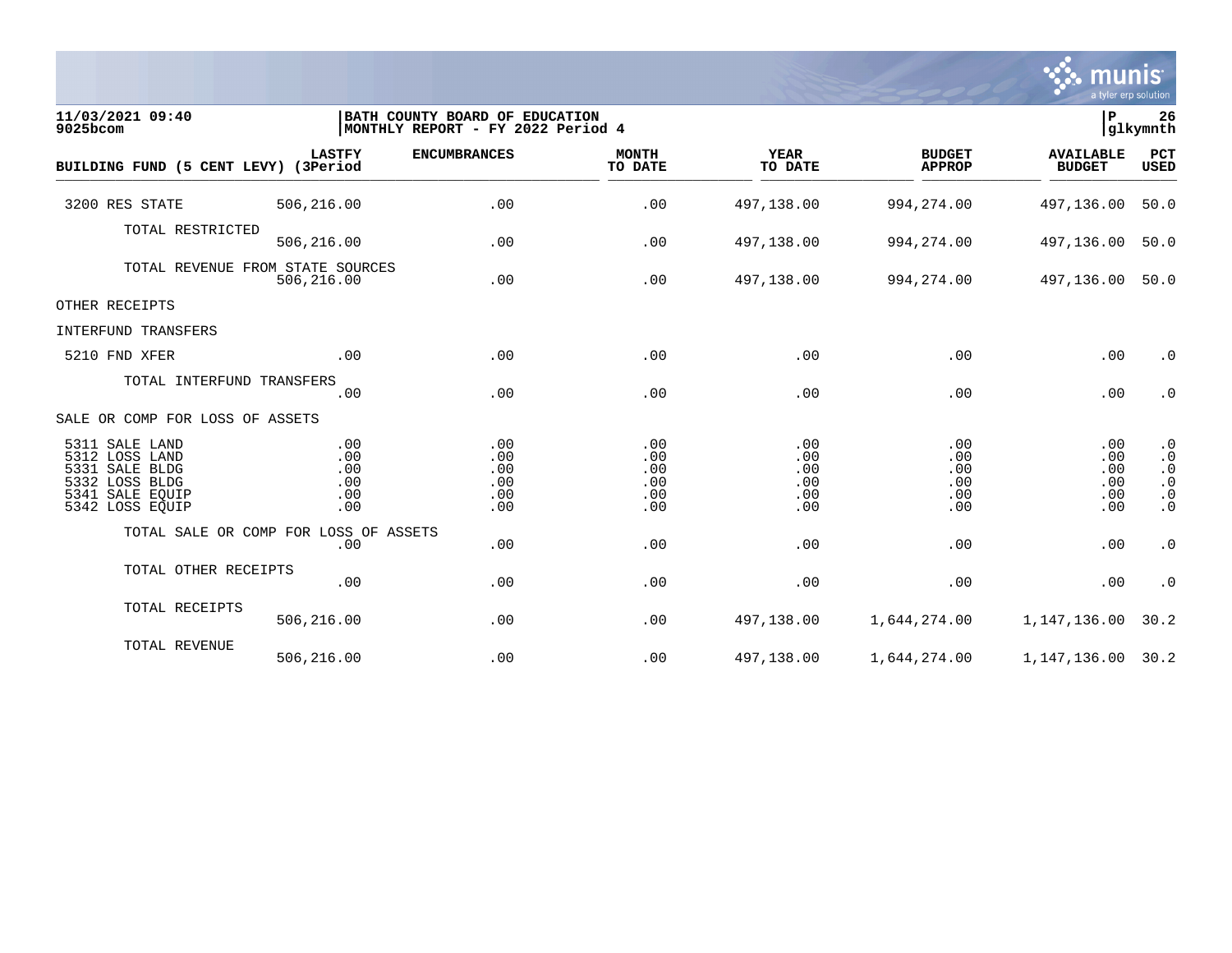

| 11/03/2021 09:40<br>9025bcom                                                                                  |                                        | BATH COUNTY BOARD OF EDUCATION<br> MONTHLY REPORT - FY 2022 Period 4 |                                        |                                        |                                        | lР<br>26<br>glkymnth                   |                                                                            |
|---------------------------------------------------------------------------------------------------------------|----------------------------------------|----------------------------------------------------------------------|----------------------------------------|----------------------------------------|----------------------------------------|----------------------------------------|----------------------------------------------------------------------------|
| BUILDING FUND (5 CENT LEVY) (3Period                                                                          | <b>LASTFY</b>                          | <b>ENCUMBRANCES</b>                                                  | <b>MONTH</b><br>TO DATE                | <b>YEAR</b><br>TO DATE                 | <b>BUDGET</b><br><b>APPROP</b>         | <b>AVAILABLE</b><br><b>BUDGET</b>      | PCT<br>USED                                                                |
| 3200 RES STATE                                                                                                | 506,216.00                             | .00                                                                  | .00                                    | 497,138.00                             | 994, 274.00                            | 497,136.00                             | 50.0                                                                       |
| TOTAL RESTRICTED                                                                                              | 506,216.00                             | .00                                                                  | .00                                    | 497,138.00                             | 994, 274.00                            | 497,136.00                             | 50.0                                                                       |
| TOTAL REVENUE FROM STATE SOURCES                                                                              | 506,216.00                             | .00                                                                  | .00                                    | 497,138.00                             | 994,274.00                             | 497,136.00                             | 50.0                                                                       |
| OTHER RECEIPTS                                                                                                |                                        |                                                                      |                                        |                                        |                                        |                                        |                                                                            |
| INTERFUND TRANSFERS                                                                                           |                                        |                                                                      |                                        |                                        |                                        |                                        |                                                                            |
| 5210 FND XFER                                                                                                 | .00                                    | .00                                                                  | .00                                    | .00                                    | .00                                    | .00                                    | $\cdot$ 0                                                                  |
| TOTAL INTERFUND TRANSFERS                                                                                     | .00                                    | .00                                                                  | .00                                    | .00                                    | .00                                    | .00                                    | $\cdot$ 0                                                                  |
| SALE OR COMP FOR LOSS OF ASSETS                                                                               |                                        |                                                                      |                                        |                                        |                                        |                                        |                                                                            |
| 5311 SALE LAND<br>5312 LOSS LAND<br>5331 SALE BLDG<br>5332 LOSS BLDG<br>5341<br>SALE EOUIP<br>5342 LOSS EQUIP | .00<br>.00<br>.00<br>.00<br>.00<br>.00 | .00<br>.00<br>.00<br>.00<br>.00<br>.00                               | .00<br>.00<br>.00<br>.00<br>.00<br>.00 | .00<br>.00<br>.00<br>.00<br>.00<br>.00 | .00<br>.00<br>.00<br>.00<br>.00<br>.00 | .00<br>.00<br>.00<br>.00<br>.00<br>.00 | $\cdot$ 0<br>$\cdot$ 0<br>$\cdot$ 0<br>$\cdot$ 0<br>$\cdot$ 0<br>$\cdot$ 0 |
| TOTAL SALE OR COMP FOR LOSS OF ASSETS                                                                         | .00                                    | .00                                                                  | .00                                    | .00                                    | .00                                    | .00                                    | $\cdot$ 0                                                                  |
| TOTAL OTHER RECEIPTS                                                                                          | .00                                    | .00                                                                  | .00                                    | .00                                    | .00                                    | .00                                    | $\cdot$ 0                                                                  |
| TOTAL RECEIPTS                                                                                                | 506,216.00                             | .00                                                                  | .00                                    | 497,138.00                             | 1,644,274.00                           | 1,147,136.00                           | 30.2                                                                       |
| TOTAL REVENUE                                                                                                 | 506,216.00                             | .00                                                                  | .00                                    | 497,138.00                             | 1,644,274.00                           | 1, 147, 136.00 30.2                    |                                                                            |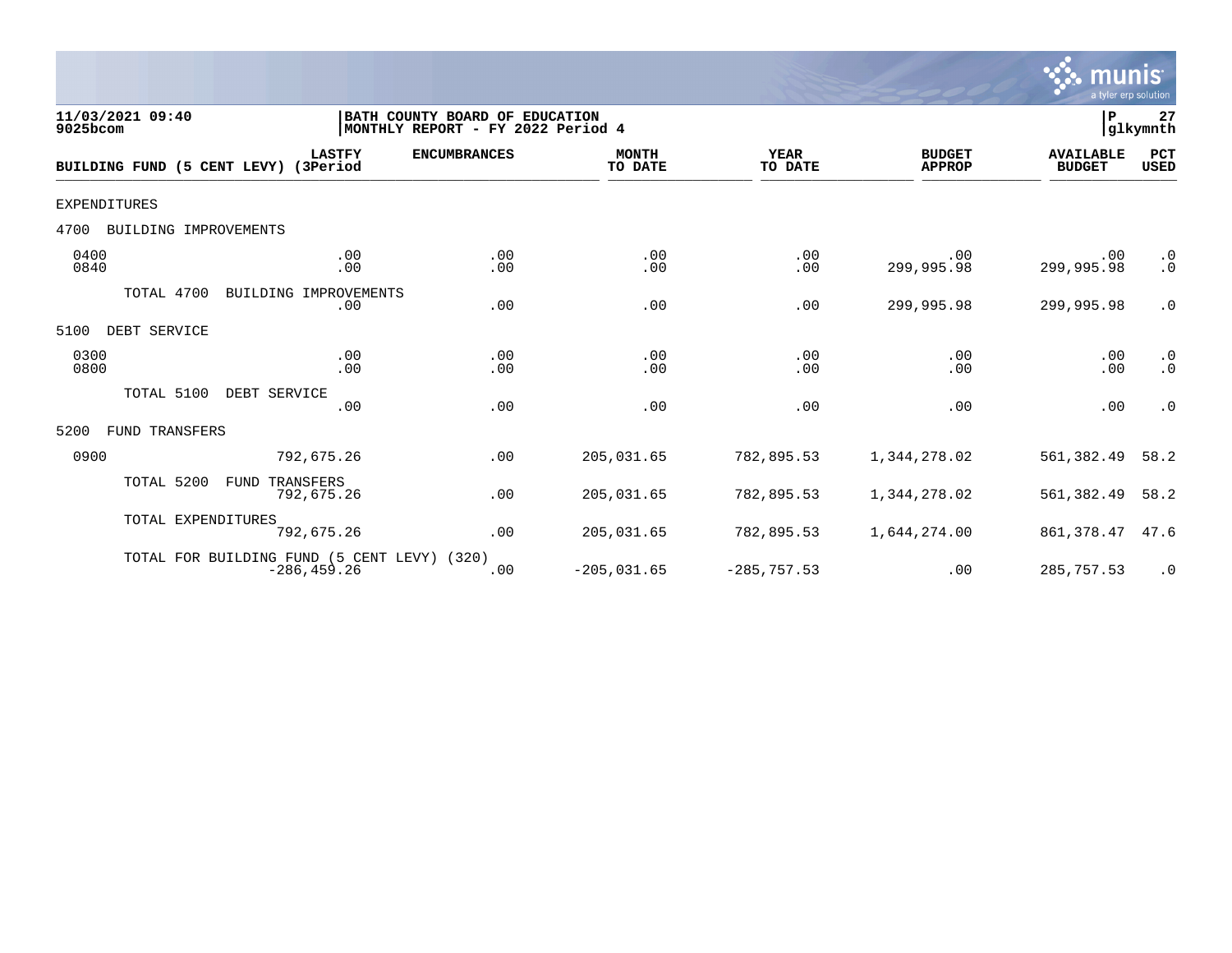

| 11/03/2021 09:40<br>9025bcom         |                                                               | BATH COUNTY BOARD OF EDUCATION<br> MONTHLY REPORT - FY 2022 Period 4 |                         |                        |                                | P                                 | 27<br>glkymnth         |
|--------------------------------------|---------------------------------------------------------------|----------------------------------------------------------------------|-------------------------|------------------------|--------------------------------|-----------------------------------|------------------------|
| BUILDING FUND (5 CENT LEVY) (3Period | <b>LASTFY</b>                                                 | <b>ENCUMBRANCES</b>                                                  | <b>MONTH</b><br>TO DATE | <b>YEAR</b><br>TO DATE | <b>BUDGET</b><br><b>APPROP</b> | <b>AVAILABLE</b><br><b>BUDGET</b> | PCT<br><b>USED</b>     |
| EXPENDITURES                         |                                                               |                                                                      |                         |                        |                                |                                   |                        |
| 4700<br>BUILDING IMPROVEMENTS        |                                                               |                                                                      |                         |                        |                                |                                   |                        |
| 0400<br>0840                         | .00<br>.00                                                    | .00<br>.00                                                           | .00<br>.00              | .00<br>.00             | .00<br>299,995.98              | .00<br>299,995.98                 | $\cdot$ 0<br>$\cdot$ 0 |
| TOTAL 4700                           | BUILDING IMPROVEMENTS<br>.00                                  | .00                                                                  | .00                     | .00                    | 299,995.98                     | 299,995.98                        | $\cdot$ 0              |
| DEBT SERVICE<br>5100                 |                                                               |                                                                      |                         |                        |                                |                                   |                        |
| 0300<br>0800                         | .00<br>.00                                                    | .00<br>.00                                                           | .00<br>.00              | .00<br>.00             | .00<br>.00                     | .00<br>.00                        | $\cdot$ 0<br>$\cdot$ 0 |
| TOTAL 5100                           | DEBT SERVICE<br>.00                                           | .00                                                                  | .00                     | .00                    | .00                            | .00                               | $\cdot$ 0              |
| 5200<br>FUND TRANSFERS               |                                                               |                                                                      |                         |                        |                                |                                   |                        |
| 0900                                 | 792,675.26                                                    | .00                                                                  | 205,031.65              | 782,895.53             | 1,344,278.02                   | 561,382.49                        | 58.2                   |
| TOTAL 5200                           | FUND<br>TRANSFERS<br>792,675.26                               | .00                                                                  | 205,031.65              | 782,895.53             | 1,344,278.02                   | 561,382.49                        | 58.2                   |
| TOTAL EXPENDITURES                   | 792,675.26                                                    | .00                                                                  | 205,031.65              | 782,895.53             | 1,644,274.00                   | 861,378.47                        | 47.6                   |
|                                      | TOTAL FOR BUILDING FUND (5 CENT LEVY) (320)<br>$-286, 459.26$ | .00                                                                  | $-205,031.65$           | $-285,757.53$          | .00                            | 285,757.53                        | $\cdot$ 0              |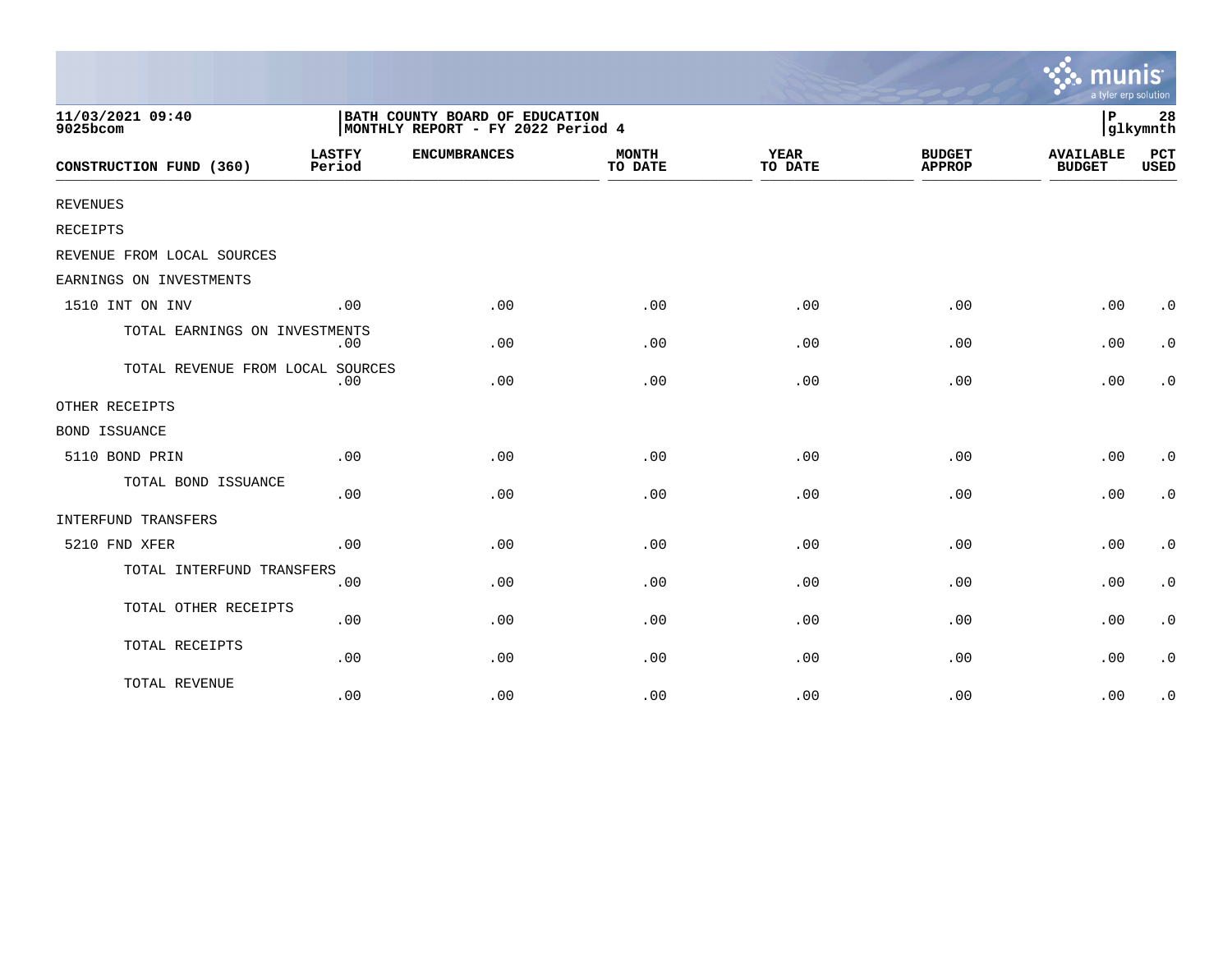|                                  |                                                                     |                     |                         |                        |                                | a tyler erp solution              |                        |
|----------------------------------|---------------------------------------------------------------------|---------------------|-------------------------|------------------------|--------------------------------|-----------------------------------|------------------------|
| 11/03/2021 09:40<br>9025bcom     | BATH COUNTY BOARD OF EDUCATION<br>MONTHLY REPORT - FY 2022 Period 4 |                     |                         |                        |                                |                                   | 28<br>glkymnth         |
| CONSTRUCTION FUND (360)          | <b>LASTFY</b><br>Period                                             | <b>ENCUMBRANCES</b> | <b>MONTH</b><br>TO DATE | <b>YEAR</b><br>TO DATE | <b>BUDGET</b><br><b>APPROP</b> | <b>AVAILABLE</b><br><b>BUDGET</b> | PCT<br><b>USED</b>     |
| REVENUES                         |                                                                     |                     |                         |                        |                                |                                   |                        |
| <b>RECEIPTS</b>                  |                                                                     |                     |                         |                        |                                |                                   |                        |
| REVENUE FROM LOCAL SOURCES       |                                                                     |                     |                         |                        |                                |                                   |                        |
| EARNINGS ON INVESTMENTS          |                                                                     |                     |                         |                        |                                |                                   |                        |
| 1510 INT ON INV                  | .00                                                                 | .00                 | .00                     | .00                    | .00                            | .00                               | $\cdot$ 0              |
| TOTAL EARNINGS ON INVESTMENTS    | .00                                                                 | .00                 | .00                     | .00                    | .00                            | .00                               | $\cdot$ 0              |
| TOTAL REVENUE FROM LOCAL SOURCES | .00                                                                 | .00                 | .00                     | .00                    | .00                            | .00                               | $\cdot$ 0              |
| OTHER RECEIPTS                   |                                                                     |                     |                         |                        |                                |                                   |                        |
| <b>BOND ISSUANCE</b>             |                                                                     |                     |                         |                        |                                |                                   |                        |
| 5110 BOND PRIN                   | .00                                                                 | .00                 | .00                     | .00                    | .00                            | .00                               | $\cdot$ 0              |
| TOTAL BOND ISSUANCE              | .00                                                                 | .00                 | .00                     | .00                    | .00                            | .00                               | $\boldsymbol{\cdot}$ 0 |
| INTERFUND TRANSFERS              |                                                                     |                     |                         |                        |                                |                                   |                        |
| 5210 FND XFER                    | .00                                                                 | .00                 | .00                     | .00                    | .00                            | .00                               | $\cdot$ 0              |
| TOTAL INTERFUND TRANSFERS        | .00                                                                 | .00                 | .00                     | .00                    | .00                            | .00                               | $\cdot$ 0              |
| TOTAL OTHER RECEIPTS             | .00                                                                 | .00                 | .00                     | .00                    | .00                            | .00                               | $\boldsymbol{\cdot}$ 0 |
| TOTAL RECEIPTS                   | .00                                                                 | .00                 | .00                     | .00                    | .00                            | .00                               | $\cdot$ 0              |
| TOTAL REVENUE                    | .00                                                                 | .00                 | .00                     | .00                    | .00                            | .00                               | $\cdot$ 0              |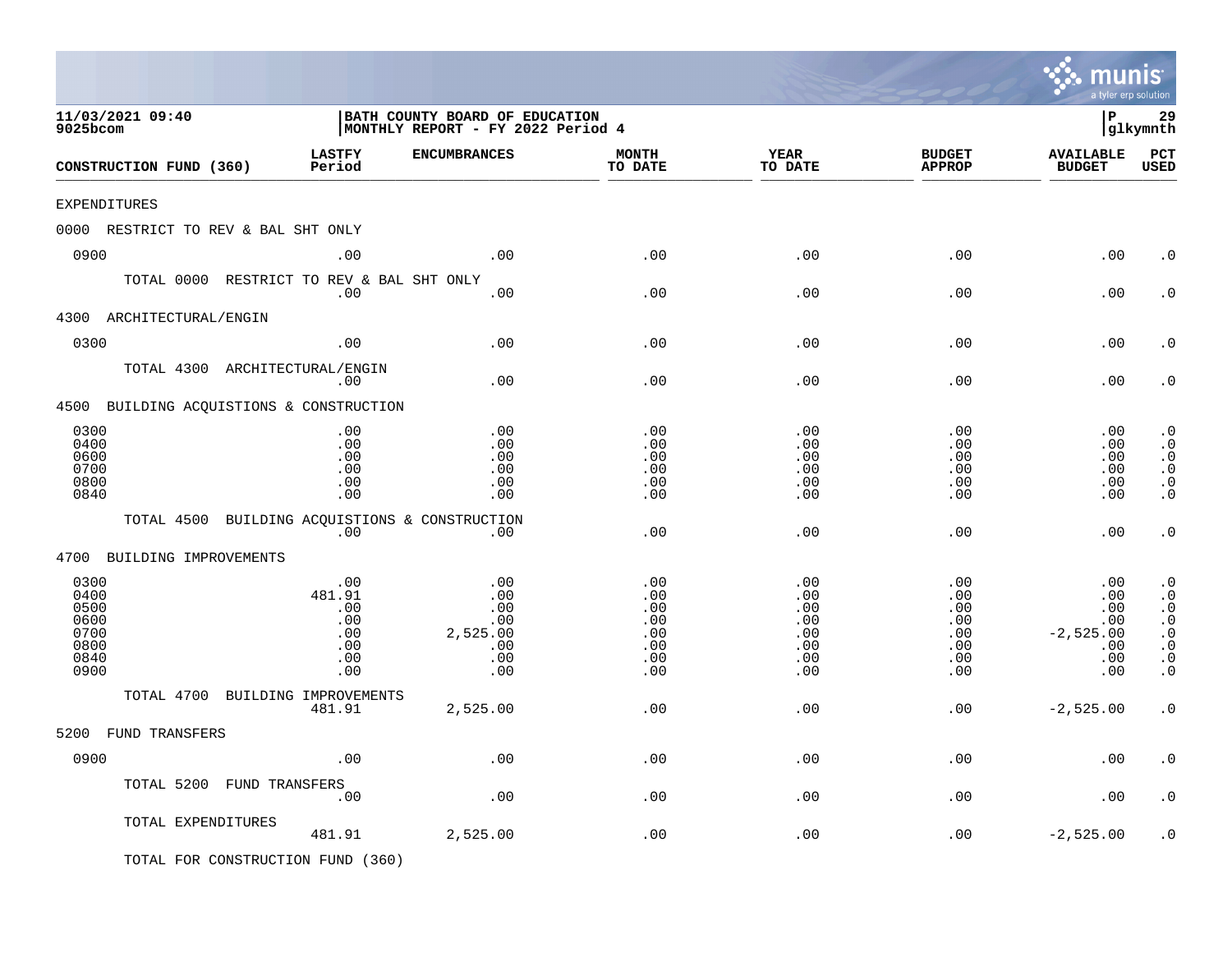|                                                              |                                                         |                                                                     |                                                      |                                                      |                                                                          | mu<br>a tyler erp solution                                   |                                                                                                      |
|--------------------------------------------------------------|---------------------------------------------------------|---------------------------------------------------------------------|------------------------------------------------------|------------------------------------------------------|--------------------------------------------------------------------------|--------------------------------------------------------------|------------------------------------------------------------------------------------------------------|
| 11/03/2021 09:40<br>9025bcom                                 |                                                         | BATH COUNTY BOARD OF EDUCATION<br>MONTHLY REPORT - FY 2022 Period 4 |                                                      |                                                      |                                                                          | l P                                                          | 29<br>glkymnth                                                                                       |
| CONSTRUCTION FUND (360)                                      | <b>LASTFY</b><br>Period                                 | <b>ENCUMBRANCES</b>                                                 | <b>MONTH</b><br>TO DATE                              | <b>YEAR</b><br>TO DATE                               | <b>BUDGET</b><br><b>APPROP</b>                                           | <b>AVAILABLE</b><br><b>BUDGET</b>                            | PCT<br><b>USED</b>                                                                                   |
| EXPENDITURES                                                 |                                                         |                                                                     |                                                      |                                                      |                                                                          |                                                              |                                                                                                      |
| 0000 RESTRICT TO REV & BAL SHT ONLY                          |                                                         |                                                                     |                                                      |                                                      |                                                                          |                                                              |                                                                                                      |
| 0900                                                         | .00                                                     | .00                                                                 | .00                                                  | .00                                                  | .00                                                                      | .00                                                          | . 0                                                                                                  |
| TOTAL 0000 RESTRICT TO REV & BAL SHT ONLY                    | .00                                                     | .00                                                                 | .00                                                  | .00                                                  | .00                                                                      | .00                                                          | $\cdot$ 0                                                                                            |
| 4300 ARCHITECTURAL/ENGIN                                     |                                                         |                                                                     |                                                      |                                                      |                                                                          |                                                              |                                                                                                      |
| 0300                                                         | .00                                                     | .00                                                                 | .00                                                  | .00                                                  | .00                                                                      | .00                                                          | $\cdot$ 0                                                                                            |
| TOTAL 4300 ARCHITECTURAL/ENGIN                               | .00                                                     | .00                                                                 | .00                                                  | .00                                                  | .00                                                                      | .00                                                          | $\cdot$ 0                                                                                            |
| 4500 BUILDING ACQUISTIONS & CONSTRUCTION                     |                                                         |                                                                     |                                                      |                                                      |                                                                          |                                                              |                                                                                                      |
| 0300<br>0400<br>0600<br>0700<br>0800<br>0840                 | .00<br>.00<br>.00<br>.00<br>.00<br>.00                  | .00<br>.00<br>.00<br>.00<br>.00<br>.00                              | .00<br>.00<br>.00<br>.00<br>.00<br>.00               | .00<br>.00<br>.00<br>.00<br>.00<br>.00               | .00<br>.00<br>.00<br>.00<br>.00<br>.00                                   | .00<br>.00<br>.00<br>.00<br>.00<br>.00                       | $\cdot$ 0<br>$\cdot$ 0<br>$\cdot$ 0<br>$\cdot$ 0<br>$\cdot$ 0<br>$\cdot$ 0                           |
| TOTAL 4500 BUILDING ACQUISTIONS & CONSTRUCTION               | .00                                                     | $.00 \,$                                                            | .00                                                  | .00                                                  | .00                                                                      | .00                                                          | $\cdot$ 0                                                                                            |
| 4700<br>BUILDING IMPROVEMENTS                                |                                                         |                                                                     |                                                      |                                                      |                                                                          |                                                              |                                                                                                      |
| 0300<br>0400<br>0500<br>0600<br>0700<br>0800<br>0840<br>0900 | .00<br>481.91<br>.00<br>.00<br>.00<br>.00<br>.00<br>.00 | .00<br>.00<br>.00<br>.00<br>2,525.00<br>.00<br>.00<br>.00           | .00<br>.00<br>.00<br>.00<br>.00<br>.00<br>.00<br>.00 | .00<br>.00<br>.00<br>.00<br>.00<br>.00<br>.00<br>.00 | .00<br>.00<br>$.00 \,$<br>$.00 \,$<br>.00<br>$.00 \,$<br>$.00 \,$<br>.00 | .00<br>.00<br>.00<br>.00<br>$-2,525.00$<br>.00<br>.00<br>.00 | $\cdot$ 0<br>$\cdot$ 0<br>$\cdot$ 0<br>$\cdot$ 0<br>$\cdot$ 0<br>$\cdot$ 0<br>$\cdot$ 0<br>$\cdot$ 0 |
| TOTAL 4700 BUILDING IMPROVEMENTS                             | 481.91                                                  | 2,525.00                                                            | .00                                                  | .00                                                  | $.00 \,$                                                                 | $-2,525.00$                                                  | $\cdot$ 0                                                                                            |
| 5200 FUND TRANSFERS                                          |                                                         |                                                                     |                                                      |                                                      |                                                                          |                                                              |                                                                                                      |
| 0900                                                         | .00                                                     | .00                                                                 | .00                                                  | .00                                                  | .00                                                                      | .00                                                          | . $\boldsymbol{0}$                                                                                   |
| TOTAL 5200 FUND TRANSFERS                                    | .00                                                     | .00                                                                 | .00                                                  | .00                                                  | .00                                                                      | .00                                                          | $\cdot$ 0                                                                                            |
| TOTAL EXPENDITURES                                           | 481.91                                                  | 2,525.00                                                            | .00                                                  | .00                                                  | .00                                                                      | $-2,525.00$                                                  | $\cdot$ 0                                                                                            |
| TOTAL FOR CONSTRUCTION FUND (360)                            |                                                         |                                                                     |                                                      |                                                      |                                                                          |                                                              |                                                                                                      |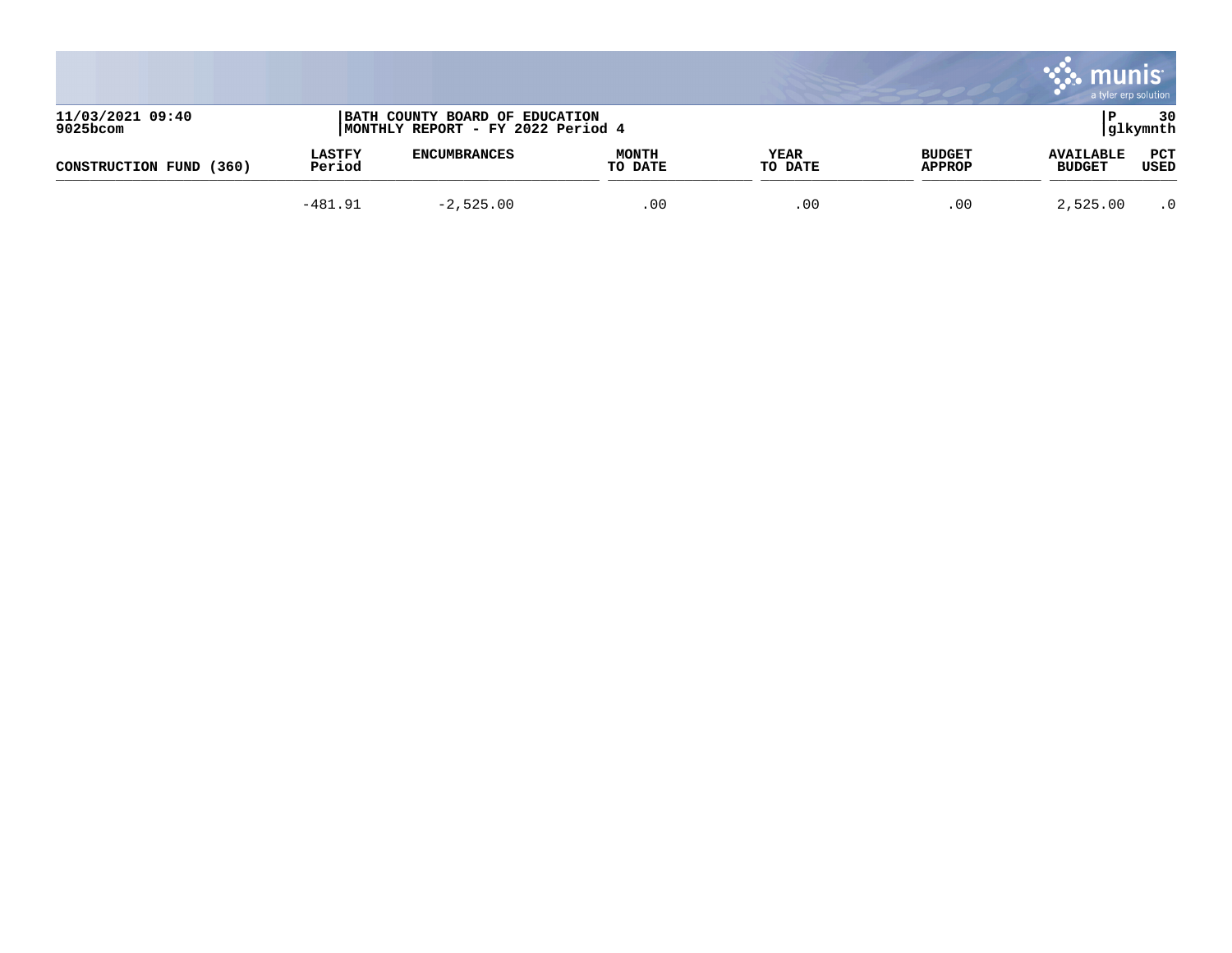|                              |                         |                                                                     |                         |                        |                                | munı<br>a tyler erp solution      |                    |
|------------------------------|-------------------------|---------------------------------------------------------------------|-------------------------|------------------------|--------------------------------|-----------------------------------|--------------------|
| 11/03/2021 09:40<br>9025bcom |                         | BATH COUNTY BOARD OF EDUCATION<br>MONTHLY REPORT - FY 2022 Period 4 |                         |                        |                                |                                   | 30<br> glkymnth    |
| (360)<br>CONSTRUCTION FUND   | <b>LASTFY</b><br>Period | <b>ENCUMBRANCES</b>                                                 | <b>MONTH</b><br>TO DATE | <b>YEAR</b><br>TO DATE | <b>BUDGET</b><br><b>APPROP</b> | <b>AVAILABLE</b><br><b>BUDGET</b> | <b>PCT</b><br>USED |
|                              | $-481.91$               | $-2,525.00$                                                         | .00                     | .00                    | .00                            | 2,525.00                          | $\cdot$ 0          |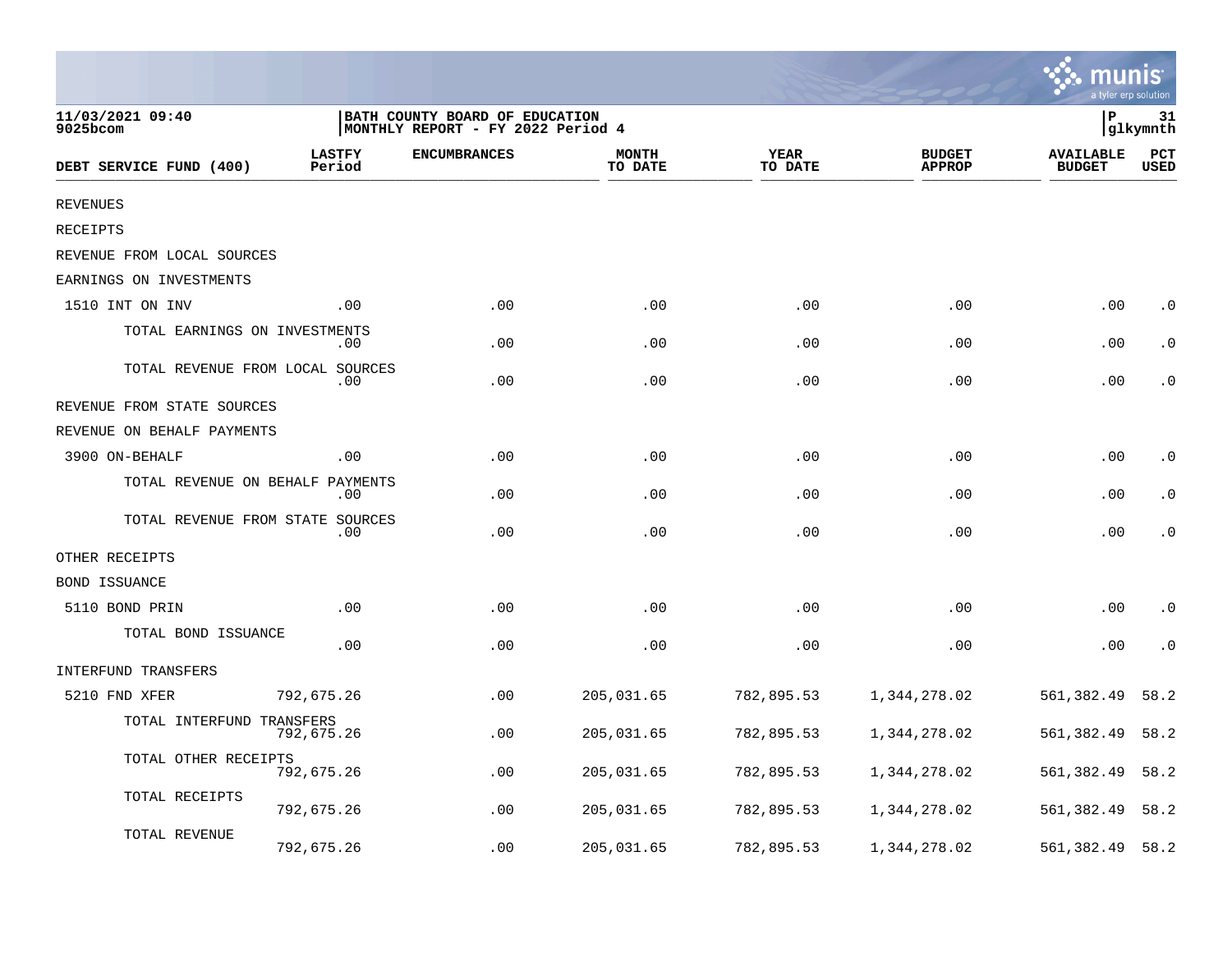|                                  |                         |                                                                     |                         |                 |                                | a tyler erp solution              |                    |
|----------------------------------|-------------------------|---------------------------------------------------------------------|-------------------------|-----------------|--------------------------------|-----------------------------------|--------------------|
| 11/03/2021 09:40<br>9025bcom     |                         | BATH COUNTY BOARD OF EDUCATION<br>MONTHLY REPORT - FY 2022 Period 4 |                         |                 |                                | ΙP                                | 31<br> glkymnth    |
| DEBT SERVICE FUND (400)          | <b>LASTFY</b><br>Period | <b>ENCUMBRANCES</b>                                                 | <b>MONTH</b><br>TO DATE | YEAR<br>TO DATE | <b>BUDGET</b><br><b>APPROP</b> | <b>AVAILABLE</b><br><b>BUDGET</b> | PCT<br><b>USED</b> |
| <b>REVENUES</b>                  |                         |                                                                     |                         |                 |                                |                                   |                    |
| RECEIPTS                         |                         |                                                                     |                         |                 |                                |                                   |                    |
| REVENUE FROM LOCAL SOURCES       |                         |                                                                     |                         |                 |                                |                                   |                    |
| EARNINGS ON INVESTMENTS          |                         |                                                                     |                         |                 |                                |                                   |                    |
| 1510 INT ON INV                  | .00                     | .00                                                                 | .00                     | .00             | .00                            | .00                               | $\cdot$ 0          |
| TOTAL EARNINGS ON INVESTMENTS    | .00                     | .00                                                                 | .00                     | .00             | .00                            | .00                               | $\cdot$ 0          |
| TOTAL REVENUE FROM LOCAL SOURCES | .00                     | .00                                                                 | .00                     | .00             | .00                            | .00                               | $\cdot$ 0          |
| REVENUE FROM STATE SOURCES       |                         |                                                                     |                         |                 |                                |                                   |                    |
| REVENUE ON BEHALF PAYMENTS       |                         |                                                                     |                         |                 |                                |                                   |                    |
| 3900 ON-BEHALF                   | .00                     | .00                                                                 | .00                     | .00             | .00                            | .00                               | $\cdot$ 0          |
| TOTAL REVENUE ON BEHALF          | PAYMENTS<br>.00         | .00                                                                 | .00                     | .00             | .00                            | .00                               | $\cdot$ 0          |
| TOTAL REVENUE FROM STATE SOURCES | .00                     | .00                                                                 | .00                     | .00             | .00                            | .00                               | $\cdot$ 0          |
| OTHER RECEIPTS                   |                         |                                                                     |                         |                 |                                |                                   |                    |
| <b>BOND ISSUANCE</b>             |                         |                                                                     |                         |                 |                                |                                   |                    |
| 5110 BOND PRIN                   | .00                     | .00                                                                 | .00                     | .00             | .00                            | .00                               | $\cdot$ 0          |
| TOTAL BOND ISSUANCE              | .00                     | .00                                                                 | .00                     | .00             | .00                            | .00                               | $\cdot$ 0          |
| <b>INTERFUND TRANSFERS</b>       |                         |                                                                     |                         |                 |                                |                                   |                    |
| 5210 FND XFER                    | 792,675.26              | .00                                                                 | 205,031.65              | 782,895.53      | 1,344,278.02                   | 561,382.49                        | 58.2               |
| TOTAL INTERFUND TRANSFERS        | 792,675.26              | .00                                                                 | 205,031.65              | 782,895.53      | 1,344,278.02                   | 561,382.49                        | 58.2               |
| TOTAL OTHER RECEIPTS             | 792,675.26              | .00                                                                 | 205,031.65              | 782,895.53      | 1,344,278.02                   | 561,382.49                        | 58.2               |
| TOTAL RECEIPTS                   | 792,675.26              | .00                                                                 | 205,031.65              | 782,895.53      | 1,344,278.02                   | 561,382.49                        | 58.2               |
| TOTAL REVENUE                    | 792,675.26              | .00                                                                 | 205,031.65              | 782,895.53      | 1,344,278.02                   | 561,382.49                        | 58.2               |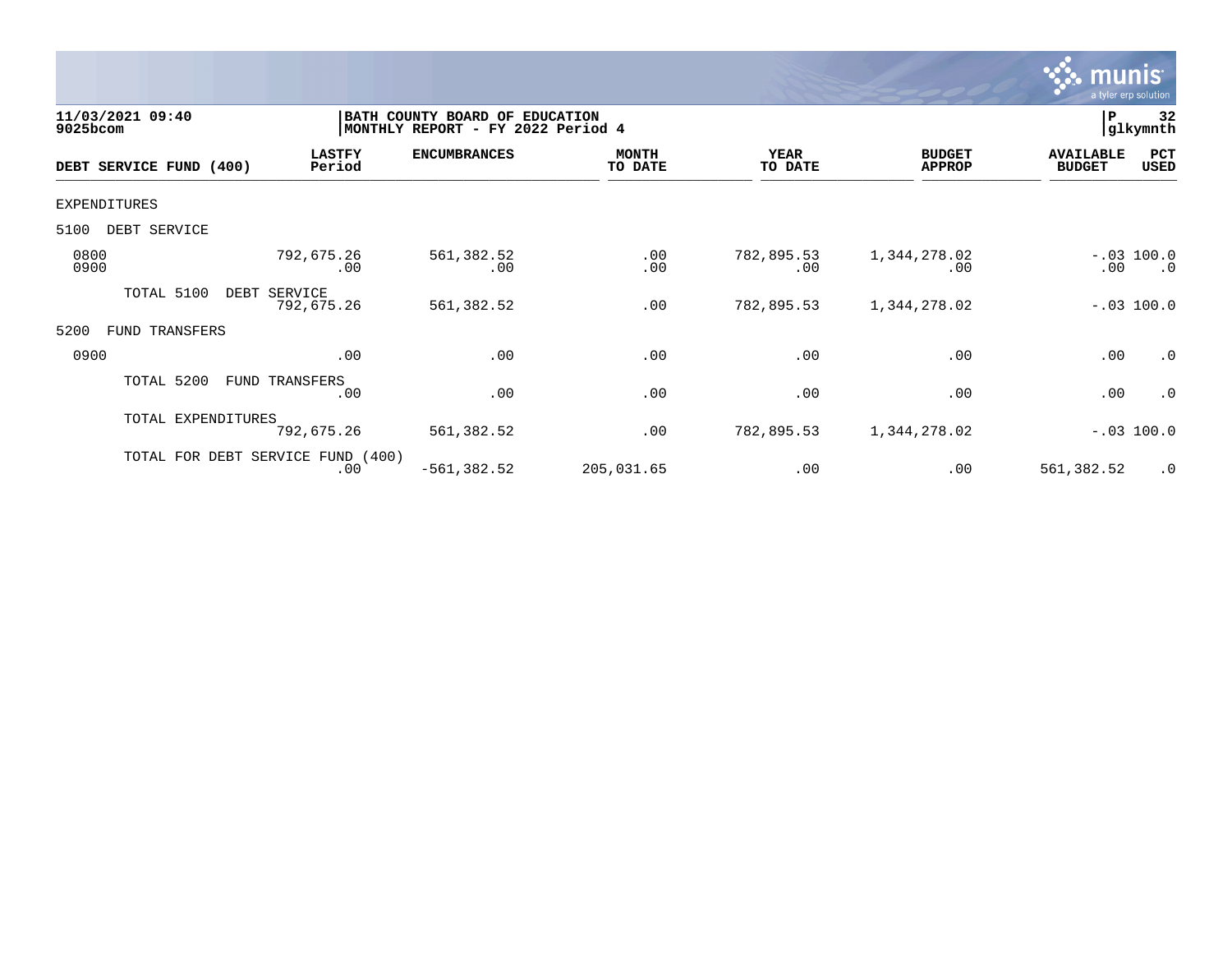

| 11/03/2021 09:40<br>$9025$ bcom |                                          | BATH COUNTY BOARD OF EDUCATION<br>MONTHLY REPORT - FY 2022 Period 4 |                         |                   |                                |                                   | 32<br> glkymnth           |
|---------------------------------|------------------------------------------|---------------------------------------------------------------------|-------------------------|-------------------|--------------------------------|-----------------------------------|---------------------------|
| DEBT SERVICE FUND (400)         | <b>LASTFY</b><br>Period                  | <b>ENCUMBRANCES</b>                                                 | <b>MONTH</b><br>TO DATE | YEAR<br>TO DATE   | <b>BUDGET</b><br><b>APPROP</b> | <b>AVAILABLE</b><br><b>BUDGET</b> | PCT<br>USED               |
| EXPENDITURES                    |                                          |                                                                     |                         |                   |                                |                                   |                           |
| 5100<br>DEBT SERVICE            |                                          |                                                                     |                         |                   |                                |                                   |                           |
| 0800<br>0900                    | 792,675.26<br>$.00 \,$                   | 561,382.52<br>.00                                                   | .00<br>.00              | 782,895.53<br>.00 | 1,344,278.02<br>.00            | $.00 \,$                          | $-.03$ 100.0<br>$\cdot$ 0 |
| TOTAL 5100                      | DEBT SERVICE<br>792,675.26               | 561,382.52                                                          | .00                     | 782,895.53        | 1,344,278.02                   |                                   | $-.03$ 100.0              |
| 5200<br>TRANSFERS<br>FUND       |                                          |                                                                     |                         |                   |                                |                                   |                           |
| 0900                            | .00                                      | .00                                                                 | .00                     | .00               | .00                            | .00                               | .0                        |
| TOTAL 5200                      | FUND TRANSFERS<br>$.00 \,$               | .00                                                                 | .00                     | .00               | .00                            | .00                               | .0                        |
| TOTAL EXPENDITURES              | 792,675.26                               | 561,382.52                                                          | .00                     | 782,895.53        | 1,344,278.02                   |                                   | $-.03$ 100.0              |
|                                 | TOTAL FOR DEBT SERVICE FUND (400)<br>.00 | $-561, 382.52$                                                      | 205,031.65              | .00               | .00                            | 561,382.52                        | $\cdot$ 0                 |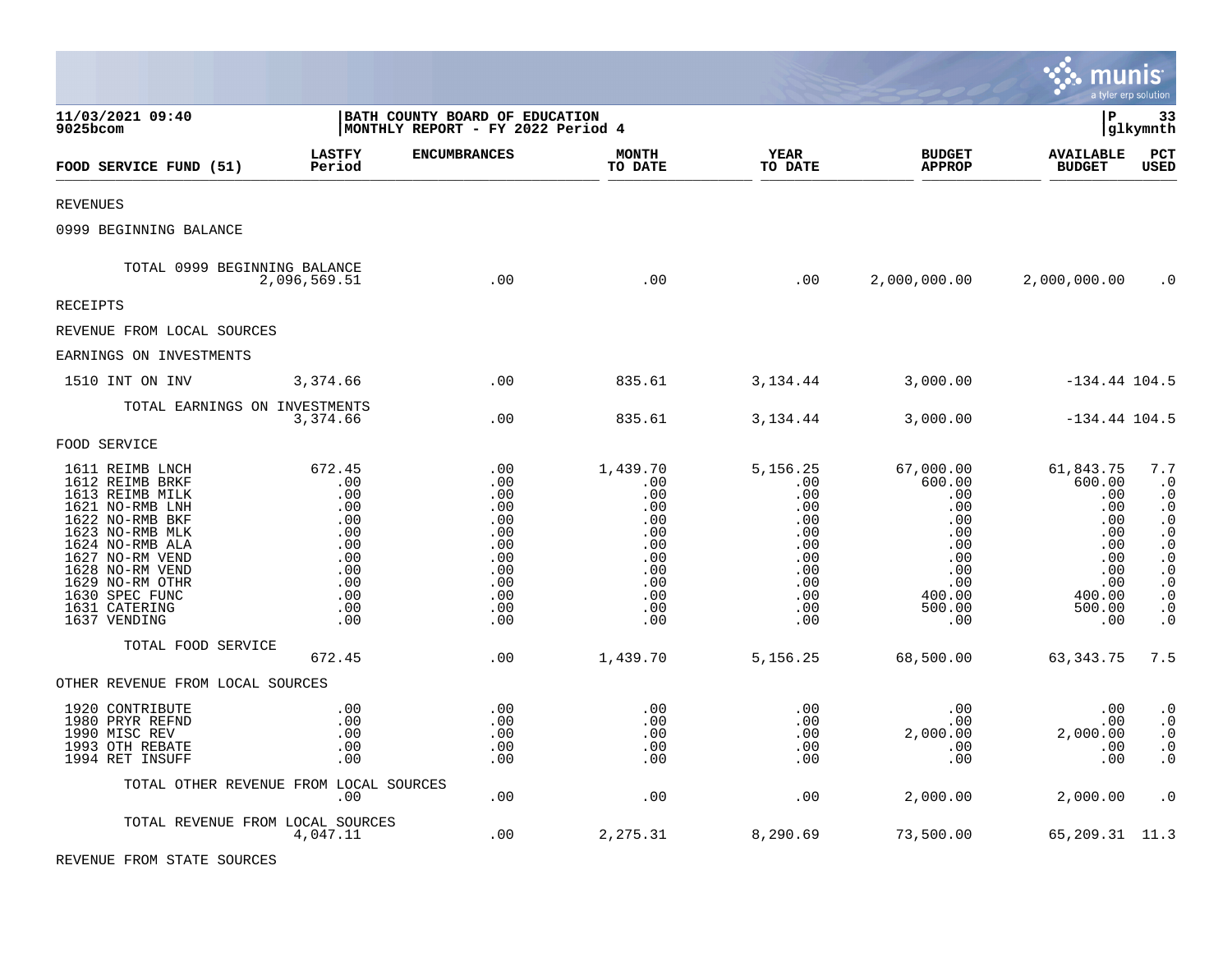|                                                                                                                                                                                                                                               |                                                                                                  |                                                                                         |                                                                                              |                                                                                                            |                                                                                                             | <u>ः munis</u>                                                                                         | a tyler erp solution                                                                                                                                                                      |
|-----------------------------------------------------------------------------------------------------------------------------------------------------------------------------------------------------------------------------------------------|--------------------------------------------------------------------------------------------------|-----------------------------------------------------------------------------------------|----------------------------------------------------------------------------------------------|------------------------------------------------------------------------------------------------------------|-------------------------------------------------------------------------------------------------------------|--------------------------------------------------------------------------------------------------------|-------------------------------------------------------------------------------------------------------------------------------------------------------------------------------------------|
| 11/03/2021 09:40<br>9025bcom                                                                                                                                                                                                                  | BATH COUNTY BOARD OF EDUCATION<br>MONTHLY REPORT - FY 2022 Period 4                              |                                                                                         |                                                                                              |                                                                                                            |                                                                                                             | lР                                                                                                     | 33<br> glkymnth                                                                                                                                                                           |
| FOOD SERVICE FUND (51)                                                                                                                                                                                                                        | <b>LASTFY</b><br>Period                                                                          | <b>ENCUMBRANCES</b>                                                                     | <b>MONTH</b><br>TO DATE                                                                      | <b>YEAR</b><br>TO DATE                                                                                     | <b>BUDGET</b><br><b>APPROP</b>                                                                              | <b>AVAILABLE</b><br><b>BUDGET</b>                                                                      | PCT<br>USED                                                                                                                                                                               |
| REVENUES                                                                                                                                                                                                                                      |                                                                                                  |                                                                                         |                                                                                              |                                                                                                            |                                                                                                             |                                                                                                        |                                                                                                                                                                                           |
| 0999 BEGINNING BALANCE                                                                                                                                                                                                                        |                                                                                                  |                                                                                         |                                                                                              |                                                                                                            |                                                                                                             |                                                                                                        |                                                                                                                                                                                           |
| TOTAL 0999 BEGINNING BALANCE                                                                                                                                                                                                                  | 2,096,569.51                                                                                     | .00                                                                                     | .00                                                                                          | .00                                                                                                        | 2,000,000.00                                                                                                | 2,000,000.00                                                                                           | $\cdot$ 0                                                                                                                                                                                 |
| RECEIPTS                                                                                                                                                                                                                                      |                                                                                                  |                                                                                         |                                                                                              |                                                                                                            |                                                                                                             |                                                                                                        |                                                                                                                                                                                           |
| REVENUE FROM LOCAL SOURCES                                                                                                                                                                                                                    |                                                                                                  |                                                                                         |                                                                                              |                                                                                                            |                                                                                                             |                                                                                                        |                                                                                                                                                                                           |
| EARNINGS ON INVESTMENTS                                                                                                                                                                                                                       |                                                                                                  |                                                                                         |                                                                                              |                                                                                                            |                                                                                                             |                                                                                                        |                                                                                                                                                                                           |
| 1510 INT ON INV                                                                                                                                                                                                                               | 3,374.66                                                                                         | .00                                                                                     | 835.61                                                                                       | 3,134.44                                                                                                   | 3,000.00                                                                                                    | $-134.44$ 104.5                                                                                        |                                                                                                                                                                                           |
| TOTAL EARNINGS ON INVESTMENTS                                                                                                                                                                                                                 | 3,374.66                                                                                         | .00                                                                                     | 835.61                                                                                       | 3,134.44                                                                                                   | 3,000.00                                                                                                    | $-134.44$ 104.5                                                                                        |                                                                                                                                                                                           |
| FOOD SERVICE                                                                                                                                                                                                                                  |                                                                                                  |                                                                                         |                                                                                              |                                                                                                            |                                                                                                             |                                                                                                        |                                                                                                                                                                                           |
| 1611 REIMB LNCH<br>1612 REIMB BRKF<br>1613 REIMB MILK<br>1621 NO-RMB LNH<br>1622 NO-RMB BKF<br>1623 NO-RMB MLK<br>1624 NO-RMB ALA<br>1627 NO-RM VEND<br>1628 NO-RM VEND<br>1629 NO-RM OTHR<br>1630 SPEC FUNC<br>1631 CATERING<br>1637 VENDING | 672.45<br>$\,.\,00$<br>.00<br>.00<br>.00<br>.00<br>.00<br>.00<br>.00<br>.00<br>.00<br>.00<br>.00 | .00<br>.00<br>.00<br>.00<br>.00<br>.00<br>.00<br>.00<br>.00<br>.00<br>.00<br>.00<br>.00 | 1,439.70<br>.00<br>.00<br>.00<br>.00<br>.00<br>.00<br>.00<br>.00<br>.00<br>.00<br>.00<br>.00 | 5,156.25<br>$.00 \ \,$<br>.00<br>.00<br>.00<br>.00<br>.00<br>.00<br>.00<br>.00<br>$.00 \ \,$<br>.00<br>.00 | 67,000.00<br>600.00<br>.00<br>.00<br>.00<br>$.00 \,$<br>.00<br>.00<br>.00<br>.00<br>400.00<br>500.00<br>.00 | 61,843.75<br>600.00<br>.00<br>.00<br>.00<br>.00<br>.00<br>.00<br>.00<br>.00<br>400.00<br>500.00<br>.00 | 7.7<br>$\cdot$ 0<br>$\cdot$ 0<br>$\cdot$ 0<br>$\boldsymbol{\cdot}$ 0<br>$\cdot$ 0<br>$\cdot$ 0<br>$\cdot$ 0<br>$\cdot$ 0<br>$\cdot$ 0<br>$\cdot$ 0<br>$\boldsymbol{\cdot}$ 0<br>$\cdot$ 0 |
| TOTAL FOOD SERVICE                                                                                                                                                                                                                            | 672.45                                                                                           | $.00 \,$                                                                                | 1,439.70                                                                                     | 5,156.25                                                                                                   | 68,500.00                                                                                                   | 63,343.75                                                                                              | 7.5                                                                                                                                                                                       |
| OTHER REVENUE FROM LOCAL SOURCES                                                                                                                                                                                                              |                                                                                                  |                                                                                         |                                                                                              |                                                                                                            |                                                                                                             |                                                                                                        |                                                                                                                                                                                           |
| 1920 CONTRIBUTE<br>1980 PRYR REFND<br>1990 MISC REV<br>1993 OTH REBATE<br>1994 RET INSUFF                                                                                                                                                     | .00<br>.00<br>.00<br>.00<br>.00                                                                  | .00<br>.00<br>.00<br>.00<br>.00                                                         | .00<br>.00<br>.00<br>.00<br>.00                                                              | .00<br>.00<br>.00<br>.00<br>.00                                                                            | .00<br>.00<br>2,000.00<br>.00<br>.00                                                                        | .00<br>.00<br>2,000.00<br>.00<br>.00                                                                   | $\cdot$ 0<br>$\cdot$ 0<br>$\cdot$ 0<br>. 0<br>$\cdot$ 0                                                                                                                                   |
|                                                                                                                                                                                                                                               | TOTAL OTHER REVENUE FROM LOCAL SOURCES<br>.00                                                    | .00                                                                                     | .00                                                                                          | .00                                                                                                        | 2,000.00                                                                                                    | 2,000.00                                                                                               | $\cdot$ 0                                                                                                                                                                                 |
|                                                                                                                                                                                                                                               | TOTAL REVENUE FROM LOCAL SOURCES<br>4,047.11                                                     | $.00 \,$                                                                                | 2,275.31                                                                                     | 8,290.69                                                                                                   | 73,500.00                                                                                                   | 65, 209. 31 11. 3                                                                                      |                                                                                                                                                                                           |

 $\mathcal{L}^{\text{max}}$ 

REVENUE FROM STATE SOURCES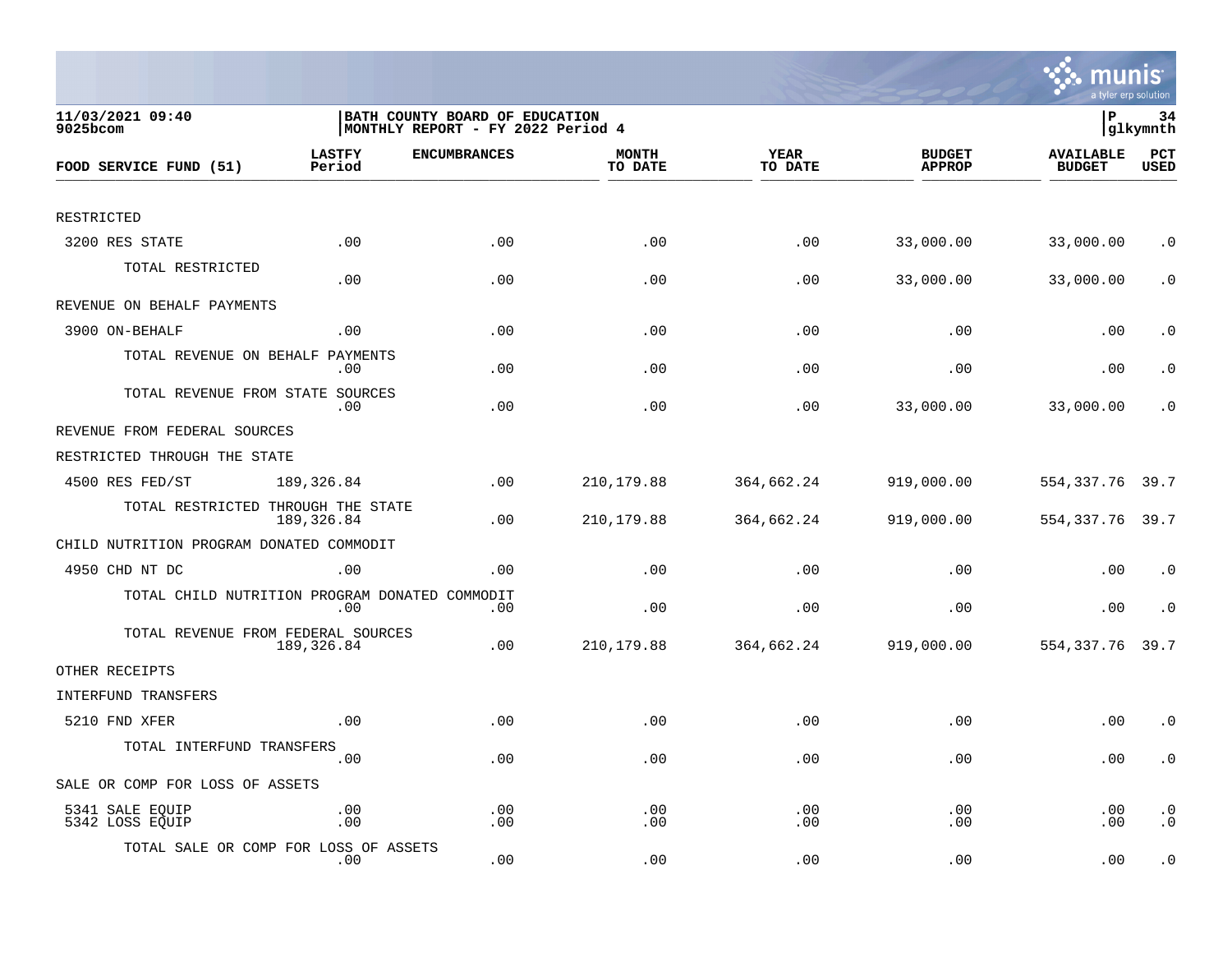

| 11/03/2021 09:40<br>$9025$ bcom                | BATH COUNTY BOARD OF EDUCATION<br>MONTHLY REPORT - FY 2022 Period 4 |                     |                         |                        |                                | lР<br>34<br> glkymnth             |                        |  |
|------------------------------------------------|---------------------------------------------------------------------|---------------------|-------------------------|------------------------|--------------------------------|-----------------------------------|------------------------|--|
| FOOD SERVICE FUND (51)                         | <b>LASTFY</b><br>Period                                             | <b>ENCUMBRANCES</b> | <b>MONTH</b><br>TO DATE | <b>YEAR</b><br>TO DATE | <b>BUDGET</b><br><b>APPROP</b> | <b>AVAILABLE</b><br><b>BUDGET</b> | PCT<br><b>USED</b>     |  |
|                                                |                                                                     |                     |                         |                        |                                |                                   |                        |  |
| RESTRICTED                                     |                                                                     |                     |                         |                        |                                |                                   |                        |  |
| 3200 RES STATE                                 | .00                                                                 | .00                 | .00                     | .00                    | 33,000.00                      | 33,000.00                         | $\cdot$ 0              |  |
| TOTAL RESTRICTED                               | .00                                                                 | .00                 | .00                     | .00                    | 33,000.00                      | 33,000.00                         | $\cdot$ 0              |  |
| REVENUE ON BEHALF PAYMENTS                     |                                                                     |                     |                         |                        |                                |                                   |                        |  |
| 3900 ON-BEHALF                                 | .00                                                                 | .00                 | .00                     | .00                    | .00                            | .00                               | $\cdot$ 0              |  |
| TOTAL REVENUE ON BEHALF PAYMENTS               | .00                                                                 | .00                 | .00                     | .00                    | .00                            | .00                               | $\cdot$ 0              |  |
| TOTAL REVENUE FROM STATE SOURCES               | .00                                                                 | .00                 | .00                     | .00                    | 33,000.00                      | 33,000.00                         | $\cdot$ 0              |  |
| REVENUE FROM FEDERAL SOURCES                   |                                                                     |                     |                         |                        |                                |                                   |                        |  |
| RESTRICTED THROUGH THE STATE                   |                                                                     |                     |                         |                        |                                |                                   |                        |  |
| 4500 RES FED/ST                                | 189,326.84                                                          | .00                 | 210, 179.88             | 364,662.24             | 919,000.00                     | 554,337.76                        | 39.7                   |  |
| TOTAL RESTRICTED THROUGH THE STATE             | 189,326.84                                                          | .00                 | 210,179.88              | 364,662.24             | 919,000.00                     | 554, 337. 76 39. 7                |                        |  |
| CHILD NUTRITION PROGRAM DONATED COMMODIT       |                                                                     |                     |                         |                        |                                |                                   |                        |  |
| 4950 CHD NT DC                                 | .00                                                                 | .00                 | .00                     | .00                    | .00                            | .00                               | $\cdot$ 0              |  |
| TOTAL CHILD NUTRITION PROGRAM DONATED COMMODIT | .00                                                                 | .00                 | .00                     | .00                    | .00                            | .00                               | $\cdot$ 0              |  |
| TOTAL REVENUE FROM FEDERAL SOURCES             | 189,326.84                                                          | .00                 | 210, 179.88             | 364,662.24             | 919,000.00                     | 554, 337. 76                      | 39.7                   |  |
| OTHER RECEIPTS                                 |                                                                     |                     |                         |                        |                                |                                   |                        |  |
| INTERFUND TRANSFERS                            |                                                                     |                     |                         |                        |                                |                                   |                        |  |
| 5210 FND XFER                                  | .00                                                                 | .00                 | .00                     | .00                    | .00                            | .00                               | $\cdot$ 0              |  |
| TOTAL INTERFUND TRANSFERS                      | .00                                                                 | .00                 | .00                     | .00                    | .00                            | .00                               | $\cdot$ 0              |  |
| SALE OR COMP FOR LOSS OF ASSETS                |                                                                     |                     |                         |                        |                                |                                   |                        |  |
| 5341 SALE EQUIP<br>5342 LOSS EQUIP             | .00<br>.00                                                          | .00<br>.00          | .00<br>.00              | .00<br>.00             | .00<br>.00                     | .00<br>.00                        | $\cdot$ 0<br>$\cdot$ 0 |  |
| TOTAL SALE OR COMP FOR LOSS OF ASSETS          | $.00 \,$                                                            | .00                 | .00                     | .00                    | .00                            | .00                               | $\cdot$ 0              |  |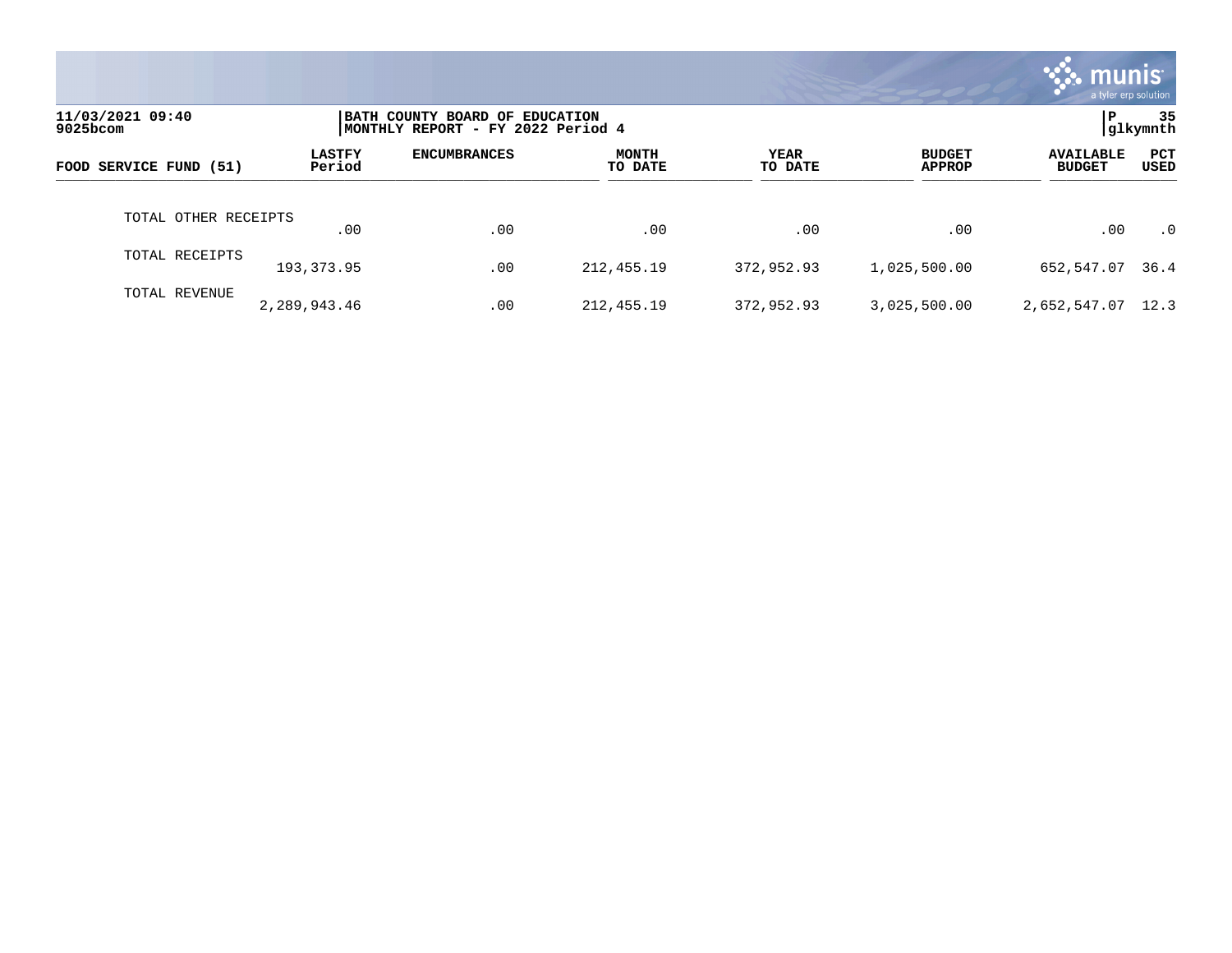|                              |                         |                                                                     |                         |                 |                                | mu<br>a tyler erp solution        |                      |
|------------------------------|-------------------------|---------------------------------------------------------------------|-------------------------|-----------------|--------------------------------|-----------------------------------|----------------------|
| 11/03/2021 09:40<br>9025bcom |                         | BATH COUNTY BOARD OF EDUCATION<br>MONTHLY REPORT - FY 2022 Period 4 |                         |                 |                                | P                                 | 35<br>glkymnth       |
| FOOD SERVICE FUND (51)       | <b>LASTFY</b><br>Period | <b>ENCUMBRANCES</b>                                                 | <b>MONTH</b><br>TO DATE | YEAR<br>TO DATE | <b>BUDGET</b><br><b>APPROP</b> | <b>AVAILABLE</b><br><b>BUDGET</b> | PCT<br>USED          |
| TOTAL OTHER RECEIPTS         | .00                     | .00                                                                 | .00                     | .00             | .00                            | .00                               | $\cdot$ <sup>0</sup> |
| TOTAL RECEIPTS               | 193, 373.95             | .00                                                                 | 212,455.19              | 372,952.93      | 1,025,500.00                   | 652,547.07                        | 36.4                 |
| TOTAL REVENUE                | 2,289,943.46            | .00                                                                 | 212,455.19              | 372,952.93      | 3,025,500.00                   | 2,652,547.07                      | 12.3                 |

the contract of the contract of

a sa mga magaalang na mga magaalang ng mga magaalang ng mga magaalang ng magaalang ng magaalang ng magaalang n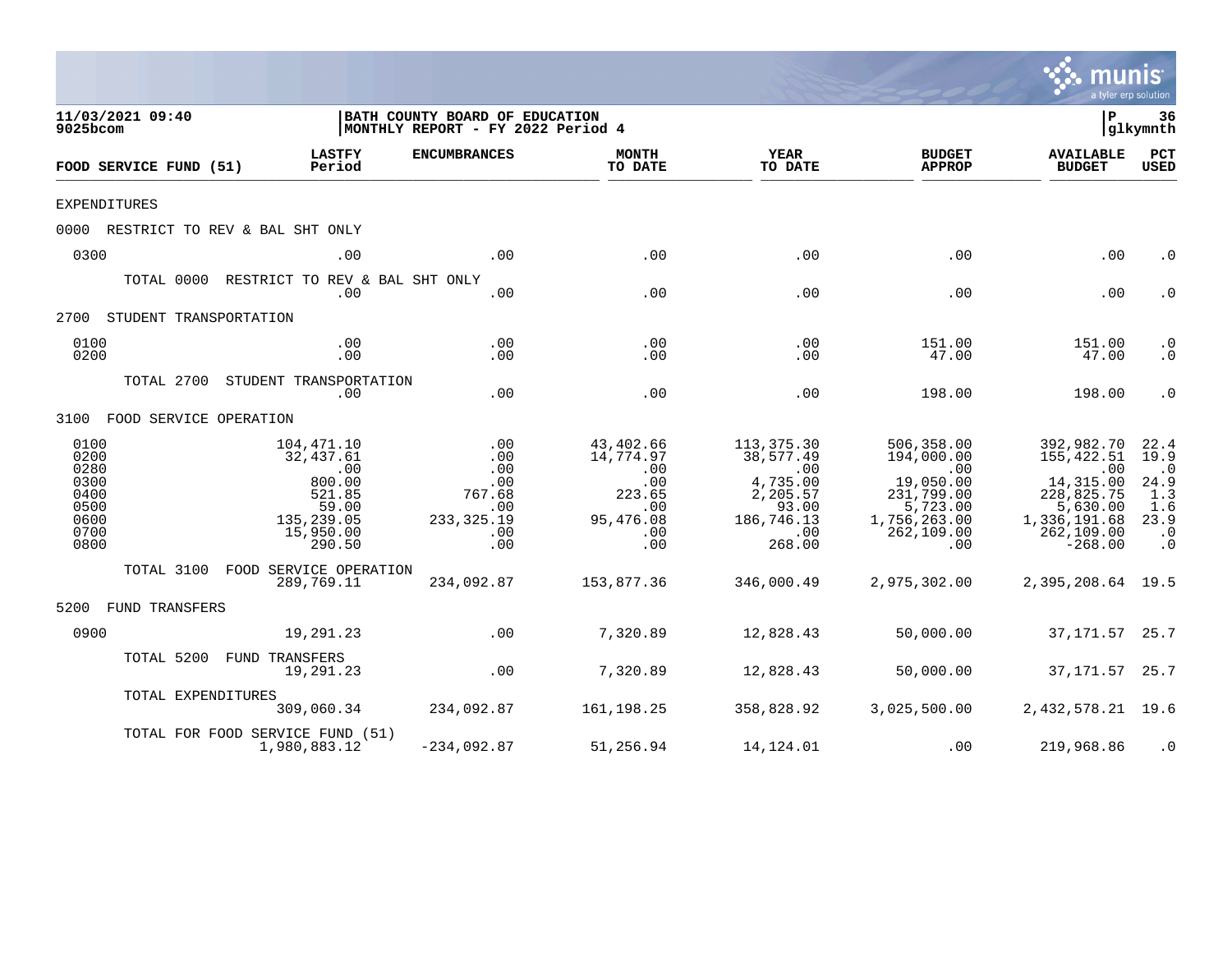|                                                                      |                                                                                                  |                                                                                                                 |                                                                                        |                                                                                                                         |                                                                                                                                      |                                                                                                                   | a tyler erp solution                                                       |
|----------------------------------------------------------------------|--------------------------------------------------------------------------------------------------|-----------------------------------------------------------------------------------------------------------------|----------------------------------------------------------------------------------------|-------------------------------------------------------------------------------------------------------------------------|--------------------------------------------------------------------------------------------------------------------------------------|-------------------------------------------------------------------------------------------------------------------|----------------------------------------------------------------------------|
| 11/03/2021 09:40<br>9025bcom                                         |                                                                                                  | BATH COUNTY BOARD OF EDUCATION<br>MONTHLY REPORT - FY 2022 Period 4                                             |                                                                                        |                                                                                                                         |                                                                                                                                      | Þ                                                                                                                 | 36<br> glkymnth                                                            |
| FOOD SERVICE FUND (51)                                               | <b>LASTFY</b><br>Period                                                                          | <b>ENCUMBRANCES</b>                                                                                             | <b>MONTH</b><br>TO DATE                                                                | YEAR<br>TO DATE                                                                                                         | <b>BUDGET</b><br><b>APPROP</b>                                                                                                       | <b>AVAILABLE</b><br><b>BUDGET</b>                                                                                 | PCT<br><b>USED</b>                                                         |
| <b>EXPENDITURES</b>                                                  |                                                                                                  |                                                                                                                 |                                                                                        |                                                                                                                         |                                                                                                                                      |                                                                                                                   |                                                                            |
|                                                                      | 0000 RESTRICT TO REV & BAL SHT ONLY                                                              |                                                                                                                 |                                                                                        |                                                                                                                         |                                                                                                                                      |                                                                                                                   |                                                                            |
| 0300                                                                 | .00                                                                                              | .00                                                                                                             | .00                                                                                    | .00                                                                                                                     | .00                                                                                                                                  | .00                                                                                                               | $\cdot$ 0                                                                  |
| TOTAL 0000                                                           | RESTRICT TO REV & BAL SHT ONLY<br>.00                                                            | .00                                                                                                             | .00                                                                                    | .00                                                                                                                     | .00                                                                                                                                  | .00                                                                                                               | $\cdot$ 0                                                                  |
| 2700 STUDENT TRANSPORTATION                                          |                                                                                                  |                                                                                                                 |                                                                                        |                                                                                                                         |                                                                                                                                      |                                                                                                                   |                                                                            |
| 0100<br>0200                                                         | .00<br>.00                                                                                       | .00<br>.00                                                                                                      | .00<br>.00                                                                             | .00<br>.00                                                                                                              | 151.00<br>47.00                                                                                                                      | 151.00<br>47.00                                                                                                   | $\cdot$ 0<br>$.0 \,$                                                       |
|                                                                      | TOTAL 2700 STUDENT TRANSPORTATION<br>.00                                                         | .00                                                                                                             | .00                                                                                    | .00                                                                                                                     | 198.00                                                                                                                               | 198.00                                                                                                            | $\cdot$ 0                                                                  |
| 3100 FOOD SERVICE OPERATION                                          |                                                                                                  |                                                                                                                 |                                                                                        |                                                                                                                         |                                                                                                                                      |                                                                                                                   |                                                                            |
| 0100<br>0200<br>0280<br>0300<br>0400<br>0500<br>0600<br>0700<br>0800 | 104,471.10<br>32,437.61<br>.00<br>800.00<br>521.85<br>59.00<br>135,239.05<br>15,950.00<br>290.50 | $\begin{array}{c} 0.00 \\ -0.00 \end{array}$<br>.00<br>.00<br>767.68<br>$\cdot$ 00<br>233, 325.19<br>.00<br>.00 | 43,402.66<br>14,774.97<br>$\sim$ 00<br>.00<br>223.65<br>.00<br>95,476.08<br>.00<br>.00 | 113,375.30<br>38,577.49<br>$\overline{\phantom{0}}$ .00<br>4,735.00<br>2,205.57<br>93.00<br>186,746.13<br>.00<br>268.00 | 506,358.00<br>194,000.00<br>$\overline{00}$<br>19,050.00<br>231,799.00<br>5,723.00<br>1,756,263.00<br>262, 109.00<br>$\overline{00}$ | 392,982.70<br>155,422.51<br>.00<br>14,315.00<br>228,825.75<br>5,630.00<br>1,336,191.68<br>262,109.00<br>$-268.00$ | 22.4<br>19.9<br>$\cdot$ 0<br>24.9<br>1.3<br>1.6<br>23.9<br>$\cdot$ 0<br>.0 |
|                                                                      | TOTAL 3100 FOOD SERVICE OPERATION<br>289,769.11                                                  | 234,092.87                                                                                                      | 153,877.36                                                                             | 346,000.49                                                                                                              | 2,975,302.00                                                                                                                         | 2,395,208.64 19.5                                                                                                 |                                                                            |
| 5200 FUND TRANSFERS                                                  |                                                                                                  |                                                                                                                 |                                                                                        |                                                                                                                         |                                                                                                                                      |                                                                                                                   |                                                                            |
| 0900                                                                 | 19,291.23                                                                                        | .00                                                                                                             | 7,320.89                                                                               | 12,828.43                                                                                                               | 50,000.00                                                                                                                            | 37,171.57 25.7                                                                                                    |                                                                            |
|                                                                      | TOTAL 5200 FUND TRANSFERS<br>19,291.23                                                           | .00                                                                                                             | 7,320.89                                                                               | 12,828.43                                                                                                               | 50,000.00                                                                                                                            | 37, 171.57 25.7                                                                                                   |                                                                            |
|                                                                      | TOTAL EXPENDITURES<br>309,060.34                                                                 | 234,092.87                                                                                                      | 161,198.25                                                                             | 358,828.92                                                                                                              | 3,025,500.00                                                                                                                         | 2,432,578.21 19.6                                                                                                 |                                                                            |
|                                                                      | TOTAL FOR FOOD SERVICE FUND (51)<br>1,980,883.12                                                 | $-234,092.87$                                                                                                   | 51,256.94                                                                              | 14,124.01                                                                                                               | .00                                                                                                                                  | 219,968.86                                                                                                        | $\cdot$ 0                                                                  |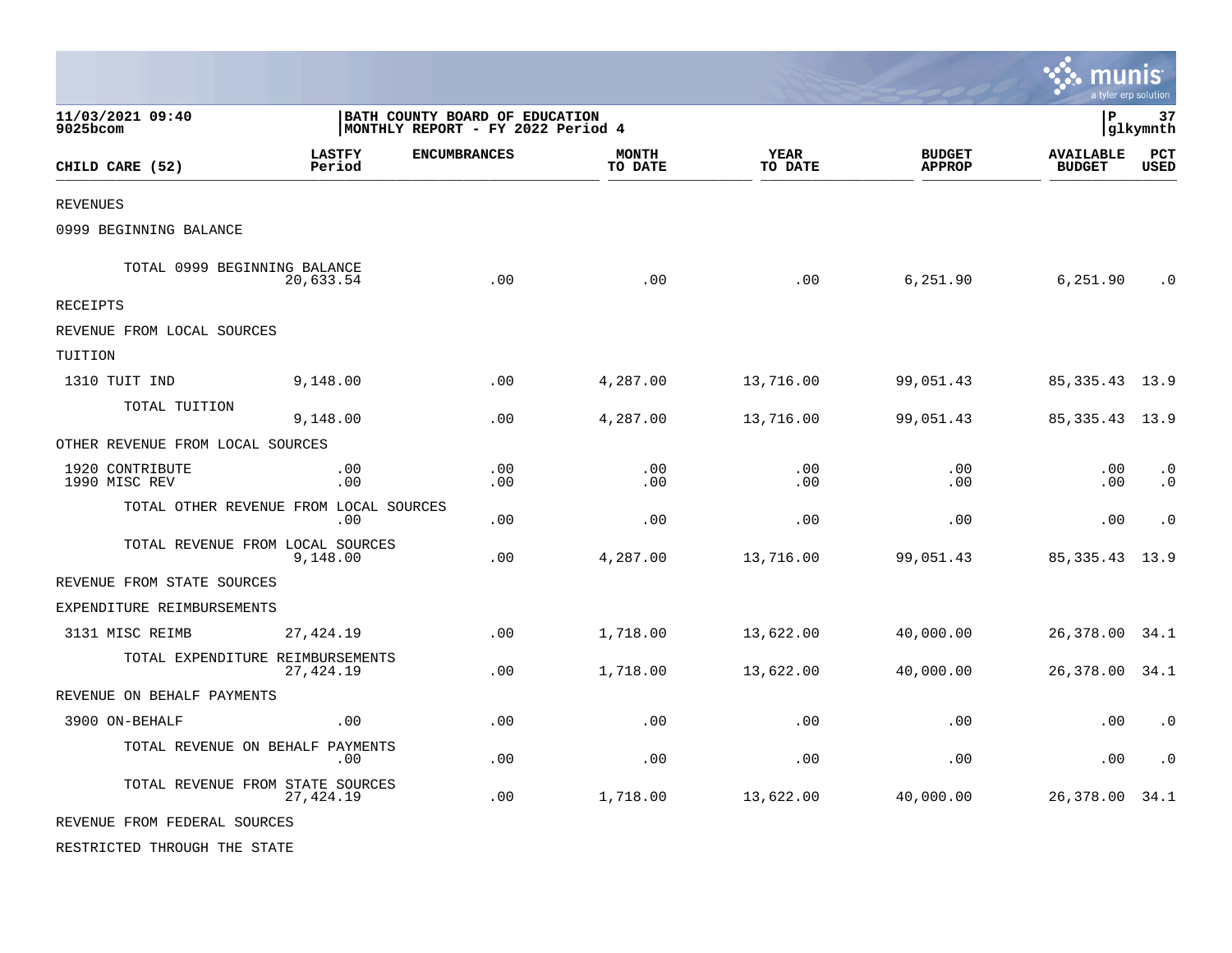|                                  |                                                |                                                                     |                         |                 |                                | munis<br>a tyler erp solution     |                        |
|----------------------------------|------------------------------------------------|---------------------------------------------------------------------|-------------------------|-----------------|--------------------------------|-----------------------------------|------------------------|
| 11/03/2021 09:40<br>9025bcom     |                                                | BATH COUNTY BOARD OF EDUCATION<br>MONTHLY REPORT - FY 2022 Period 4 |                         |                 |                                | l P                               | 37<br>glkymnth         |
| CHILD CARE (52)                  | <b>LASTFY</b><br>Period                        | <b>ENCUMBRANCES</b>                                                 | <b>MONTH</b><br>TO DATE | YEAR<br>TO DATE | <b>BUDGET</b><br><b>APPROP</b> | <b>AVAILABLE</b><br><b>BUDGET</b> | PCT<br><b>USED</b>     |
| <b>REVENUES</b>                  |                                                |                                                                     |                         |                 |                                |                                   |                        |
| 0999 BEGINNING BALANCE           |                                                |                                                                     |                         |                 |                                |                                   |                        |
| TOTAL 0999 BEGINNING BALANCE     | 20,633.54                                      | .00                                                                 | .00                     | .00             | 6,251.90                       | 6,251.90                          | . 0                    |
| <b>RECEIPTS</b>                  |                                                |                                                                     |                         |                 |                                |                                   |                        |
| REVENUE FROM LOCAL SOURCES       |                                                |                                                                     |                         |                 |                                |                                   |                        |
| TUITION                          |                                                |                                                                     |                         |                 |                                |                                   |                        |
| 1310 TUIT IND                    | 9,148.00                                       | .00                                                                 | 4,287.00                | 13,716.00       | 99,051.43                      | 85, 335. 43 13. 9                 |                        |
| TOTAL TUITION                    | 9,148.00                                       | .00                                                                 | 4,287.00                | 13,716.00       | 99,051.43                      | 85, 335. 43 13. 9                 |                        |
| OTHER REVENUE FROM LOCAL SOURCES |                                                |                                                                     |                         |                 |                                |                                   |                        |
| 1920 CONTRIBUTE<br>1990 MISC REV | .00<br>.00                                     | .00<br>.00                                                          | .00<br>.00              | .00<br>.00      | .00<br>.00                     | .00<br>.00                        | $\cdot$ 0<br>$\cdot$ 0 |
|                                  | TOTAL OTHER REVENUE FROM LOCAL SOURCES<br>.00. | .00                                                                 | .00                     | .00             | .00                            | .00                               | $\cdot$ 0              |
|                                  | TOTAL REVENUE FROM LOCAL SOURCES<br>9,148.00   | $.00 \,$                                                            | 4,287.00                | 13,716.00       | 99,051.43                      | 85, 335. 43                       | 13.9                   |
| REVENUE FROM STATE SOURCES       |                                                |                                                                     |                         |                 |                                |                                   |                        |
| EXPENDITURE REIMBURSEMENTS       |                                                |                                                                     |                         |                 |                                |                                   |                        |
| 3131 MISC REIMB                  | 27, 424.19                                     | .00                                                                 | 1,718.00                | 13,622.00       | 40,000.00                      | 26,378.00                         | 34.1                   |
|                                  | TOTAL EXPENDITURE REIMBURSEMENTS<br>27,424.19  | .00                                                                 | 1,718.00                | 13,622.00       | 40,000.00                      | 26,378.00                         | 34.1                   |
| REVENUE ON BEHALF PAYMENTS       |                                                |                                                                     |                         |                 |                                |                                   |                        |
| 3900 ON-BEHALF                   | .00                                            | .00                                                                 | .00                     | .00             | .00                            | .00                               | $\cdot$ 0              |
|                                  | TOTAL REVENUE ON BEHALF PAYMENTS<br>.00        | .00                                                                 | .00                     | .00             | .00                            | .00                               | $\cdot$ 0              |
|                                  | TOTAL REVENUE FROM STATE SOURCES<br>27, 424.19 | .00                                                                 | 1,718.00                | 13,622.00       | 40,000.00                      | 26,378.00                         | 34.1                   |
| REVENUE FROM FEDERAL SOURCES     |                                                |                                                                     |                         |                 |                                |                                   |                        |
| RESTRICTED THROUGH THE STATE     |                                                |                                                                     |                         |                 |                                |                                   |                        |

 $\mathcal{L}$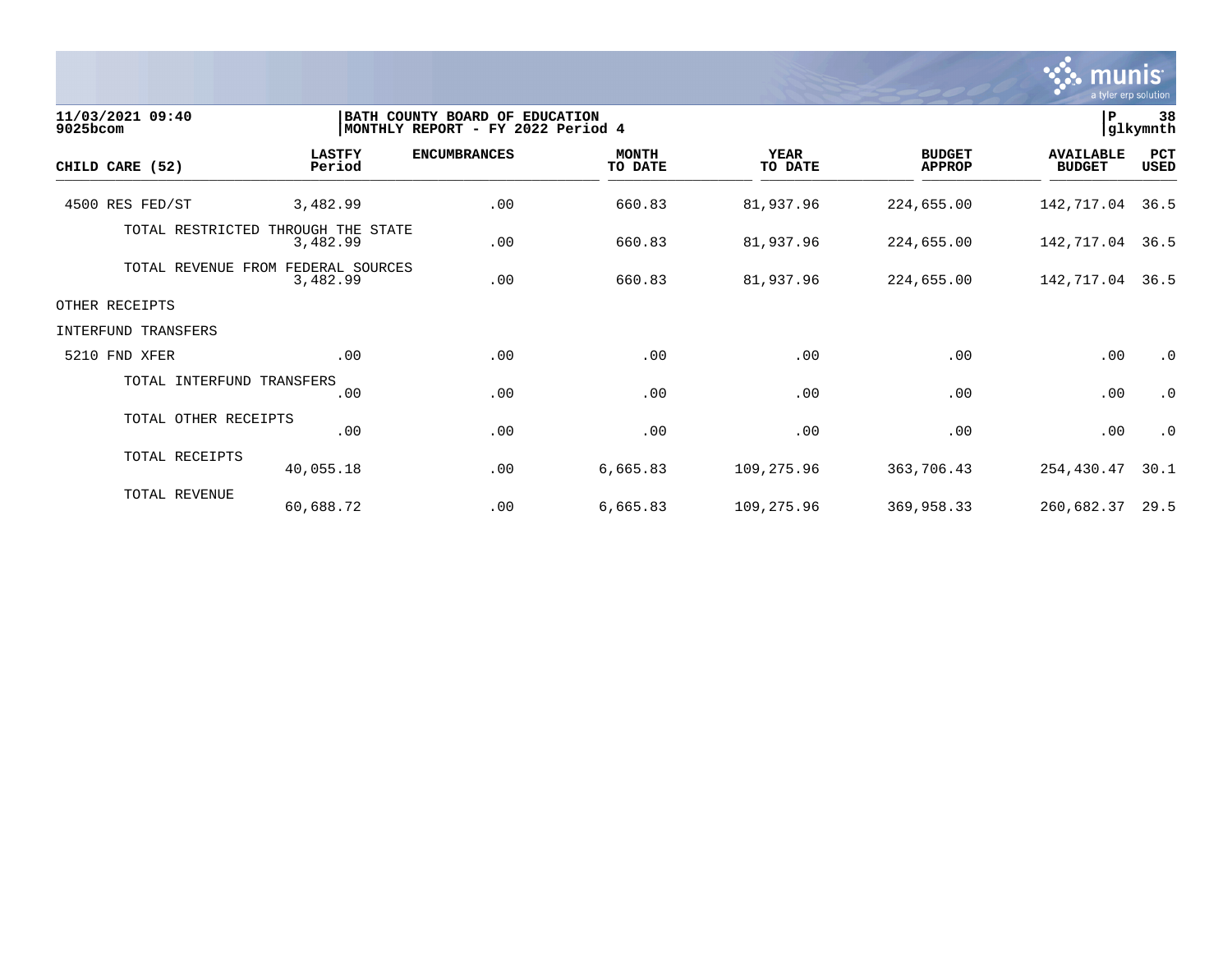

| 11/03/2021 09:40<br>9025bcom | BATH COUNTY BOARD OF EDUCATION<br>MONTHLY REPORT - FY 2022 Period 4 |                     |                         |                        |                                | ${\bf P}$                         | 38<br>glkymnth     |  |  |
|------------------------------|---------------------------------------------------------------------|---------------------|-------------------------|------------------------|--------------------------------|-----------------------------------|--------------------|--|--|
| CHILD CARE (52)              | <b>LASTFY</b><br>Period                                             | <b>ENCUMBRANCES</b> | <b>MONTH</b><br>TO DATE | <b>YEAR</b><br>TO DATE | <b>BUDGET</b><br><b>APPROP</b> | <b>AVAILABLE</b><br><b>BUDGET</b> | PCT<br><b>USED</b> |  |  |
| 4500 RES FED/ST              | 3,482.99                                                            | .00                 | 660.83                  | 81,937.96              | 224,655.00                     | 142,717.04                        | 36.5               |  |  |
| TOTAL RESTRICTED             | THROUGH THE STATE<br>3,482.99                                       | .00                 | 660.83                  | 81,937.96              | 224,655.00                     | 142,717.04                        | 36.5               |  |  |
| TOTAL REVENUE                | FEDERAL SOURCES<br>FROM<br>3,482.99                                 | .00                 | 660.83                  | 81,937.96              | 224,655.00                     | 142, 717.04 36.5                  |                    |  |  |
| OTHER RECEIPTS               |                                                                     |                     |                         |                        |                                |                                   |                    |  |  |
| INTERFUND TRANSFERS          |                                                                     |                     |                         |                        |                                |                                   |                    |  |  |
| 5210 FND XFER                | .00                                                                 | .00                 | .00                     | .00                    | .00                            | .00                               | $\cdot$ 0          |  |  |
| TOTAL INTERFUND TRANSFERS    | .00                                                                 | .00                 | .00                     | .00                    | .00                            | .00                               | $\cdot$ 0          |  |  |
| TOTAL OTHER RECEIPTS         | .00                                                                 | .00                 | .00                     | .00                    | .00                            | .00                               | $\cdot$ 0          |  |  |
| TOTAL RECEIPTS               | 40,055.18                                                           | .00                 | 6,665.83                | 109,275.96             | 363,706.43                     | 254,430.47                        | 30.1               |  |  |
| TOTAL REVENUE                | 60,688.72                                                           | .00                 | 6,665.83                | 109,275.96             | 369,958.33                     | 260,682.37                        | 29.5               |  |  |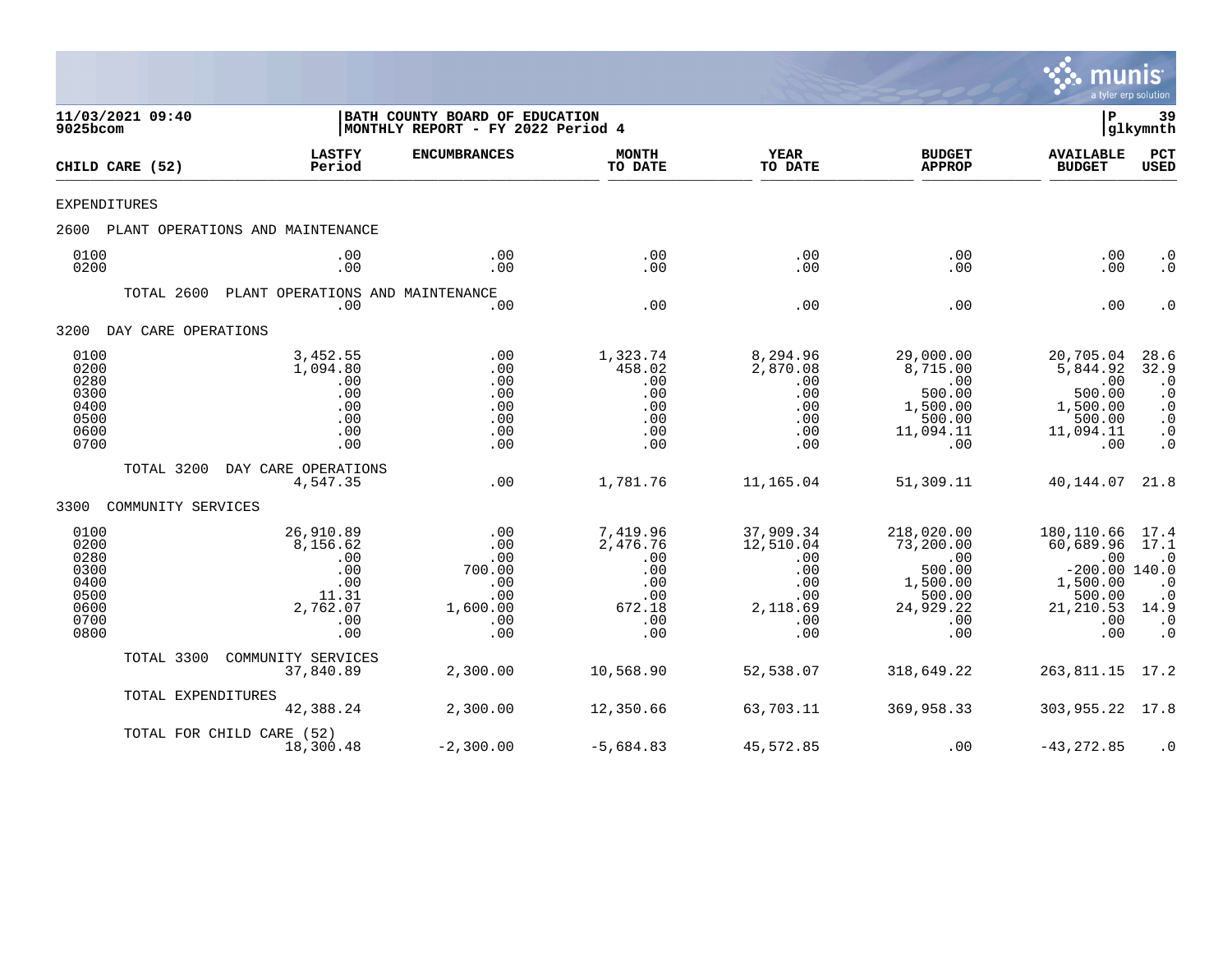

| 11/03/2021 09:40<br>9025bcom                                         |                     |                                                                               | BATH COUNTY BOARD OF EDUCATION<br> MONTHLY REPORT - FY 2022 Period 4 |                                                                          |                                                                              |                                                                                           | P                                                                                                  | 39<br> glkymnth                                                                            |
|----------------------------------------------------------------------|---------------------|-------------------------------------------------------------------------------|----------------------------------------------------------------------|--------------------------------------------------------------------------|------------------------------------------------------------------------------|-------------------------------------------------------------------------------------------|----------------------------------------------------------------------------------------------------|--------------------------------------------------------------------------------------------|
|                                                                      | CHILD CARE (52)     | <b>LASTFY</b><br>Period                                                       | <b>ENCUMBRANCES</b>                                                  | <b>MONTH</b><br>TO DATE                                                  | <b>YEAR</b><br>TO DATE                                                       | <b>BUDGET</b><br><b>APPROP</b>                                                            | <b>AVAILABLE</b><br><b>BUDGET</b>                                                                  | PCT<br><b>USED</b>                                                                         |
| EXPENDITURES                                                         |                     |                                                                               |                                                                      |                                                                          |                                                                              |                                                                                           |                                                                                                    |                                                                                            |
| 2600                                                                 |                     | PLANT OPERATIONS AND MAINTENANCE                                              |                                                                      |                                                                          |                                                                              |                                                                                           |                                                                                                    |                                                                                            |
| 0100<br>0200                                                         |                     | .00<br>.00                                                                    | .00<br>.00                                                           | .00<br>.00                                                               | .00<br>.00                                                                   | .00<br>.00.                                                                               | .00<br>.00                                                                                         | $\cdot$ 0<br>$\cdot$ 0                                                                     |
|                                                                      | TOTAL 2600          | PLANT OPERATIONS AND MAINTENANCE<br>.00                                       | .00                                                                  | .00                                                                      | .00                                                                          | .00                                                                                       | .00                                                                                                | $\cdot$ 0                                                                                  |
| 3200                                                                 | DAY CARE OPERATIONS |                                                                               |                                                                      |                                                                          |                                                                              |                                                                                           |                                                                                                    |                                                                                            |
| 0100<br>0200<br>0280<br>0300<br>0400<br>0500<br>0600<br>0700         |                     | 3,452.55<br>1,094.80<br>.00<br>.00<br>.00<br>.00<br>.00<br>.00                | .00<br>.00<br>.00<br>.00<br>.00<br>.00<br>.00<br>.00                 | 1,323.74<br>458.02<br>.00<br>.00<br>.00<br>.00<br>.00<br>.00             | 8,294.96<br>2,870.08<br>.00<br>.00<br>.00<br>.00<br>.00<br>.00               | 29,000.00<br>8,715.00<br>.00<br>500.00<br>1,500.00<br>500.00<br>11,094.11<br>.00          | 20,705.04<br>5,844.92<br>.00<br>500.00<br>1,500.00<br>500.00<br>11,094.11<br>.00                   | 28.6<br>32.9<br>$\cdot$ 0<br>$\cdot$ 0<br>$\cdot$ 0<br>$\cdot$ 0<br>$\cdot$ 0<br>$\cdot$ 0 |
|                                                                      | TOTAL 3200          | DAY CARE OPERATIONS<br>4,547.35                                               | .00                                                                  | 1,781.76                                                                 | 11,165.04                                                                    | 51,309.11                                                                                 | 40,144.07                                                                                          | 21.8                                                                                       |
| 3300                                                                 | COMMUNITY SERVICES  |                                                                               |                                                                      |                                                                          |                                                                              |                                                                                           |                                                                                                    |                                                                                            |
| 0100<br>0200<br>0280<br>0300<br>0400<br>0500<br>0600<br>0700<br>0800 |                     | 26,910.89<br>8,156.62<br>.00<br>.00<br>.00<br>11.31<br>2,762.07<br>.00<br>.00 | .00<br>.00<br>.00<br>700.00<br>.00<br>.00<br>1,600.00<br>.00<br>.00  | 7,419.96<br>2,476.76<br>.00<br>.00<br>.00<br>.00<br>672.18<br>.00<br>.00 | 37,909.34<br>12,510.04<br>.00<br>.00<br>.00<br>.00<br>2,118.69<br>.00<br>.00 | 218,020.00<br>73,200.00<br>.00<br>500.00<br>1,500.00<br>500.00<br>24,929.22<br>.00<br>.00 | 180,110.66<br>60,689.96<br>.00<br>$-200.00$ 140.0<br>1,500.00<br>500.00<br>21,210.53<br>.00<br>.00 | 17.4<br>17.1<br>$\cdot$ 0<br>$\cdot$ 0<br>$\cdot$ 0<br>14.9<br>$\cdot$ 0<br>$\cdot$ 0      |
|                                                                      | TOTAL 3300          | COMMUNITY SERVICES<br>37,840.89                                               | 2,300.00                                                             | 10,568.90                                                                | 52,538.07                                                                    | 318,649.22                                                                                | 263,811.15                                                                                         | 17.2                                                                                       |
|                                                                      | TOTAL EXPENDITURES  | 42,388.24                                                                     | 2,300.00                                                             | 12,350.66                                                                | 63,703.11                                                                    | 369,958.33                                                                                | 303,955.22                                                                                         | 17.8                                                                                       |
|                                                                      |                     | TOTAL FOR CHILD CARE (52)<br>18,300.48                                        | $-2,300.00$                                                          | $-5,684.83$                                                              | 45,572.85                                                                    | .00                                                                                       | $-43, 272.85$                                                                                      | $\cdot$ 0                                                                                  |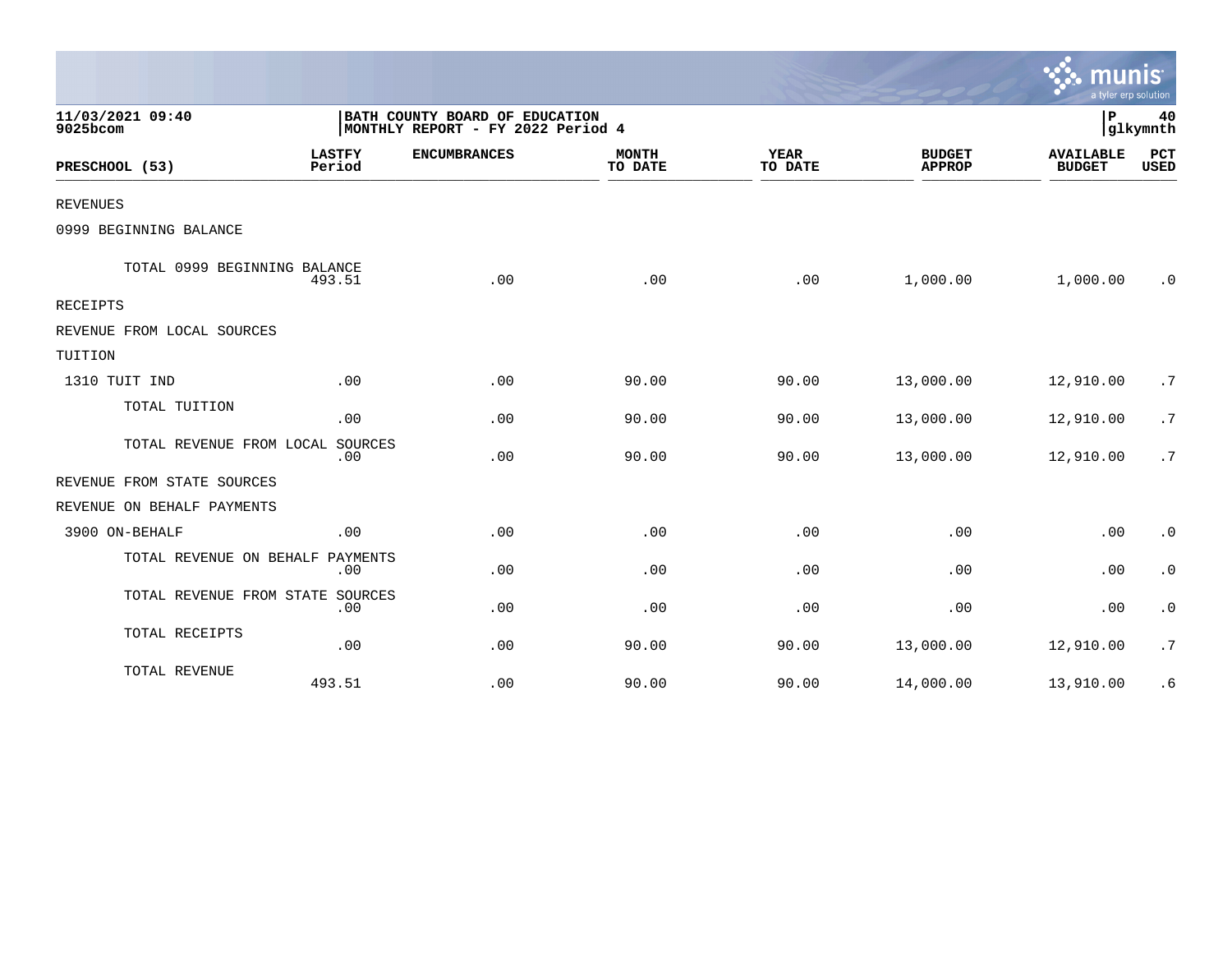|                                  |                         |                                                                     |                         |                        |                                | mun<br>a tyler erp solution       |                |
|----------------------------------|-------------------------|---------------------------------------------------------------------|-------------------------|------------------------|--------------------------------|-----------------------------------|----------------|
| 11/03/2021 09:40<br>9025bcom     |                         | BATH COUNTY BOARD OF EDUCATION<br>MONTHLY REPORT - FY 2022 Period 4 |                         |                        |                                | P                                 | 40<br>glkymnth |
| PRESCHOOL (53)                   | <b>LASTFY</b><br>Period | <b>ENCUMBRANCES</b>                                                 | <b>MONTH</b><br>TO DATE | <b>YEAR</b><br>TO DATE | <b>BUDGET</b><br><b>APPROP</b> | <b>AVAILABLE</b><br><b>BUDGET</b> | PCT<br>USED    |
| <b>REVENUES</b>                  |                         |                                                                     |                         |                        |                                |                                   |                |
| 0999 BEGINNING BALANCE           |                         |                                                                     |                         |                        |                                |                                   |                |
| TOTAL 0999 BEGINNING BALANCE     | 493.51                  | .00                                                                 | .00                     | .00                    | 1,000.00                       | 1,000.00                          | . 0            |
| RECEIPTS                         |                         |                                                                     |                         |                        |                                |                                   |                |
| REVENUE FROM LOCAL SOURCES       |                         |                                                                     |                         |                        |                                |                                   |                |
| TUITION                          |                         |                                                                     |                         |                        |                                |                                   |                |
| 1310 TUIT IND                    | .00                     | .00                                                                 | 90.00                   | 90.00                  | 13,000.00                      | 12,910.00                         | .7             |
| TOTAL TUITION                    | .00                     | .00                                                                 | 90.00                   | 90.00                  | 13,000.00                      | 12,910.00                         | .7             |
| TOTAL REVENUE FROM LOCAL SOURCES | .00                     | .00                                                                 | 90.00                   | 90.00                  | 13,000.00                      | 12,910.00                         | .7             |
| REVENUE FROM STATE SOURCES       |                         |                                                                     |                         |                        |                                |                                   |                |
| REVENUE ON BEHALF PAYMENTS       |                         |                                                                     |                         |                        |                                |                                   |                |
| 3900 ON-BEHALF                   | .00                     | .00                                                                 | .00                     | .00                    | .00                            | .00                               | $\cdot$ 0      |
| TOTAL REVENUE ON BEHALF PAYMENTS | .00                     | .00                                                                 | .00                     | .00                    | .00                            | .00                               | $\cdot$ 0      |
| TOTAL REVENUE FROM STATE SOURCES | .00                     | .00                                                                 | .00                     | .00                    | .00                            | .00                               | $\cdot$ 0      |
| TOTAL RECEIPTS                   | .00                     | .00                                                                 | 90.00                   | 90.00                  | 13,000.00                      | 12,910.00                         | .7             |
| TOTAL REVENUE                    | 493.51                  | .00                                                                 | 90.00                   | 90.00                  | 14,000.00                      | 13,910.00                         | . 6            |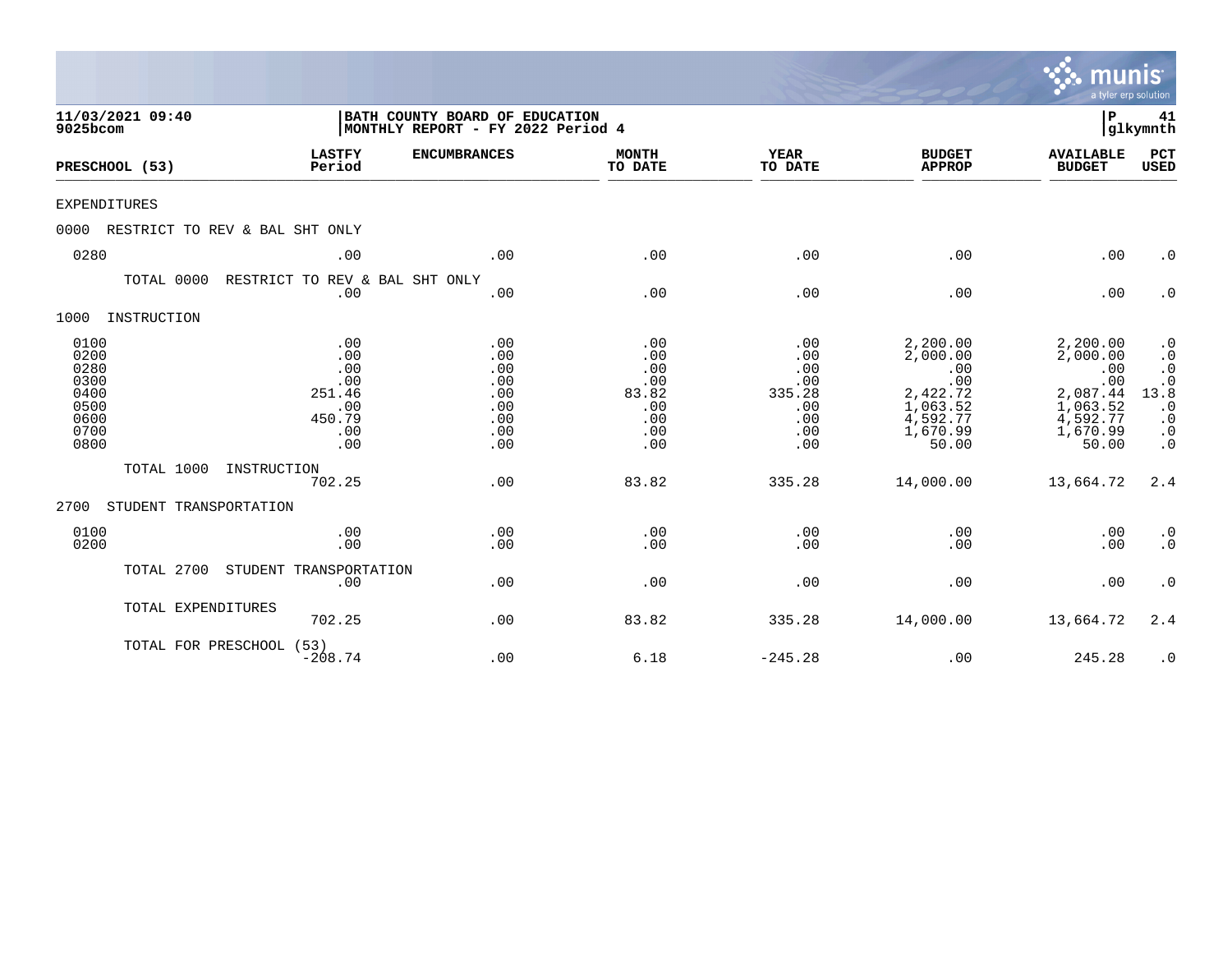|                                                                      |                                |                                                                     |                                                             |                                                               |                                                                |                                                                                             | munis<br>a tyler erp solution                                                               |                                                                                                         |
|----------------------------------------------------------------------|--------------------------------|---------------------------------------------------------------------|-------------------------------------------------------------|---------------------------------------------------------------|----------------------------------------------------------------|---------------------------------------------------------------------------------------------|---------------------------------------------------------------------------------------------|---------------------------------------------------------------------------------------------------------|
| 9025bcom                                                             | 11/03/2021 09:40               | BATH COUNTY BOARD OF EDUCATION<br>MONTHLY REPORT - FY 2022 Period 4 |                                                             |                                                               |                                                                |                                                                                             | P                                                                                           | 41<br> glkymnth                                                                                         |
|                                                                      | PRESCHOOL (53)                 | <b>LASTFY</b><br>Period                                             | <b>ENCUMBRANCES</b>                                         | <b>MONTH</b><br>TO DATE                                       | <b>YEAR</b><br>TO DATE                                         | <b>BUDGET</b><br><b>APPROP</b>                                                              | <b>AVAILABLE</b><br><b>BUDGET</b>                                                           | PCT<br><b>USED</b>                                                                                      |
| <b>EXPENDITURES</b>                                                  |                                |                                                                     |                                                             |                                                               |                                                                |                                                                                             |                                                                                             |                                                                                                         |
| 0000                                                                 | RESTRICT TO REV & BAL SHT ONLY |                                                                     |                                                             |                                                               |                                                                |                                                                                             |                                                                                             |                                                                                                         |
| 0280                                                                 |                                | .00                                                                 | .00                                                         | .00                                                           | .00                                                            | .00                                                                                         | .00                                                                                         | $\cdot$ 0                                                                                               |
|                                                                      | TOTAL 0000                     | RESTRICT TO REV & BAL SHT ONLY<br>.00                               | .00                                                         | .00                                                           | .00                                                            | .00                                                                                         | .00                                                                                         | $\cdot$ 0                                                                                               |
| 1000                                                                 | INSTRUCTION                    |                                                                     |                                                             |                                                               |                                                                |                                                                                             |                                                                                             |                                                                                                         |
| 0100<br>0200<br>0280<br>0300<br>0400<br>0500<br>0600<br>0700<br>0800 |                                | .00<br>.00<br>.00<br>.00<br>251.46<br>.00<br>450.79<br>.00<br>.00   | .00<br>.00<br>.00<br>.00<br>.00<br>.00<br>.00<br>.00<br>.00 | .00<br>.00<br>.00<br>.00<br>83.82<br>.00<br>.00<br>.00<br>.00 | .00<br>.00<br>.00<br>.00<br>335.28<br>.00<br>.00<br>.00<br>.00 | 2,200.00<br>2,000.00<br>.00<br>.00<br>2,422.72<br>1,063.52<br>4,592.77<br>1,670.99<br>50.00 | 2,200.00<br>2,000.00<br>.00<br>.00<br>2,087.44<br>1,063.52<br>4,592.77<br>1,670.99<br>50.00 | $\cdot$ 0<br>$\cdot$ 0<br>$\cdot$ 0<br>$.0$<br>13.8<br>$\cdot$ 0<br>$\cdot$ 0<br>$\cdot$ 0<br>$\cdot$ 0 |
|                                                                      | TOTAL 1000                     | INSTRUCTION<br>702.25                                               | .00                                                         | 83.82                                                         | 335.28                                                         | 14,000.00                                                                                   | 13,664.72                                                                                   | 2.4                                                                                                     |
| 2700                                                                 | STUDENT TRANSPORTATION         |                                                                     |                                                             |                                                               |                                                                |                                                                                             |                                                                                             |                                                                                                         |
| 0100<br>0200                                                         |                                | .00<br>.00                                                          | .00<br>.00                                                  | .00<br>.00                                                    | .00<br>.00                                                     | .00<br>.00                                                                                  | .00<br>.00                                                                                  | $\cdot$ 0<br>$\cdot$ 0                                                                                  |
|                                                                      | TOTAL 2700                     | STUDENT TRANSPORTATION<br>.00                                       | .00                                                         | .00                                                           | .00                                                            | .00                                                                                         | .00                                                                                         | $\cdot$ 0                                                                                               |
|                                                                      | TOTAL EXPENDITURES             | 702.25                                                              | .00                                                         | 83.82                                                         | 335.28                                                         | 14,000.00                                                                                   | 13,664.72                                                                                   | 2.4                                                                                                     |
|                                                                      | TOTAL FOR PRESCHOOL (53)       | $-208.74$                                                           | .00                                                         | 6.18                                                          | $-245.28$                                                      | .00                                                                                         | 245.28                                                                                      | $\cdot$ 0                                                                                               |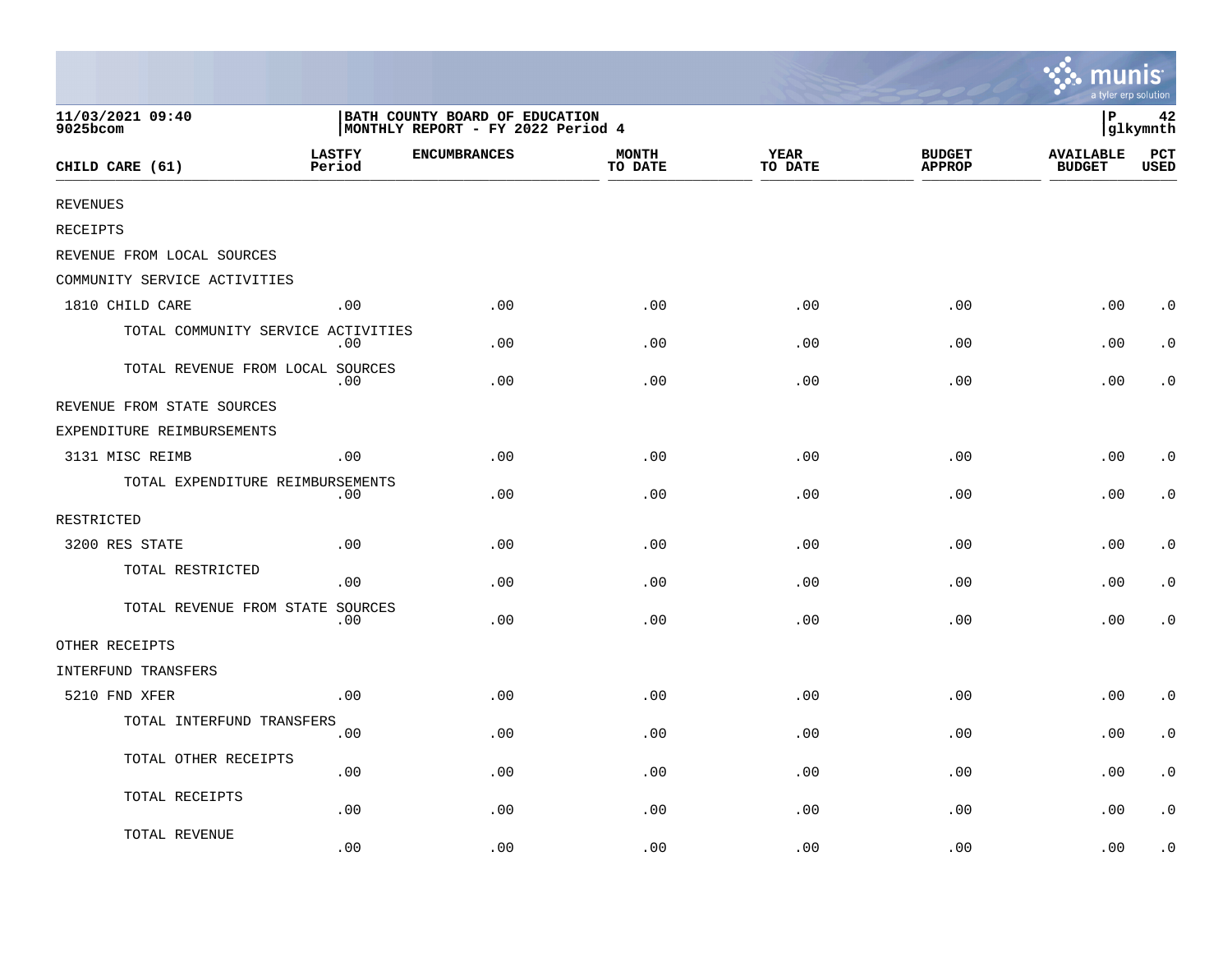|                                    |                         |                                                                     |                         |                        |                                | ∵. munis<br>a tyler erp solution  |                |
|------------------------------------|-------------------------|---------------------------------------------------------------------|-------------------------|------------------------|--------------------------------|-----------------------------------|----------------|
| 11/03/2021 09:40<br>9025bcom       |                         | BATH COUNTY BOARD OF EDUCATION<br>MONTHLY REPORT - FY 2022 Period 4 |                         |                        |                                | İР                                | 42<br>glkymnth |
| CHILD CARE (61)                    | <b>LASTFY</b><br>Period | <b>ENCUMBRANCES</b>                                                 | <b>MONTH</b><br>TO DATE | <b>YEAR</b><br>TO DATE | <b>BUDGET</b><br><b>APPROP</b> | <b>AVAILABLE</b><br><b>BUDGET</b> | PCT<br>USED    |
| <b>REVENUES</b>                    |                         |                                                                     |                         |                        |                                |                                   |                |
| RECEIPTS                           |                         |                                                                     |                         |                        |                                |                                   |                |
| REVENUE FROM LOCAL SOURCES         |                         |                                                                     |                         |                        |                                |                                   |                |
| COMMUNITY SERVICE ACTIVITIES       |                         |                                                                     |                         |                        |                                |                                   |                |
| 1810 CHILD CARE                    | .00                     | .00                                                                 | .00                     | .00                    | .00                            | .00                               | $\cdot$ 0      |
| TOTAL COMMUNITY SERVICE ACTIVITIES | $.00 \,$                | .00.                                                                | .00                     | .00                    | .00                            | .00                               | $\cdot$ 0      |
| TOTAL REVENUE FROM LOCAL SOURCES   | .00                     | .00                                                                 | .00                     | .00                    | .00                            | .00                               | . 0            |
| REVENUE FROM STATE SOURCES         |                         |                                                                     |                         |                        |                                |                                   |                |
| EXPENDITURE REIMBURSEMENTS         |                         |                                                                     |                         |                        |                                |                                   |                |
| 3131 MISC REIMB                    | .00                     | .00                                                                 | .00                     | .00                    | .00                            | .00                               | $\cdot$ 0      |
| TOTAL EXPENDITURE REIMBURSEMENTS   | .00                     | .00                                                                 | .00                     | .00                    | .00                            | .00                               | $\cdot$ 0      |
| RESTRICTED                         |                         |                                                                     |                         |                        |                                |                                   |                |
| 3200 RES STATE                     | .00                     | .00.                                                                | .00                     | .00                    | .00                            | .00                               | $\cdot$ 0      |
| TOTAL RESTRICTED                   | .00                     | .00                                                                 | .00                     | .00                    | .00                            | .00                               | $\cdot$ 0      |
| TOTAL REVENUE FROM STATE SOURCES   | $.00 \,$                | .00                                                                 | .00                     | .00                    | .00                            | .00                               | $\cdot$ 0      |
| OTHER RECEIPTS                     |                         |                                                                     |                         |                        |                                |                                   |                |
| INTERFUND TRANSFERS                |                         |                                                                     |                         |                        |                                |                                   |                |
| 5210 FND XFER                      | .00                     | .00                                                                 | .00                     | .00                    | .00                            | .00                               | $\cdot$ 0      |
| TOTAL INTERFUND TRANSFERS          | .00                     | .00                                                                 | .00                     | .00                    | .00                            | .00                               | $\cdot$ 0      |
| TOTAL OTHER RECEIPTS               | .00                     | .00                                                                 | .00                     | .00                    | .00                            | .00                               | $\cdot$ 0      |
| TOTAL RECEIPTS                     | .00                     | .00                                                                 | .00                     | .00                    | .00                            | .00                               | $\cdot$ 0      |
| TOTAL REVENUE                      | .00                     | .00                                                                 | .00                     | .00                    | .00                            | .00                               | $\cdot$ 0      |

 $\sim$   $\sim$   $\sim$   $\sim$   $\sim$   $\sim$   $\sim$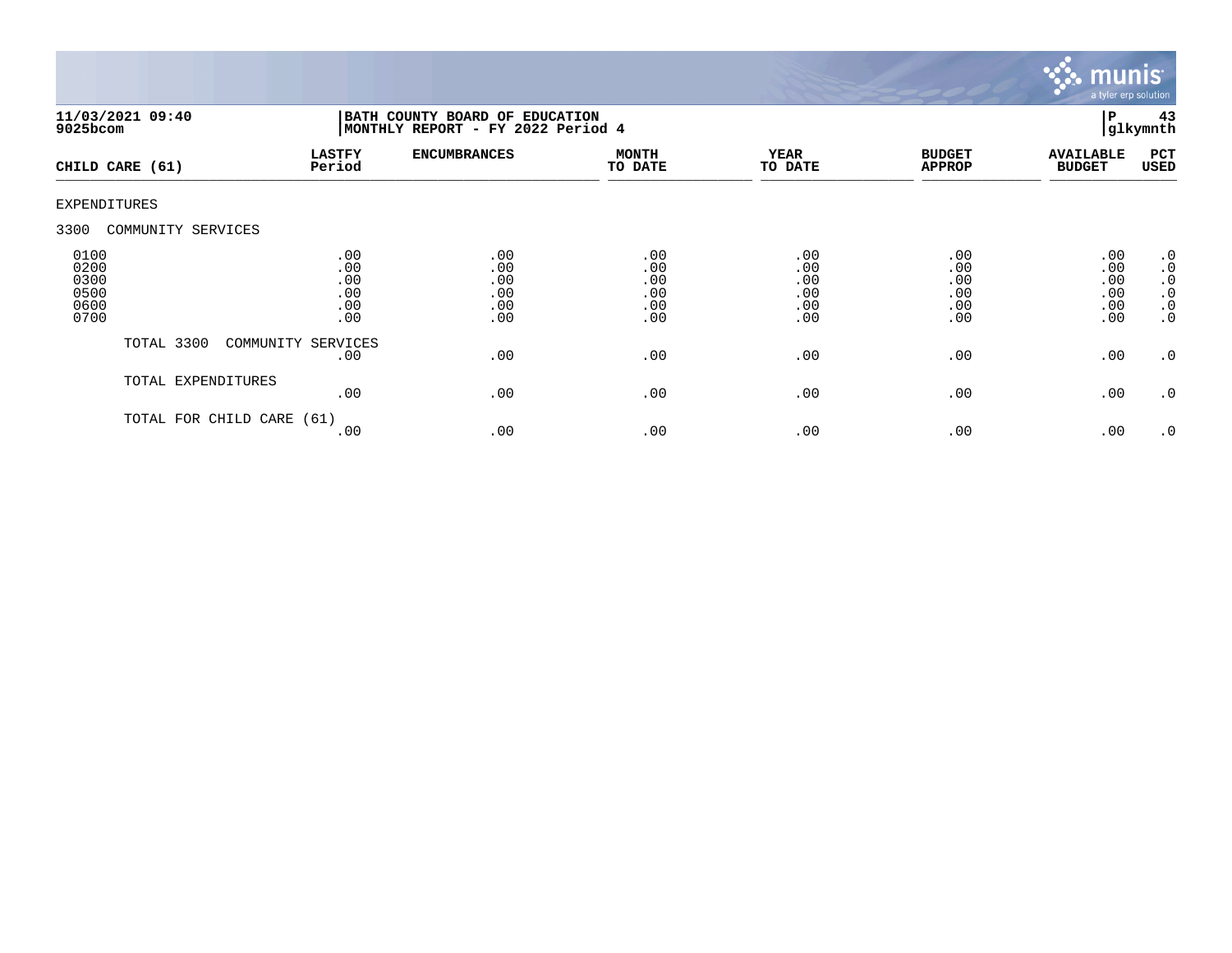

| $9025$ bcom                                  | 11/03/2021 09:40     | BATH COUNTY BOARD OF EDUCATION<br>MONTHLY REPORT - FY 2022 Period 4 |                                        |                                        |                                        |                                        | 43<br>l P<br>glkymnth                  |                                                                                  |
|----------------------------------------------|----------------------|---------------------------------------------------------------------|----------------------------------------|----------------------------------------|----------------------------------------|----------------------------------------|----------------------------------------|----------------------------------------------------------------------------------|
|                                              | CHILD CARE (61)      | <b>LASTFY</b><br>Period                                             | <b>ENCUMBRANCES</b>                    | <b>MONTH</b><br>TO DATE                | <b>YEAR</b><br>TO DATE                 | <b>BUDGET</b><br><b>APPROP</b>         | <b>AVAILABLE</b><br><b>BUDGET</b>      | PCT<br>USED                                                                      |
| <b>EXPENDITURES</b>                          |                      |                                                                     |                                        |                                        |                                        |                                        |                                        |                                                                                  |
| 3300                                         | COMMUNITY SERVICES   |                                                                     |                                        |                                        |                                        |                                        |                                        |                                                                                  |
| 0100<br>0200<br>0300<br>0500<br>0600<br>0700 |                      | .00<br>.00<br>.00<br>.00<br>.00<br>.00                              | .00<br>.00<br>.00<br>.00<br>.00<br>.00 | .00<br>.00<br>.00<br>.00<br>.00<br>.00 | .00<br>.00<br>.00<br>.00<br>.00<br>.00 | .00<br>.00<br>.00<br>.00<br>.00<br>.00 | .00<br>.00<br>.00<br>.00<br>.00<br>.00 | .0<br>$\boldsymbol{\cdot}$ 0<br>$\cdot$ 0<br>$\cdot$ 0<br>$\cdot$ 0<br>$\cdot$ 0 |
|                                              | TOTAL 3300           | COMMUNITY SERVICES<br>.00                                           | .00                                    | .00                                    | .00                                    | .00                                    | .00                                    | $\cdot$ 0                                                                        |
|                                              | TOTAL EXPENDITURES   | .00                                                                 | .00                                    | .00                                    | .00                                    | .00                                    | .00                                    | $\cdot$ 0                                                                        |
|                                              | TOTAL FOR CHILD CARE | (61)<br>.00                                                         | .00                                    | .00                                    | .00                                    | .00                                    | .00                                    | .0                                                                               |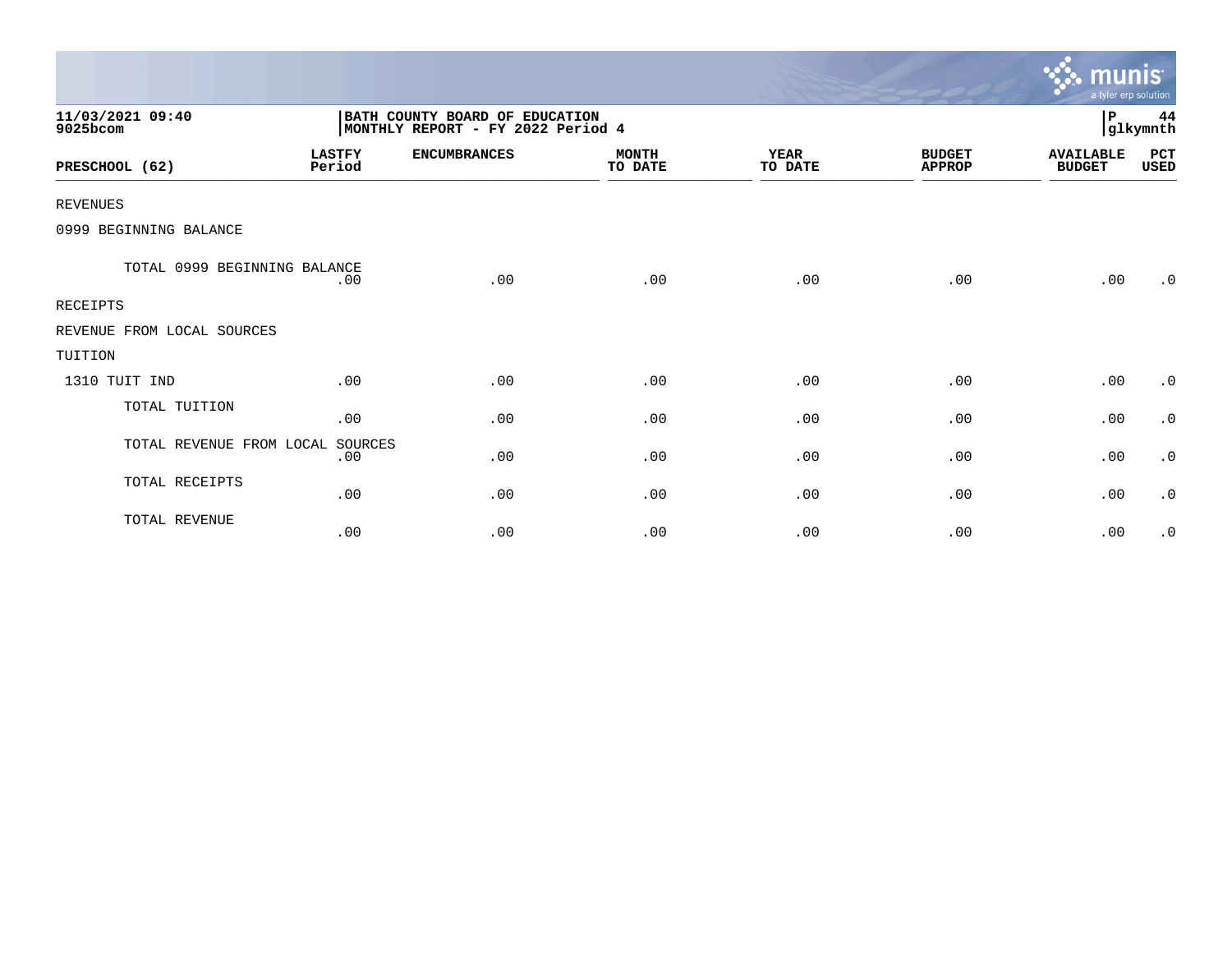|                              |                         |                                                                     |                         |                        |                                | munis <sup>.</sup><br>a tyler erp solution |                |
|------------------------------|-------------------------|---------------------------------------------------------------------|-------------------------|------------------------|--------------------------------|--------------------------------------------|----------------|
| 11/03/2021 09:40<br>9025bcom |                         | BATH COUNTY BOARD OF EDUCATION<br>MONTHLY REPORT - FY 2022 Period 4 |                         |                        |                                | P                                          | 44<br>glkymnth |
| PRESCHOOL (62)               | <b>LASTFY</b><br>Period | <b>ENCUMBRANCES</b>                                                 | <b>MONTH</b><br>TO DATE | <b>YEAR</b><br>TO DATE | <b>BUDGET</b><br><b>APPROP</b> | <b>AVAILABLE</b><br><b>BUDGET</b>          | PCT<br>USED    |
| <b>REVENUES</b>              |                         |                                                                     |                         |                        |                                |                                            |                |
| 0999 BEGINNING BALANCE       |                         |                                                                     |                         |                        |                                |                                            |                |
| TOTAL 0999 BEGINNING BALANCE | .00                     | .00                                                                 | .00                     | .00                    | .00                            | .00                                        | .0             |
| <b>RECEIPTS</b>              |                         |                                                                     |                         |                        |                                |                                            |                |
| REVENUE FROM LOCAL SOURCES   |                         |                                                                     |                         |                        |                                |                                            |                |
| TUITION                      |                         |                                                                     |                         |                        |                                |                                            |                |
| 1310 TUIT IND                | .00                     | .00                                                                 | .00                     | .00                    | .00                            | .00                                        | $\cdot$ 0      |
| TOTAL TUITION                | .00                     | .00                                                                 | .00                     | .00                    | .00                            | .00                                        | $\cdot$ 0      |
| TOTAL REVENUE FROM LOCAL     | SOURCES<br>.00          | .00                                                                 | .00                     | .00                    | .00                            | .00                                        | $\cdot$ 0      |
| TOTAL RECEIPTS               | .00                     | .00                                                                 | .00                     | .00                    | .00                            | .00                                        | $\cdot$ 0      |
| TOTAL REVENUE                | .00                     | .00                                                                 | .00                     | .00                    | .00                            | .00                                        | $\cdot$ 0      |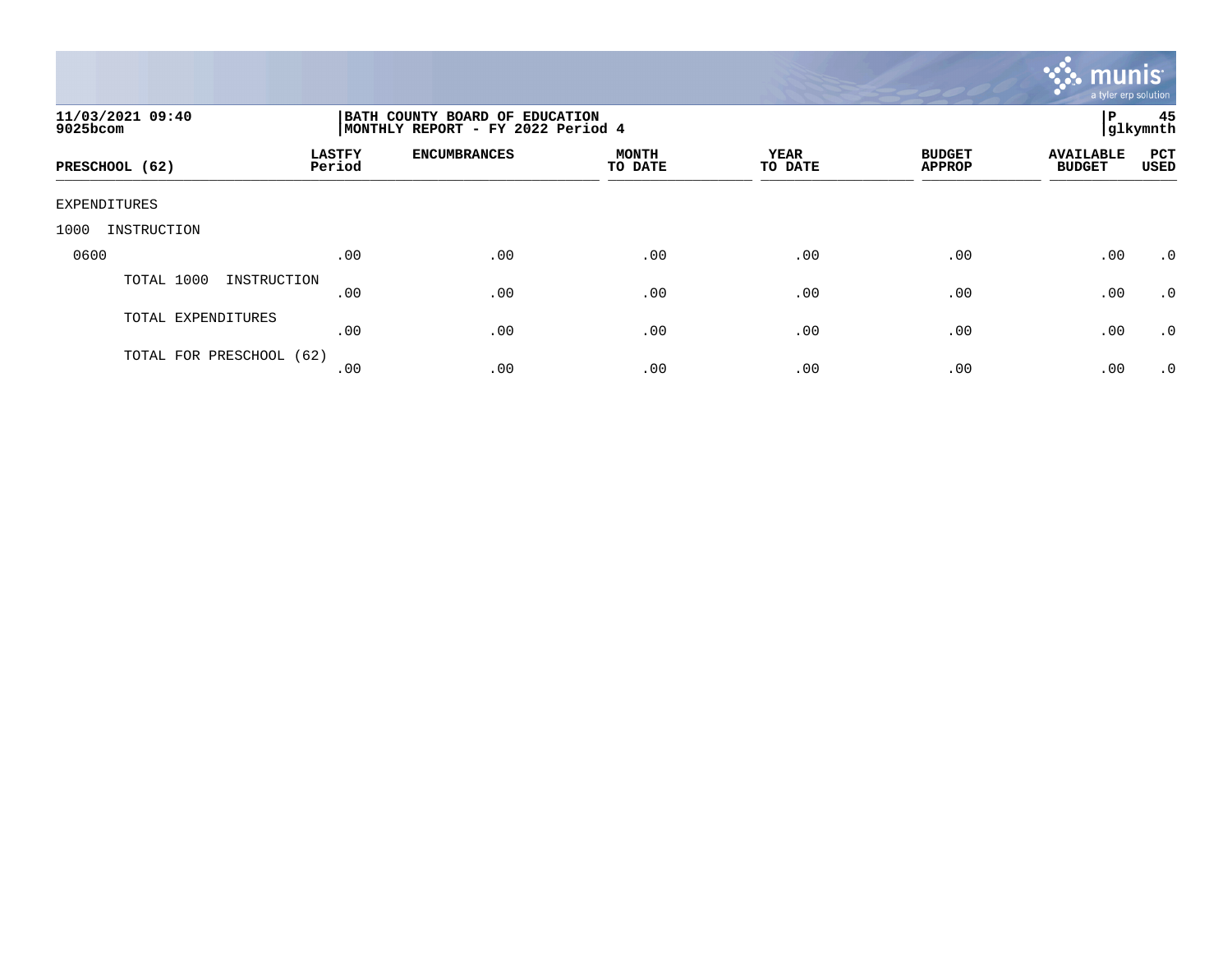

| 11/03/2021 09:40<br>9025bcom |                         | BATH COUNTY BOARD OF EDUCATION<br>MONTHLY REPORT - FY 2022 Period 4 |                         |                 |                                |                                   |                    |  |
|------------------------------|-------------------------|---------------------------------------------------------------------|-------------------------|-----------------|--------------------------------|-----------------------------------|--------------------|--|
| PRESCHOOL (62)               | <b>LASTFY</b><br>Period | <b>ENCUMBRANCES</b>                                                 | <b>MONTH</b><br>TO DATE | YEAR<br>TO DATE | <b>BUDGET</b><br><b>APPROP</b> | <b>AVAILABLE</b><br><b>BUDGET</b> | PCT<br><b>USED</b> |  |
| EXPENDITURES                 |                         |                                                                     |                         |                 |                                |                                   |                    |  |
| INSTRUCTION<br>1000          |                         |                                                                     |                         |                 |                                |                                   |                    |  |
| 0600                         | .00                     | .00                                                                 | .00                     | .00             | .00                            | .00                               | $\cdot$ 0          |  |
| TOTAL 1000<br>INSTRUCTION    | .00                     | .00                                                                 | .00                     | .00             | .00                            | .00                               | $\cdot$ 0          |  |
| TOTAL EXPENDITURES           | .00                     | .00                                                                 | .00                     | .00             | .00                            | .00                               | .0                 |  |
| TOTAL FOR PRESCHOOL (62)     | .00                     | .00                                                                 | .00                     | .00             | .00                            | .00                               | $\cdot$ 0          |  |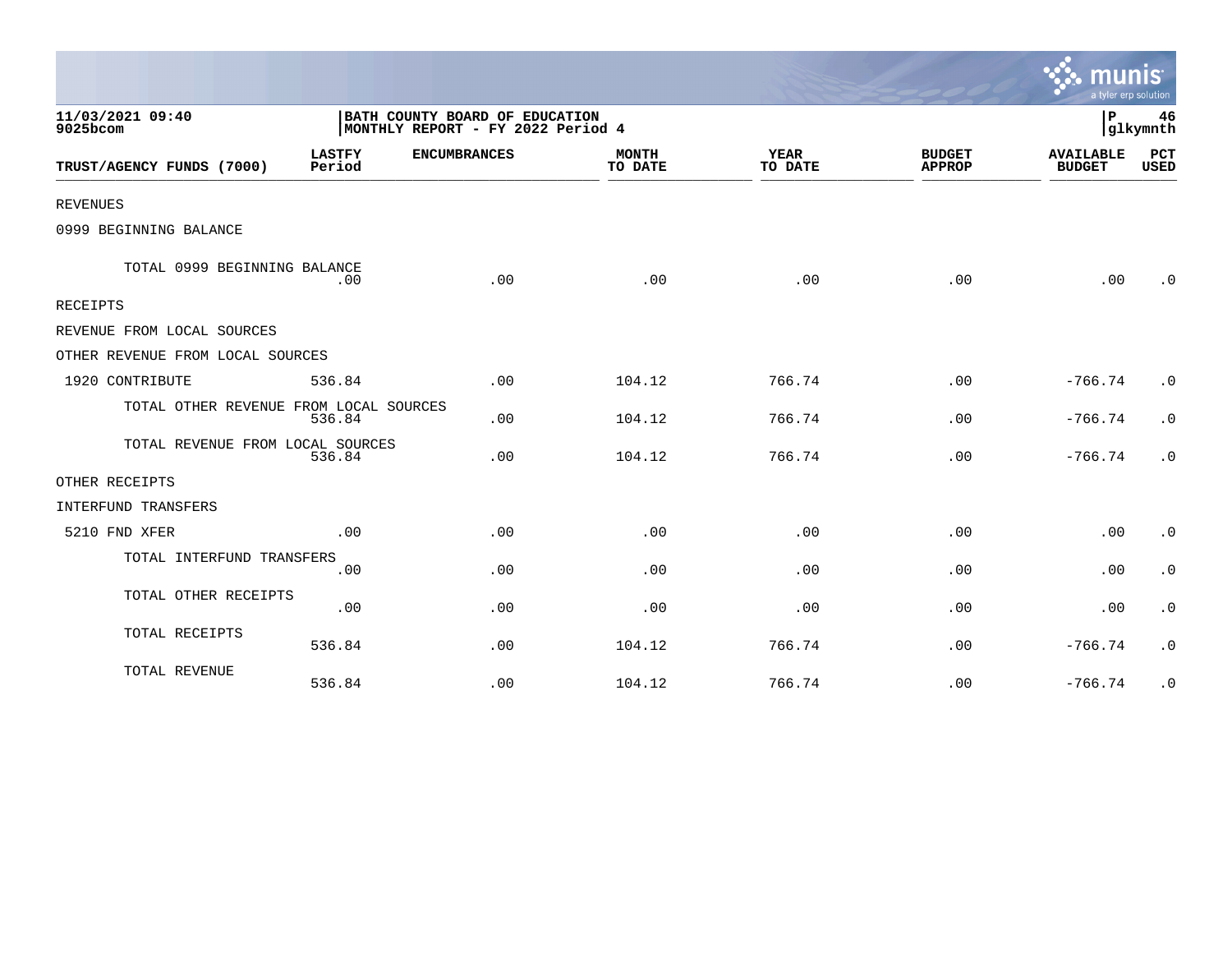|                                        |                                                                     |                     |                         |                 |                                | a tyler erp solution              |                    |
|----------------------------------------|---------------------------------------------------------------------|---------------------|-------------------------|-----------------|--------------------------------|-----------------------------------|--------------------|
| 11/03/2021 09:40<br>9025bcom           | BATH COUNTY BOARD OF EDUCATION<br>MONTHLY REPORT - FY 2022 Period 4 |                     |                         |                 |                                | P<br>glkymnth                     |                    |
| TRUST/AGENCY FUNDS (7000)              | <b>LASTFY</b><br>Period                                             | <b>ENCUMBRANCES</b> | <b>MONTH</b><br>TO DATE | YEAR<br>TO DATE | <b>BUDGET</b><br><b>APPROP</b> | <b>AVAILABLE</b><br><b>BUDGET</b> | PCT<br><b>USED</b> |
| <b>REVENUES</b>                        |                                                                     |                     |                         |                 |                                |                                   |                    |
| 0999 BEGINNING BALANCE                 |                                                                     |                     |                         |                 |                                |                                   |                    |
| TOTAL 0999 BEGINNING BALANCE           | .00                                                                 | .00                 | .00                     | .00             | .00                            | .00                               | $\cdot$ 0          |
| RECEIPTS                               |                                                                     |                     |                         |                 |                                |                                   |                    |
| REVENUE FROM LOCAL SOURCES             |                                                                     |                     |                         |                 |                                |                                   |                    |
| OTHER REVENUE FROM LOCAL SOURCES       |                                                                     |                     |                         |                 |                                |                                   |                    |
| 1920 CONTRIBUTE                        | 536.84                                                              | .00                 | 104.12                  | 766.74          | .00                            | $-766.74$                         | $\cdot$ 0          |
| TOTAL OTHER REVENUE FROM LOCAL SOURCES | 536.84                                                              | .00                 | 104.12                  | 766.74          | .00                            | $-766.74$                         | $\cdot$ 0          |
| TOTAL REVENUE FROM LOCAL SOURCES       | 536.84                                                              | .00                 | 104.12                  | 766.74          | .00                            | $-766.74$                         | $\cdot$ 0          |
| OTHER RECEIPTS                         |                                                                     |                     |                         |                 |                                |                                   |                    |
| INTERFUND TRANSFERS                    |                                                                     |                     |                         |                 |                                |                                   |                    |
| 5210 FND XFER                          | .00                                                                 | .00                 | .00                     | .00             | .00                            | .00                               | $\cdot$ 0          |
| TOTAL INTERFUND TRANSFERS              | .00                                                                 | .00                 | .00                     | .00             | .00                            | .00                               | $\cdot$ 0          |
| TOTAL OTHER RECEIPTS                   | .00                                                                 | .00                 | .00                     | .00             | .00                            | .00                               | $\cdot$ 0          |
| TOTAL RECEIPTS                         | 536.84                                                              | .00                 | 104.12                  | 766.74          | .00                            | $-766.74$                         | $\cdot$ 0          |
| TOTAL REVENUE                          | 536.84                                                              | .00                 | 104.12                  | 766.74          | .00                            | $-766.74$                         | $\cdot$ 0          |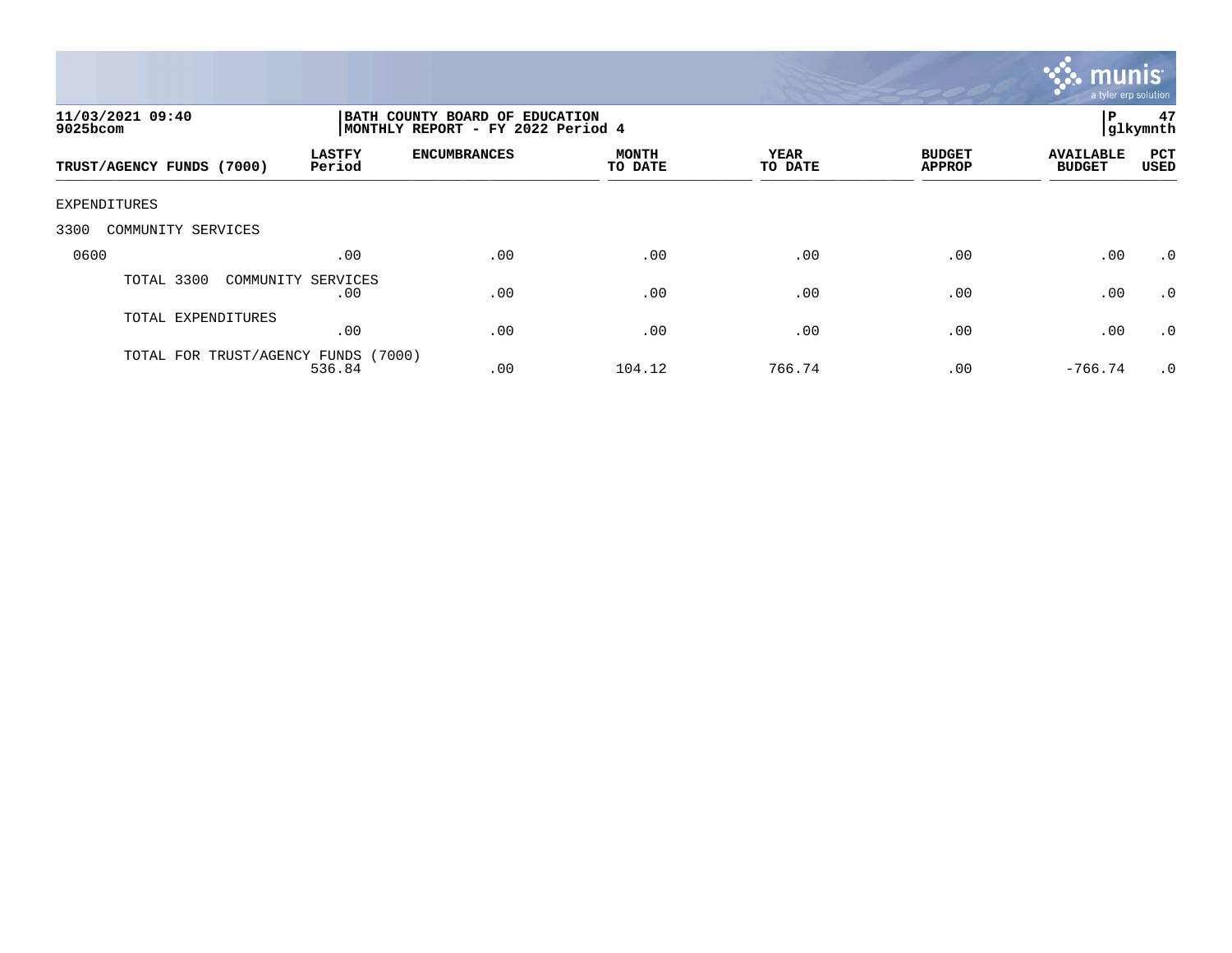

| 11/03/2021 09:40<br>9025bcom        |                         | BATH COUNTY BOARD OF EDUCATION<br>MONTHLY REPORT - FY 2022 Period 4 |                         |                 |                                |                                   |                    |  |
|-------------------------------------|-------------------------|---------------------------------------------------------------------|-------------------------|-----------------|--------------------------------|-----------------------------------|--------------------|--|
| TRUST/AGENCY FUNDS (7000)           | <b>LASTFY</b><br>Period | <b>ENCUMBRANCES</b>                                                 | <b>MONTH</b><br>TO DATE | YEAR<br>TO DATE | <b>BUDGET</b><br><b>APPROP</b> | <b>AVAILABLE</b><br><b>BUDGET</b> | PCT<br><b>USED</b> |  |
| EXPENDITURES                        |                         |                                                                     |                         |                 |                                |                                   |                    |  |
| 3300<br>COMMUNITY SERVICES          |                         |                                                                     |                         |                 |                                |                                   |                    |  |
| 0600                                | .00                     | .00                                                                 | .00                     | .00             | .00                            | .00                               | $\cdot$ 0          |  |
| TOTAL 3300<br>COMMUNITY SERVICES    | .00                     | .00                                                                 | .00                     | .00             | .00                            | .00                               | .0                 |  |
| TOTAL EXPENDITURES                  | .00                     | .00                                                                 | .00                     | .00             | .00                            | .00                               | $.0 \cdot$         |  |
| TOTAL FOR TRUST/AGENCY FUNDS (7000) | 536.84                  | .00                                                                 | 104.12                  | 766.74          | .00                            | $-766.74$                         | $\cdot$ 0          |  |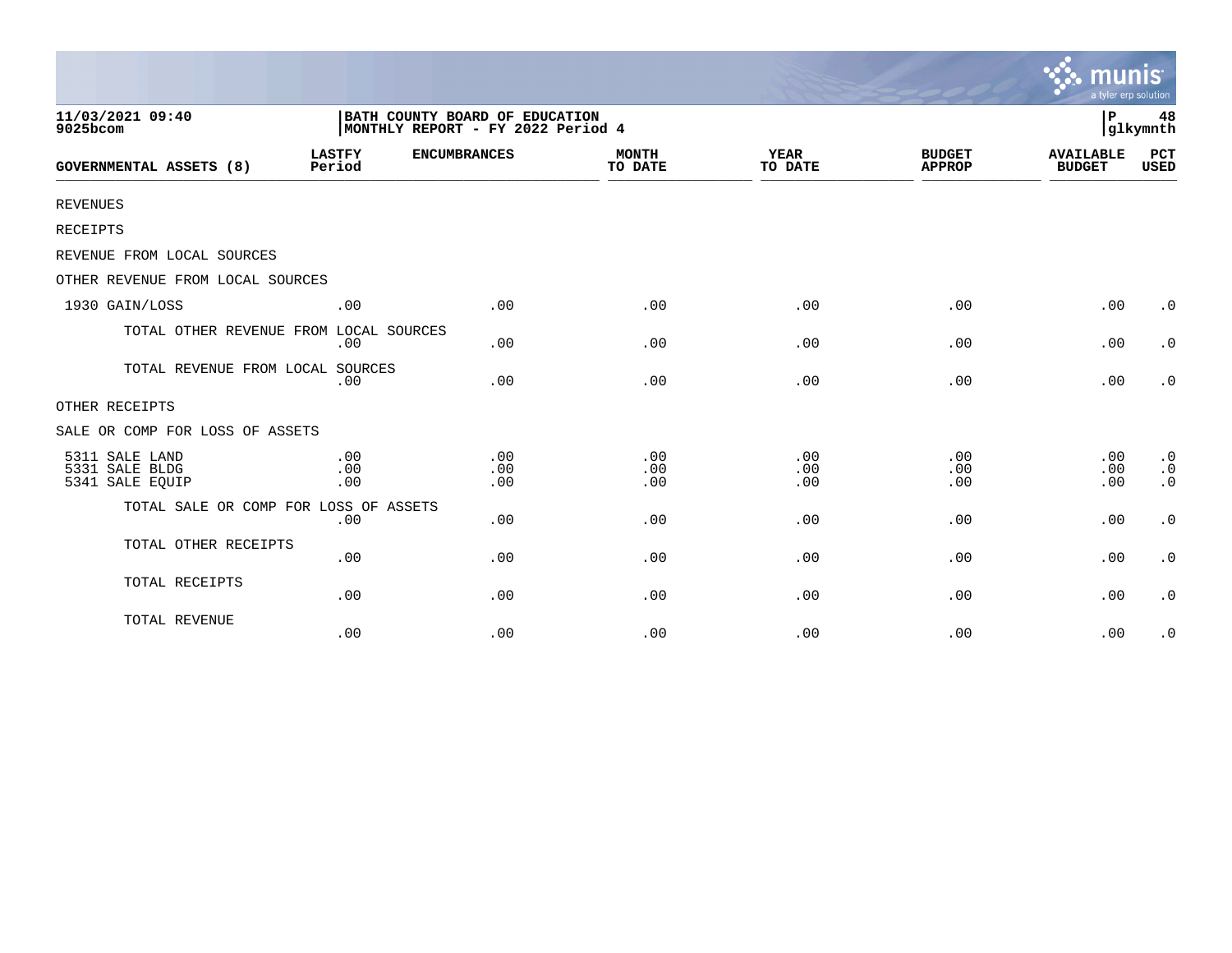|                                                     |                         |                                                                     |                         |                        |                                | munis<br>a tyler erp solution     |                                     |
|-----------------------------------------------------|-------------------------|---------------------------------------------------------------------|-------------------------|------------------------|--------------------------------|-----------------------------------|-------------------------------------|
| 11/03/2021 09:40<br>9025bcom                        |                         | BATH COUNTY BOARD OF EDUCATION<br>MONTHLY REPORT - FY 2022 Period 4 |                         |                        |                                | l P                               | 48<br>glkymnth                      |
| <b>GOVERNMENTAL ASSETS (8)</b>                      | <b>LASTFY</b><br>Period | <b>ENCUMBRANCES</b>                                                 | <b>MONTH</b><br>TO DATE | <b>YEAR</b><br>TO DATE | <b>BUDGET</b><br><b>APPROP</b> | <b>AVAILABLE</b><br><b>BUDGET</b> | <b>PCT</b><br><b>USED</b>           |
| <b>REVENUES</b>                                     |                         |                                                                     |                         |                        |                                |                                   |                                     |
| RECEIPTS                                            |                         |                                                                     |                         |                        |                                |                                   |                                     |
| REVENUE FROM LOCAL SOURCES                          |                         |                                                                     |                         |                        |                                |                                   |                                     |
| OTHER REVENUE FROM LOCAL SOURCES                    |                         |                                                                     |                         |                        |                                |                                   |                                     |
| 1930 GAIN/LOSS                                      | .00                     | .00                                                                 | .00                     | .00                    | .00                            | .00                               | $\cdot$ 0                           |
| TOTAL OTHER REVENUE FROM LOCAL SOURCES              | .00                     | .00                                                                 | .00                     | .00                    | .00                            | .00                               | $\cdot$ 0                           |
| TOTAL REVENUE FROM LOCAL SOURCES                    | .00                     | .00                                                                 | .00                     | .00                    | .00                            | .00                               | $\cdot$ 0                           |
| OTHER RECEIPTS                                      |                         |                                                                     |                         |                        |                                |                                   |                                     |
| SALE OR COMP FOR LOSS OF ASSETS                     |                         |                                                                     |                         |                        |                                |                                   |                                     |
| 5311 SALE LAND<br>5331 SALE BLDG<br>5341 SALE EQUIP | .00<br>.00<br>.00       | .00<br>.00<br>.00                                                   | .00<br>.00<br>.00       | .00<br>.00<br>.00      | .00<br>.00<br>.00              | .00<br>.00<br>.00                 | $\cdot$ 0<br>$\cdot$ 0<br>$\cdot$ 0 |
| TOTAL SALE OR COMP FOR LOSS OF ASSETS               | .00                     | .00                                                                 | .00                     | .00                    | .00                            | .00                               | $\cdot$ 0                           |
| TOTAL OTHER RECEIPTS                                | .00                     | .00                                                                 | .00                     | .00                    | .00                            | .00                               | $\cdot$ 0                           |
| TOTAL RECEIPTS                                      | .00                     | .00                                                                 | .00                     | .00                    | .00                            | .00                               | $\cdot$ 0                           |
| TOTAL REVENUE                                       | .00                     | .00                                                                 | .00                     | .00                    | .00                            | .00                               | $\cdot$ 0                           |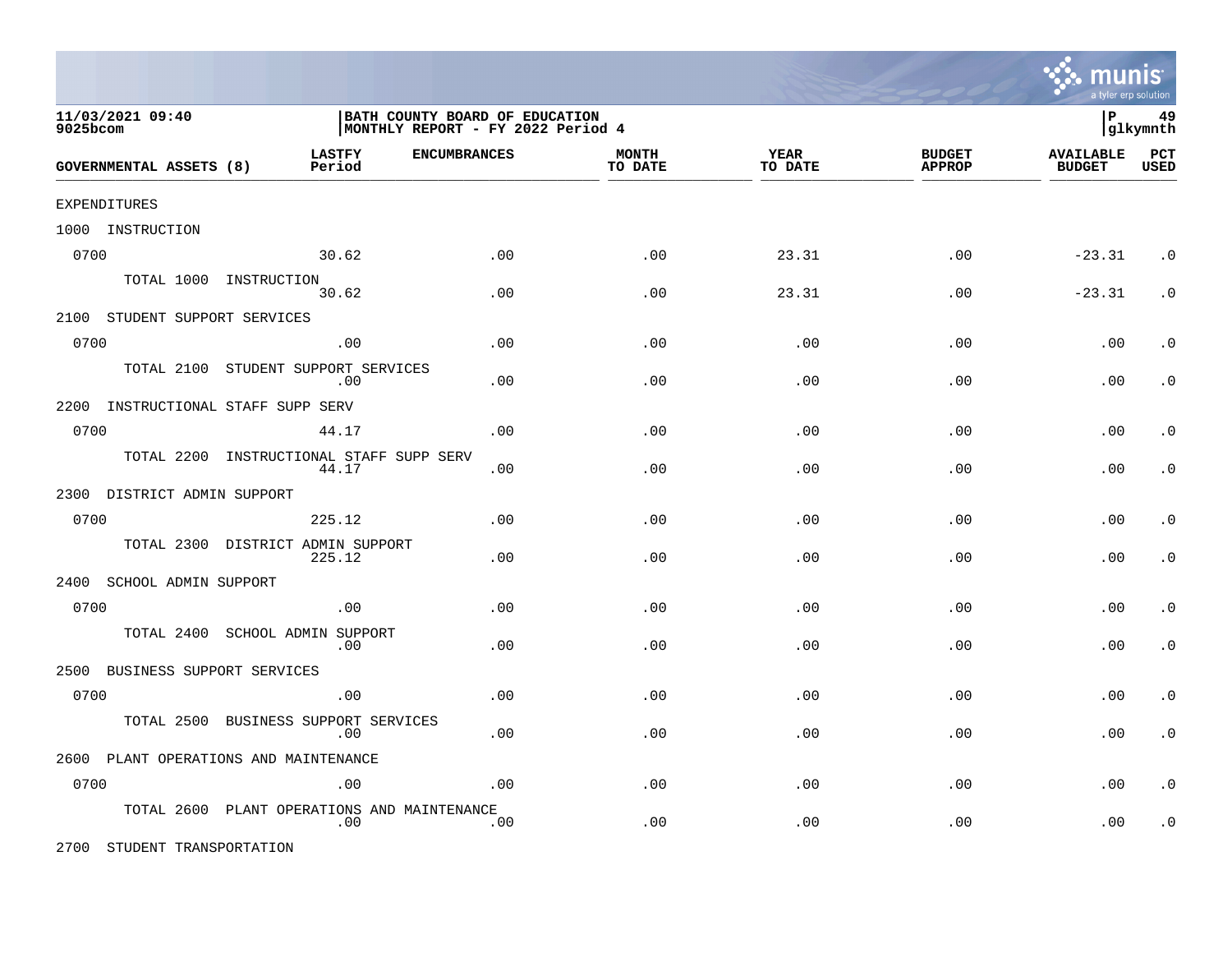

| 11/03/2021 09:40<br>9025bcom       |                                         | BATH COUNTY BOARD OF EDUCATION<br>MONTHLY REPORT - FY 2022 Period 4 |                         |                 |                                | 49<br>∣P<br> glkymnth             |                             |  |
|------------------------------------|-----------------------------------------|---------------------------------------------------------------------|-------------------------|-----------------|--------------------------------|-----------------------------------|-----------------------------|--|
| GOVERNMENTAL ASSETS (8)            | <b>LASTFY</b><br>Period                 | <b>ENCUMBRANCES</b>                                                 | <b>MONTH</b><br>TO DATE | YEAR<br>TO DATE | <b>BUDGET</b><br><b>APPROP</b> | <b>AVAILABLE</b><br><b>BUDGET</b> | $_{\rm PCT}$<br><b>USED</b> |  |
| EXPENDITURES                       |                                         |                                                                     |                         |                 |                                |                                   |                             |  |
| 1000 INSTRUCTION                   |                                         |                                                                     |                         |                 |                                |                                   |                             |  |
| 0700                               | 30.62                                   | .00                                                                 | .00                     | 23.31           | .00                            | $-23.31$                          | $\cdot$ 0                   |  |
|                                    | TOTAL 1000 INSTRUCTION<br>30.62         | .00                                                                 | .00                     | 23.31           | .00                            | $-23.31$                          | $\cdot$ 0                   |  |
| 2100 STUDENT SUPPORT SERVICES      |                                         |                                                                     |                         |                 |                                |                                   |                             |  |
| 0700                               | .00                                     | .00                                                                 | .00                     | .00             | .00                            | .00                               | $\cdot$ 0                   |  |
| TOTAL 2100                         | STUDENT SUPPORT SERVICES<br>.00         | .00                                                                 | .00                     | .00             | .00                            | .00                               | $\cdot$ 0                   |  |
| 2200 INSTRUCTIONAL STAFF SUPP SERV |                                         |                                                                     |                         |                 |                                |                                   |                             |  |
| 0700                               | 44.17                                   | .00                                                                 | .00                     | .00             | .00                            | .00                               | $\cdot$ 0                   |  |
| TOTAL 2200                         | INSTRUCTIONAL STAFF SUPP SERV<br>44.17  | .00                                                                 | .00                     | .00             | .00                            | .00                               | $\cdot$ 0                   |  |
| 2300 DISTRICT ADMIN SUPPORT        |                                         |                                                                     |                         |                 |                                |                                   |                             |  |
| 0700                               | 225.12                                  | .00                                                                 | .00                     | .00             | .00                            | .00                               | $\cdot$ 0                   |  |
| TOTAL 2300                         | DISTRICT ADMIN SUPPORT<br>225.12        | .00                                                                 | .00                     | .00             | .00                            | .00                               | . $\boldsymbol{0}$          |  |
| 2400 SCHOOL ADMIN SUPPORT          |                                         |                                                                     |                         |                 |                                |                                   |                             |  |
| 0700                               | .00                                     | .00                                                                 | .00                     | .00             | .00                            | .00                               | $\cdot$ 0                   |  |
| TOTAL 2400                         | SCHOOL ADMIN SUPPORT<br>.00             | .00                                                                 | .00                     | .00             | .00                            | .00                               | $\cdot$ 0                   |  |
| 2500<br>BUSINESS SUPPORT SERVICES  |                                         |                                                                     |                         |                 |                                |                                   |                             |  |
| 0700                               | .00                                     | .00                                                                 | .00                     | .00             | .00                            | .00                               | $\cdot$ 0                   |  |
| TOTAL 2500                         | BUSINESS SUPPORT SERVICES<br>.00        | .00                                                                 | .00                     | .00             | .00                            | .00                               | $\cdot$ 0                   |  |
|                                    | 2600 PLANT OPERATIONS AND MAINTENANCE   |                                                                     |                         |                 |                                |                                   |                             |  |
| 0700                               | .00                                     | .00                                                                 | .00                     | .00             | .00                            | .00                               | . $\boldsymbol{0}$          |  |
| TOTAL 2600                         | PLANT OPERATIONS AND MAINTENANCE<br>.00 | .00                                                                 | .00                     | .00             | .00                            | .00                               | . $\boldsymbol{0}$          |  |

2700 STUDENT TRANSPORTATION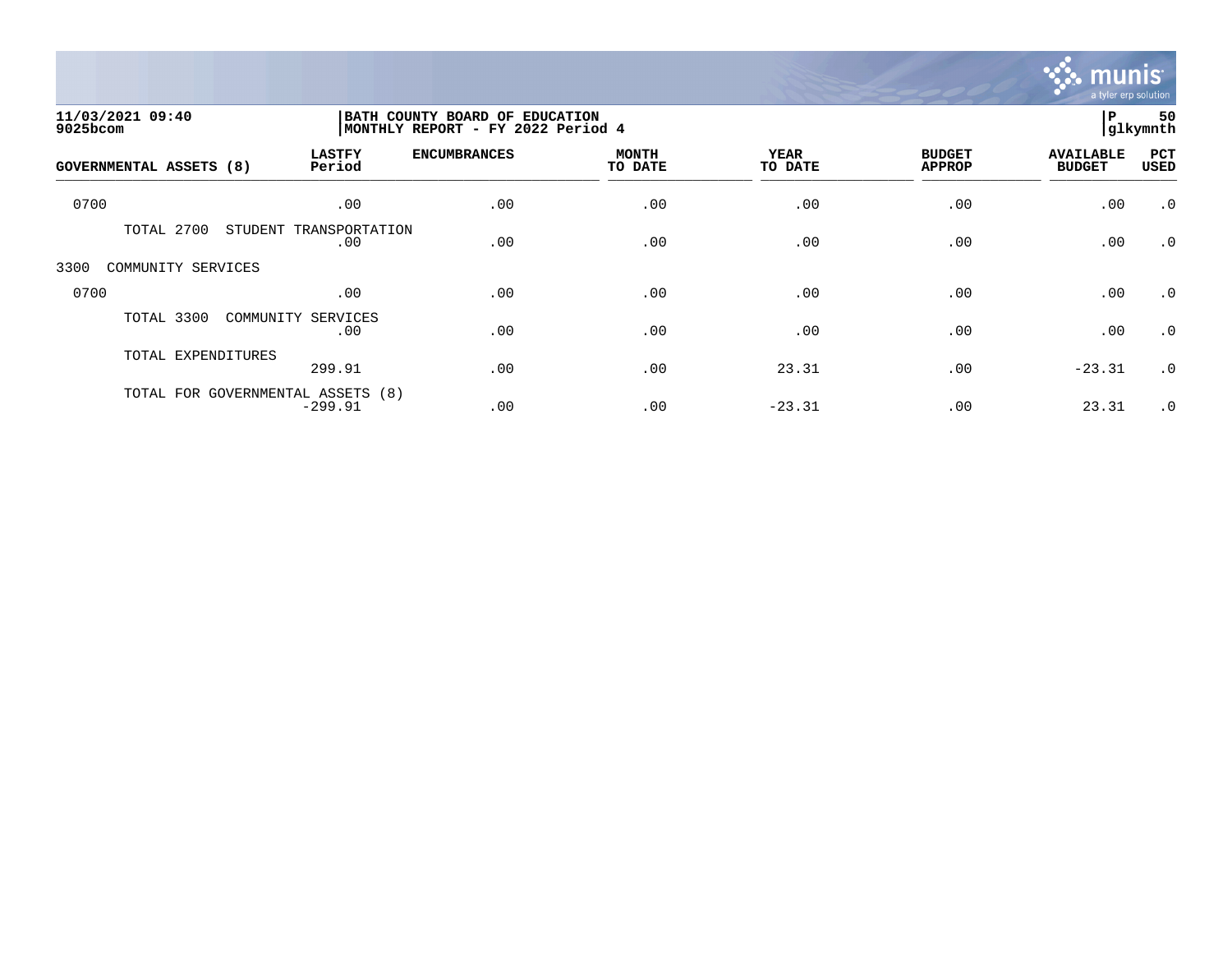

| 11/03/2021 09:40<br>9025bcom |                                                | BATH COUNTY BOARD OF EDUCATION<br>MONTHLY REPORT - FY 2022 Period 4 |                         |                 |                                |                                   |             |
|------------------------------|------------------------------------------------|---------------------------------------------------------------------|-------------------------|-----------------|--------------------------------|-----------------------------------|-------------|
| GOVERNMENTAL ASSETS (8)      | <b>LASTFY</b><br>Period                        | <b>ENCUMBRANCES</b>                                                 | <b>MONTH</b><br>TO DATE | YEAR<br>TO DATE | <b>BUDGET</b><br><b>APPROP</b> | <b>AVAILABLE</b><br><b>BUDGET</b> | PCT<br>USED |
| 0700                         | .00                                            | .00                                                                 | .00                     | .00             | .00                            | .00                               | $\cdot$ 0   |
| 2700<br>TOTAL                | STUDENT<br>TRANSPORTATION<br>.00               | .00                                                                 | .00                     | .00             | .00                            | .00                               | $\cdot$ 0   |
| 3300<br>COMMUNITY SERVICES   |                                                |                                                                     |                         |                 |                                |                                   |             |
| 0700                         | .00                                            | .00                                                                 | .00                     | .00             | .00                            | .00                               | $\cdot$ 0   |
| TOTAL 3300                   | COMMUNITY SERVICES<br>.00                      | .00                                                                 | .00                     | .00             | .00                            | .00                               | $\cdot$ 0   |
| TOTAL EXPENDITURES           | 299.91                                         | .00                                                                 | .00                     | 23.31           | .00                            | $-23.31$                          | $\cdot$ 0   |
|                              | TOTAL FOR GOVERNMENTAL ASSETS (8)<br>$-299.91$ | .00                                                                 | .00                     | $-23.31$        | .00                            | 23.31                             | $\cdot$ 0   |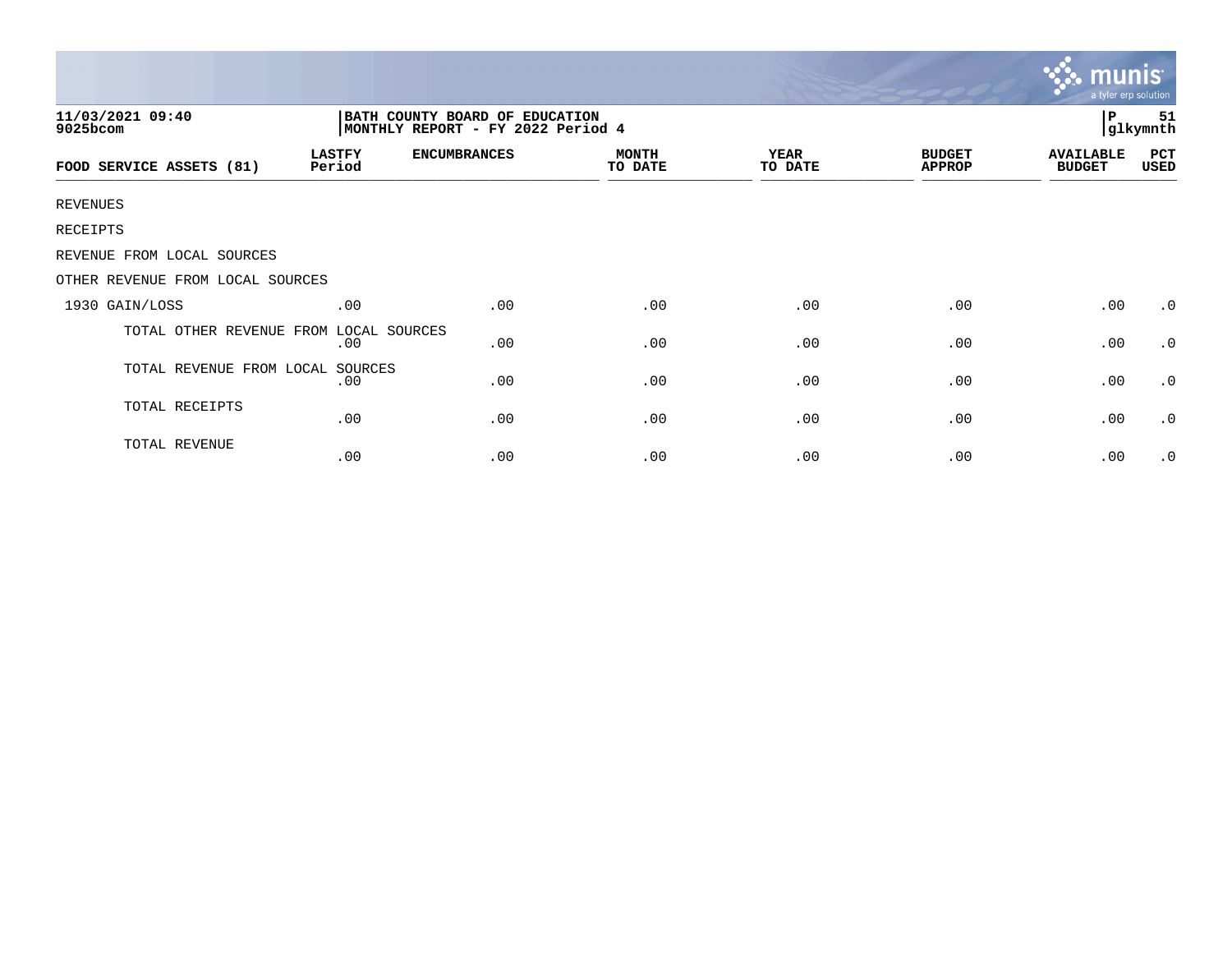| 11/03/2021 09:40<br>BATH COUNTY BOARD OF EDUCATION<br>MONTHLY REPORT - FY 2022 Period 4<br>9025bcom |                         |                     |                         |                        |                                | $\mathbf{P}$                      | 51<br> glkymnth |
|-----------------------------------------------------------------------------------------------------|-------------------------|---------------------|-------------------------|------------------------|--------------------------------|-----------------------------------|-----------------|
| FOOD SERVICE ASSETS (81)                                                                            | <b>LASTFY</b><br>Period | <b>ENCUMBRANCES</b> | <b>MONTH</b><br>TO DATE | <b>YEAR</b><br>TO DATE | <b>BUDGET</b><br><b>APPROP</b> | <b>AVAILABLE</b><br><b>BUDGET</b> | PCT<br>USED     |
| <b>REVENUES</b>                                                                                     |                         |                     |                         |                        |                                |                                   |                 |
| RECEIPTS                                                                                            |                         |                     |                         |                        |                                |                                   |                 |
| REVENUE FROM LOCAL SOURCES                                                                          |                         |                     |                         |                        |                                |                                   |                 |
| OTHER REVENUE FROM LOCAL SOURCES                                                                    |                         |                     |                         |                        |                                |                                   |                 |
| 1930 GAIN/LOSS                                                                                      | .00                     | .00                 | .00                     | .00                    | .00                            | .00                               | $\cdot$ 0       |
| TOTAL OTHER REVENUE FROM                                                                            | LOCAL SOURCES<br>.00    | .00                 | .00                     | .00                    | .00                            | .00                               | $\cdot$ 0       |
| TOTAL REVENUE FROM LOCAL                                                                            | SOURCES<br>.00          | .00                 | .00                     | .00                    | .00                            | .00                               | $\cdot$ 0       |
| TOTAL RECEIPTS                                                                                      | .00                     | .00                 | .00                     | .00                    | .00                            | .00                               | $\cdot$ 0       |
| TOTAL REVENUE                                                                                       | .00                     | .00                 | .00                     | .00                    | .00                            | .00                               | $\cdot$ 0       |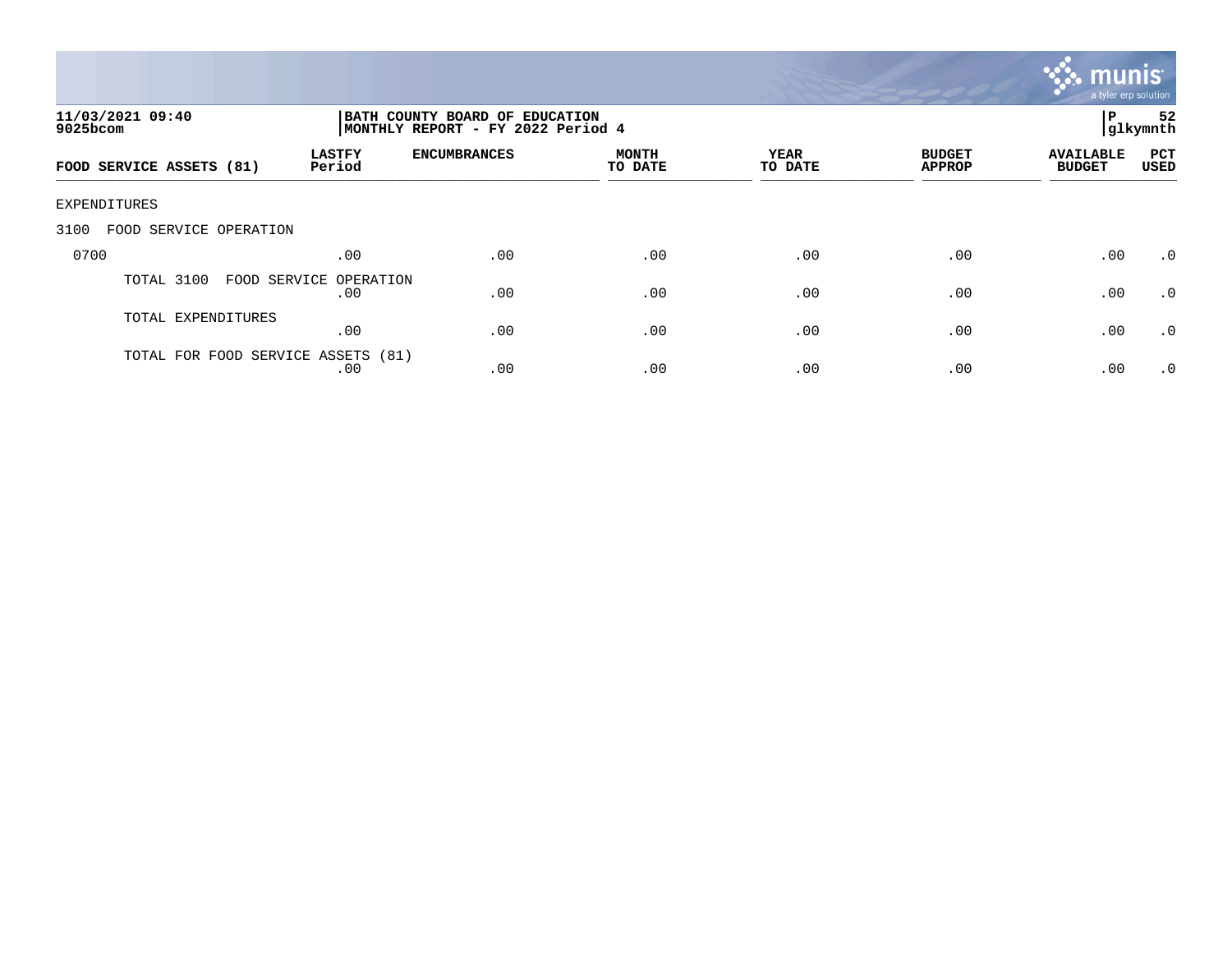

| 11/03/2021 09:40<br>$9025$ bcom    | BATH COUNTY BOARD OF EDUCATION<br>MONTHLY REPORT - FY 2022 Period 4 |                     |                         |                 |                                | 52<br> glkymnth                   |                    |
|------------------------------------|---------------------------------------------------------------------|---------------------|-------------------------|-----------------|--------------------------------|-----------------------------------|--------------------|
| FOOD SERVICE ASSETS (81)           | <b>LASTFY</b><br>Period                                             | <b>ENCUMBRANCES</b> | <b>MONTH</b><br>TO DATE | YEAR<br>TO DATE | <b>BUDGET</b><br><b>APPROP</b> | <b>AVAILABLE</b><br><b>BUDGET</b> | PCT<br><b>USED</b> |
| EXPENDITURES                       |                                                                     |                     |                         |                 |                                |                                   |                    |
| 3100<br>FOOD SERVICE OPERATION     |                                                                     |                     |                         |                 |                                |                                   |                    |
| 0700                               | .00                                                                 | .00                 | .00                     | .00             | .00                            | .00                               | .0                 |
| TOTAL 3100                         | FOOD SERVICE OPERATION<br>.00                                       | .00                 | .00                     | .00             | .00                            | .00                               | .0                 |
| TOTAL EXPENDITURES                 | .00                                                                 | .00                 | .00                     | .00             | .00                            | .00                               | $\cdot$ 0          |
| TOTAL FOR FOOD SERVICE ASSETS (81) | .00                                                                 | .00                 | .00                     | .00             | .00                            | .00                               | $\cdot$ 0          |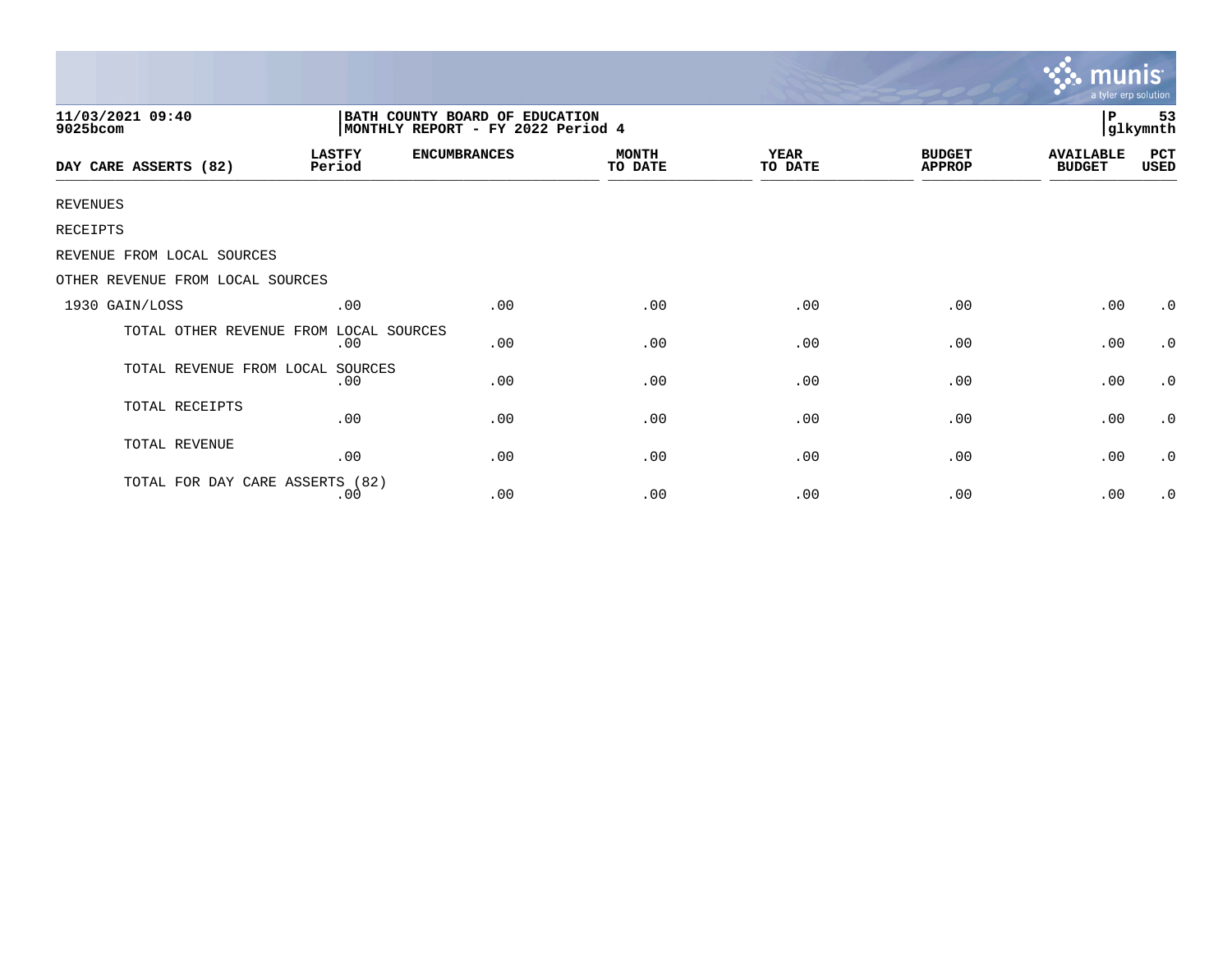|                                        |                                                                      |                     |                         |                 |                                | <b>munis</b><br>a tyler erp solution |                     |  |
|----------------------------------------|----------------------------------------------------------------------|---------------------|-------------------------|-----------------|--------------------------------|--------------------------------------|---------------------|--|
| 11/03/2021 09:40<br>9025bcom           | BATH COUNTY BOARD OF EDUCATION<br> MONTHLY REPORT - FY 2022 Period 4 |                     |                         |                 |                                |                                      | 53<br>P<br>glkymnth |  |
| DAY CARE ASSERTS (82)                  | <b>LASTFY</b><br>Period                                              | <b>ENCUMBRANCES</b> | <b>MONTH</b><br>TO DATE | YEAR<br>TO DATE | <b>BUDGET</b><br><b>APPROP</b> | <b>AVAILABLE</b><br><b>BUDGET</b>    | PCT<br>USED         |  |
| <b>REVENUES</b>                        |                                                                      |                     |                         |                 |                                |                                      |                     |  |
| RECEIPTS                               |                                                                      |                     |                         |                 |                                |                                      |                     |  |
| REVENUE FROM LOCAL SOURCES             |                                                                      |                     |                         |                 |                                |                                      |                     |  |
| OTHER REVENUE FROM LOCAL SOURCES       |                                                                      |                     |                         |                 |                                |                                      |                     |  |
| 1930 GAIN/LOSS                         | .00                                                                  | .00                 | .00                     | .00             | .00                            | .00                                  | $\cdot$ 0           |  |
| TOTAL OTHER REVENUE FROM LOCAL SOURCES | .00                                                                  | .00                 | .00                     | .00             | .00                            | .00                                  | $\cdot$ 0           |  |
| TOTAL REVENUE FROM LOCAL               | SOURCES<br>.00                                                       | .00                 | .00                     | .00             | .00                            | .00                                  | $\cdot$ 0           |  |
| TOTAL RECEIPTS                         | .00                                                                  | .00                 | .00                     | .00             | .00                            | .00                                  | $\cdot$ 0           |  |
| TOTAL REVENUE                          | .00                                                                  | .00                 | .00                     | .00             | .00                            | .00                                  | $\cdot$ 0           |  |
| TOTAL FOR DAY CARE ASSERTS (82)        | .00                                                                  | .00                 | .00                     | .00             | .00                            | .00                                  | $\cdot$ 0           |  |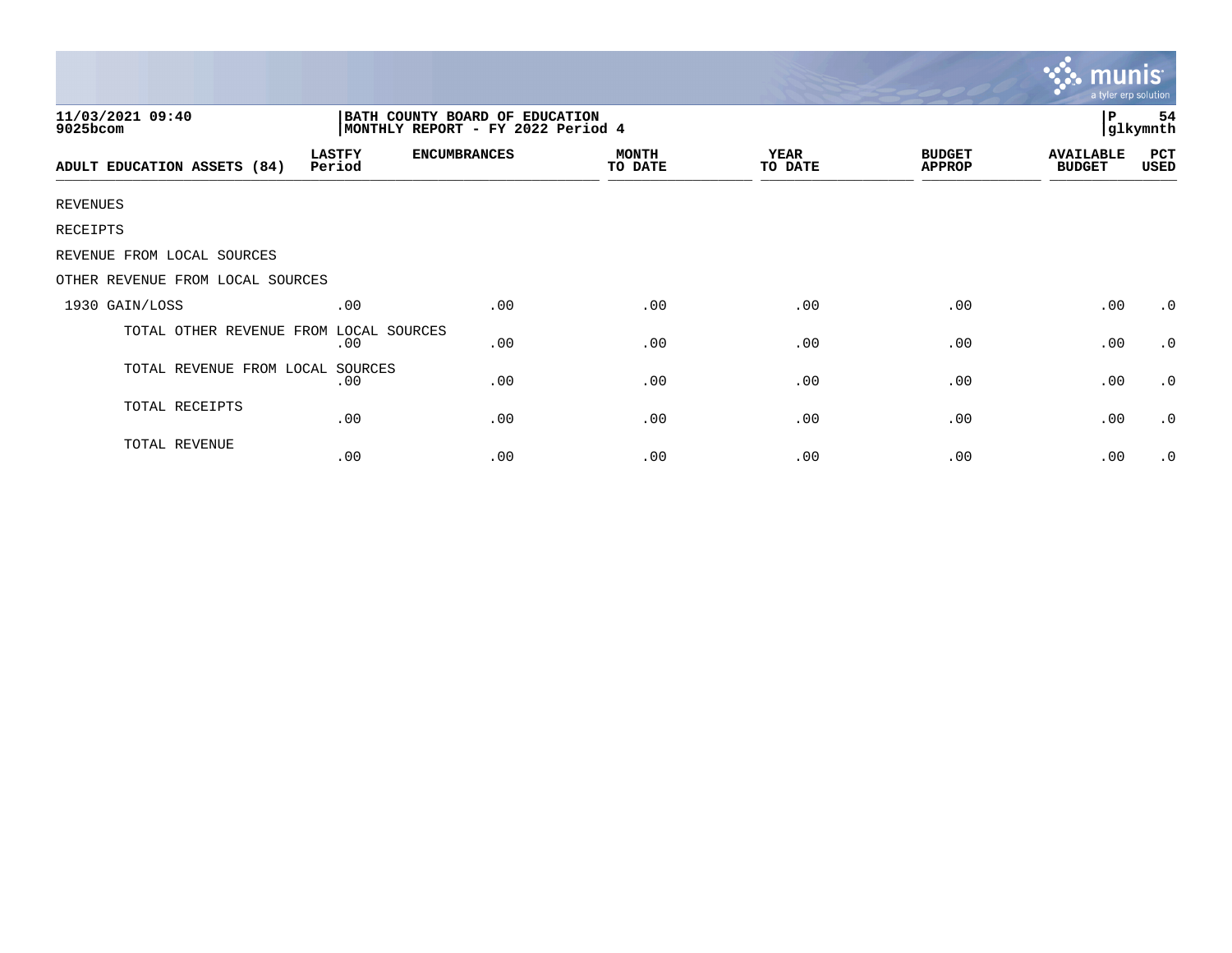|                                  |                                                                     |                     |                         |                        | munis<br>a tyler erp solution  |                                   |             |
|----------------------------------|---------------------------------------------------------------------|---------------------|-------------------------|------------------------|--------------------------------|-----------------------------------|-------------|
| 11/03/2021 09:40<br>9025bcom     | BATH COUNTY BOARD OF EDUCATION<br>MONTHLY REPORT - FY 2022 Period 4 |                     |                         |                        |                                | P<br>54<br>glkymnth               |             |
| ADULT EDUCATION ASSETS (84)      | <b>LASTFY</b><br>Period                                             | <b>ENCUMBRANCES</b> | <b>MONTH</b><br>TO DATE | <b>YEAR</b><br>TO DATE | <b>BUDGET</b><br><b>APPROP</b> | <b>AVAILABLE</b><br><b>BUDGET</b> | PCT<br>USED |
| <b>REVENUES</b>                  |                                                                     |                     |                         |                        |                                |                                   |             |
| RECEIPTS                         |                                                                     |                     |                         |                        |                                |                                   |             |
| REVENUE FROM LOCAL SOURCES       |                                                                     |                     |                         |                        |                                |                                   |             |
| OTHER REVENUE FROM LOCAL SOURCES |                                                                     |                     |                         |                        |                                |                                   |             |
| 1930 GAIN/LOSS                   | .00                                                                 | .00                 | .00                     | .00                    | .00                            | .00                               | $\cdot$ 0   |
| TOTAL OTHER REVENUE FROM         | LOCAL SOURCES<br>.00                                                | .00                 | .00                     | .00                    | .00                            | .00                               | $\cdot$ 0   |
| TOTAL REVENUE FROM LOCAL         | SOURCES<br>.00                                                      | .00                 | .00                     | .00                    | .00                            | .00                               | $\cdot$ 0   |
| TOTAL RECEIPTS                   | .00                                                                 | .00                 | .00                     | .00                    | .00                            | .00                               | $\cdot$ 0   |
| TOTAL REVENUE                    | .00                                                                 | .00                 | .00                     | .00                    | .00                            | .00                               | $\cdot$ 0   |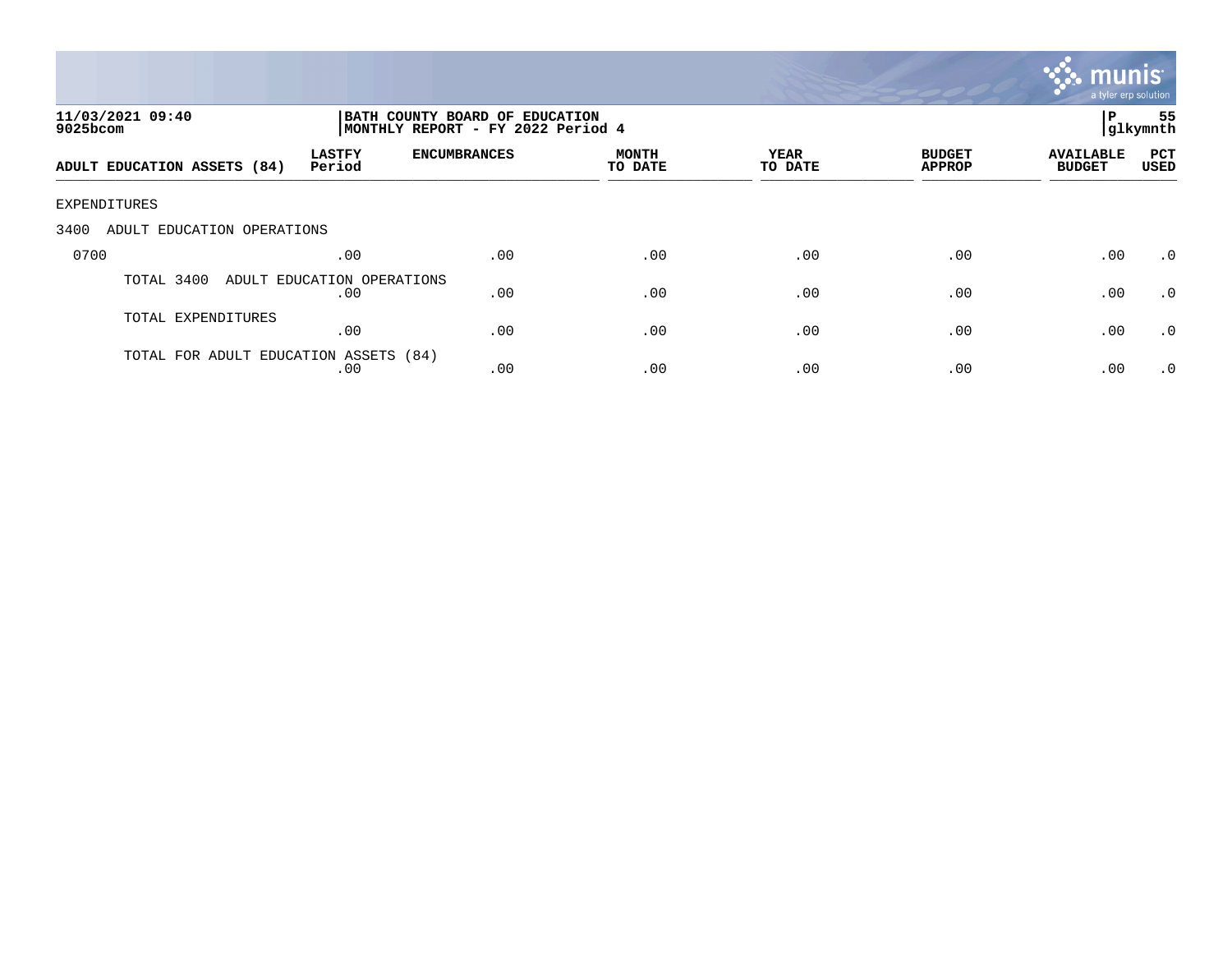

| 11/03/2021 09:40<br>$9025$ bcom       |                                   | BATH COUNTY BOARD OF EDUCATION<br>MONTHLY REPORT - FY 2022 Period 4 | 55<br>P<br> glkymnth |                 |                                |                                   |                    |
|---------------------------------------|-----------------------------------|---------------------------------------------------------------------|----------------------|-----------------|--------------------------------|-----------------------------------|--------------------|
| ADULT EDUCATION ASSETS (84)           | <b>LASTFY</b><br>Period           | <b>ENCUMBRANCES</b>                                                 | MONTH<br>TO DATE     | YEAR<br>TO DATE | <b>BUDGET</b><br><b>APPROP</b> | <b>AVAILABLE</b><br><b>BUDGET</b> | PCT<br><b>USED</b> |
| EXPENDITURES                          |                                   |                                                                     |                      |                 |                                |                                   |                    |
| 3400<br>ADULT EDUCATION OPERATIONS    |                                   |                                                                     |                      |                 |                                |                                   |                    |
| 0700                                  | .00                               | .00                                                                 | .00                  | .00             | .00                            | .00                               | $\cdot$ 0          |
| TOTAL 3400                            | ADULT EDUCATION OPERATIONS<br>.00 | .00                                                                 | .00                  | .00             | .00                            | .00                               | $\cdot$ 0          |
| TOTAL EXPENDITURES                    | .00                               | .00                                                                 | .00                  | .00             | .00                            | .00                               | .0                 |
| TOTAL FOR ADULT EDUCATION ASSETS (84) | .00                               | .00                                                                 | .00                  | .00             | .00                            | .00                               | $\cdot$ 0          |